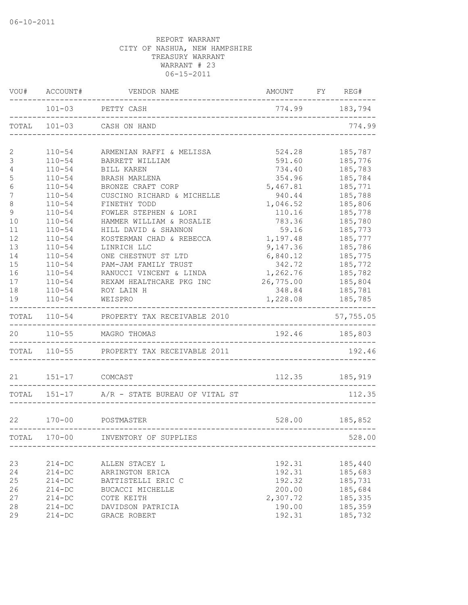| VOU#           | ACCOUNT#              | VENDOR NAME                                 | AMOUNT FY REG# |                |
|----------------|-----------------------|---------------------------------------------|----------------|----------------|
|                |                       | 101-03 PETTY CASH                           | 774.99 183,794 |                |
| TOTAL          | $101 - 03$            | CASH ON HAND                                |                | 774.99         |
| 2              | $110 - 54$            | ARMENIAN RAFFI & MELISSA                    | 524.28         | 185,787        |
| $\mathcal{S}$  | $110 - 54$            | BARRETT WILLIAM                             | 591.60         | 185,776        |
| $\overline{4}$ | $110 - 54$            | <b>BILL KAREN</b>                           | 734.40         | 185,783        |
| 5              | $110 - 54$            | BRASH MARLENA                               | 354.96         | 185,784        |
| 6              | $110 - 54$            | BRONZE CRAFT CORP                           | 5,467.81       | 185,771        |
| 7              | $110 - 54$            | CUSCINO RICHARD & MICHELLE                  | 940.44         | 185,788        |
| $\,8\,$        | $110 - 54$            | FINETHY TODD                                | 1,046.52       | 185,806        |
| $\mathsf 9$    | $110 - 54$            | FOWLER STEPHEN & LORI                       | 110.16         | 185,778        |
| 10             | $110 - 54$            | HAMMER WILLIAM & ROSALIE                    | 783.36         | 185,780        |
| 11             | $110 - 54$            | HILL DAVID & SHANNON                        | 59.16          | 185,773        |
| 12             | $110 - 54$            | KOSTERMAN CHAD & REBECCA                    | 1,197.48       | 185,777        |
| 13             | $110 - 54$            | LINRICH LLC                                 | 9,147.36       | 185,786        |
| 14             | $110 - 54$            | ONE CHESTNUT ST LTD                         | 6,840.12       | 185,775        |
| 15             | $110 - 54$            | PAM-JAM FAMILY TRUST                        | 342.72         | 185,772        |
| 16             | $110 - 54$            | RANUCCI VINCENT & LINDA                     | 1,262.76       | 185,782        |
| 17             | $110 - 54$            | REXAM HEALTHCARE PKG INC                    | 26,775.00      | 185,804        |
| 18             | $110 - 54$            | ROY LAIN H                                  | 348.84         | 185,781        |
| 19             | $110 - 54$            | WEISPRO                                     | 1,228.08       | 185,785        |
|                |                       | TOTAL 110-54 PROPERTY TAX RECEIVABLE 2010   |                | 57,755.05      |
| 20             |                       | 110-55 MAGRO THOMAS                         |                | 192.46 185,803 |
|                |                       | TOTAL 110-55 PROPERTY TAX RECEIVABLE 2011   |                | 192.46         |
|                | 21   151-17   COMCAST |                                             |                | 112.35 185,919 |
|                |                       | TOTAL 151-17 A/R - STATE BUREAU OF VITAL ST |                | 112.35         |
|                |                       |                                             |                |                |
| 22             | $170 - 00$            | POSTMASTER                                  |                | 528.00 185,852 |
| TOTAL          | $170 - 00$            | INVENTORY OF SUPPLIES                       |                | 528.00         |
| 23             | $214 - DC$            | ALLEN STACEY L                              | 192.31         | 185,440        |
| 24             | $214 - DC$            | ARRINGTON ERICA                             | 192.31         | 185,683        |
| 25             | $214-DC$              | BATTISTELLI ERIC C                          | 192.32         | 185,731        |
| 26             | $214-DC$              | BUCACCI MICHELLE                            | 200.00         | 185,684        |
| 27             | $214 - DC$            | COTE KEITH                                  | 2,307.72       | 185,335        |
| 28             | $214 - DC$            | DAVIDSON PATRICIA                           | 190.00         | 185,359        |
| 29             | $214 - DC$            | GRACE ROBERT                                | 192.31         | 185,732        |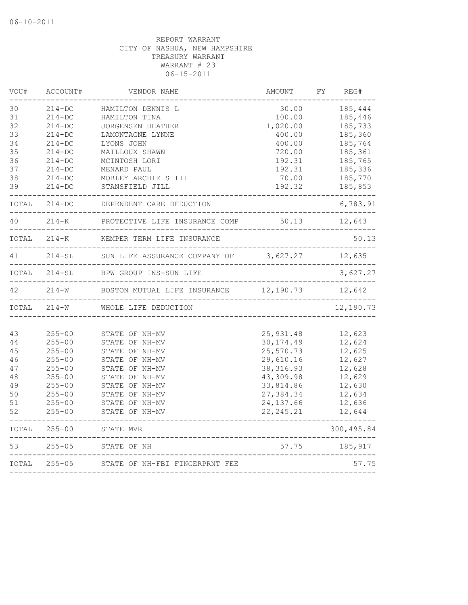| VOU#  | ACCOUNT#     | VENDOR NAME                                                     | AMOUNT                         | FY | REG#        |
|-------|--------------|-----------------------------------------------------------------|--------------------------------|----|-------------|
| 30    | $214 - DC$   | HAMILTON DENNIS L                                               | 30.00                          |    | 185,444     |
| 31    | $214 - DC$   | HAMILTON TINA                                                   | 100.00                         |    | 185,446     |
| 32    | $214 - DC$   | <b>JORGENSEN HEATHER</b>                                        | 1,020.00                       |    | 185,733     |
| 33    | $214 - DC$   | LAMONTAGNE LYNNE                                                | 400.00                         |    | 185,360     |
| 34    | $214 - DC$   | LYONS JOHN                                                      | 400.00                         |    | 185,764     |
| 35    | $214 - DC$   | MAILLOUX SHAWN                                                  | 720.00                         |    | 185,361     |
| 36    | $214 - DC$   | MCINTOSH LORI                                                   | 192.31                         |    | 185,765     |
| 37    | $214-DC$     | MENARD PAUL                                                     | 192.31                         |    | 185,336     |
| 38    | $214 - DC$   | MOBLEY ARCHIE S III                                             | 70.00                          |    | 185,770     |
| 39    | $214 - DC$   | STANSFIELD JILL                                                 | 192.32                         |    | 185,853     |
| TOTAL | $214 - DC$   | DEPENDENT CARE DEDUCTION                                        | <u> Personal Person</u>        |    | 6,783.91    |
| 40    | $214 - K$    | PROTECTIVE LIFE INSURANCE COMP                                  | 50.13                          |    | 12,643      |
|       | TOTAL 214-K  | KEMPER TERM LIFE INSURANCE                                      |                                |    | 50.13       |
| 41    |              | 214-SL SUN LIFE ASSURANCE COMPANY OF 3,627.27                   |                                |    | 12,635      |
|       | TOTAL 214-SL | BPW GROUP INS-SUN LIFE                                          |                                |    | 3,627.27    |
| 42    | $214 - W$    | BOSTON MUTUAL LIFE INSURANCE 12,190.73<br>_____________________ |                                |    | 12,642      |
|       | TOTAL 214-W  | WHOLE LIFE DEDUCTION                                            |                                |    | 12,190.73   |
|       |              |                                                                 |                                |    |             |
| 43    | $255 - 00$   | STATE OF NH-MV                                                  | 25,931.48                      |    | 12,623      |
| 44    | $255 - 00$   | STATE OF NH-MV                                                  | 30, 174.49                     |    | 12,624      |
| 45    | $255 - 00$   | STATE OF NH-MV                                                  | 25,570.73                      |    | 12,625      |
| 46    | $255 - 00$   | STATE OF NH-MV                                                  | 29,610.16                      |    | 12,627      |
| 47    | $255 - 00$   | STATE OF NH-MV                                                  | 38, 316.93                     |    | 12,628      |
| 48    | $255 - 00$   | STATE OF NH-MV                                                  | 43,309.98                      |    | 12,629      |
| 49    | $255 - 00$   | STATE OF NH-MV                                                  | 33,814.86                      |    | 12,630      |
| 50    | $255 - 00$   | STATE OF NH-MV                                                  | 27,384.34                      |    | 12,634      |
| 51    | $255 - 00$   | STATE OF NH-MV                                                  | 24, 137.66                     |    | 12,636      |
| 52    | $255 - 00$   | STATE OF NH-MV                                                  | 22, 245.21                     |    | 12,644      |
| TOTAL | $255 - 00$   | STATE MVR<br>--------------------------------------             |                                |    | 300, 495.84 |
| 53    | $255 - 05$   | STATE OF NH                                                     | 57.75                          |    | 185,917     |
| TOTAL | $255 - 05$   | STATE OF NH-FBI FINGERPRNT FEE                                  |                                |    | 57.75       |
|       |              |                                                                 | ______________________________ |    |             |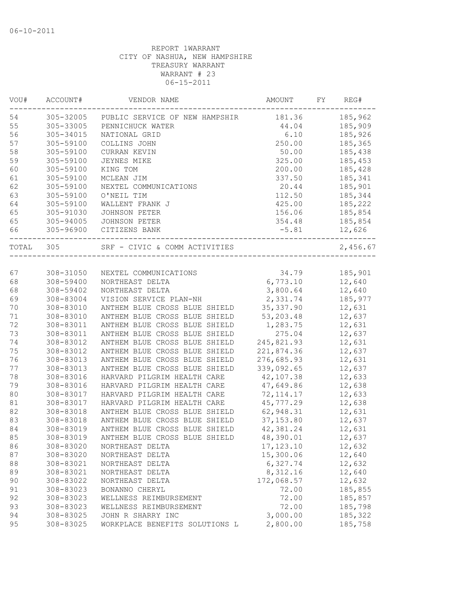| VOU#      | ACCOUNT#  | VENDOR NAME                    | AMOUNT     | FY | REG#     |
|-----------|-----------|--------------------------------|------------|----|----------|
| 54        | 305-32005 | PUBLIC SERVICE OF NEW HAMPSHIR | 181.36     |    | 185,962  |
| 55        | 305-33005 | PENNICHUCK WATER               | 44.04      |    | 185,909  |
| 56        | 305-34015 | NATIONAL GRID                  | 6.10       |    | 185,926  |
| 57        | 305-59100 | COLLINS JOHN                   | 250.00     |    | 185,365  |
| 58        | 305-59100 | CURRAN KEVIN                   | 50.00      |    | 185,438  |
| 59        | 305-59100 | <b>JEYNES MIKE</b>             | 325.00     |    | 185,453  |
| 60        | 305-59100 | KING TOM                       | 200.00     |    | 185,428  |
| 61        | 305-59100 | MCLEAN JIM                     | 337.50     |    | 185,341  |
| 62        | 305-59100 | NEXTEL COMMUNICATIONS          | 20.44      |    | 185,901  |
| 63        | 305-59100 | O'NEIL TIM                     | 112.50     |    | 185,344  |
| 64        | 305-59100 | WALLENT FRANK J                | 425.00     |    | 185,222  |
| 65        | 305-91030 | <b>JOHNSON PETER</b>           | 156.06     |    | 185,854  |
| 65        | 305-94005 | JOHNSON PETER                  | 354.48     |    | 185,854  |
| 66        | 305-96900 | CITIZENS BANK                  | $-5.81$    |    | 12,626   |
| TOTAL 305 |           | SRF - CIVIC & COMM ACTIVITIES  |            |    | 2,456.67 |
|           |           |                                |            |    |          |
| 67        | 308-31050 | NEXTEL COMMUNICATIONS          | 34.79      |    | 185,901  |
| 68        | 308-59400 | NORTHEAST DELTA                | 6,773.10   |    | 12,640   |
| 68        | 308-59402 | NORTHEAST DELTA                | 3,800.64   |    | 12,640   |
| 69        | 308-83004 | VISION SERVICE PLAN-NH         | 2,331.74   |    | 185,977  |
| 70        | 308-83010 | ANTHEM BLUE CROSS BLUE SHIELD  | 35, 337.90 |    | 12,631   |
| 71        | 308-83010 | ANTHEM BLUE CROSS BLUE SHIELD  | 53, 203.48 |    | 12,637   |
| 72        | 308-83011 | ANTHEM BLUE CROSS BLUE SHIELD  | 1,283.75   |    | 12,631   |
| 73        | 308-83011 | ANTHEM BLUE CROSS BLUE SHIELD  | 275.04     |    | 12,637   |
| 74        | 308-83012 | ANTHEM BLUE CROSS BLUE SHIELD  | 245,821.93 |    | 12,631   |
| 75        | 308-83012 | ANTHEM BLUE CROSS BLUE SHIELD  | 221,874.36 |    | 12,637   |
| 76        | 308-83013 | ANTHEM BLUE CROSS BLUE SHIELD  | 276,685.93 |    | 12,631   |
| 77        | 308-83013 | ANTHEM BLUE CROSS BLUE SHIELD  | 339,092.65 |    | 12,637   |
| 78        | 308-83016 | HARVARD PILGRIM HEALTH CARE    | 42,107.38  |    | 12,633   |
| 79        | 308-83016 | HARVARD PILGRIM HEALTH CARE    | 47,649.86  |    | 12,638   |
| 80        | 308-83017 | HARVARD PILGRIM HEALTH CARE    | 72, 114.17 |    | 12,633   |
| 81        | 308-83017 | HARVARD PILGRIM HEALTH CARE    | 45,777.29  |    | 12,638   |
| 82        | 308-83018 | ANTHEM BLUE CROSS BLUE SHIELD  | 62,948.31  |    | 12,631   |
| 83        | 308-83018 | ANTHEM BLUE CROSS BLUE SHIELD  | 37, 153.80 |    | 12,637   |
| 84        | 308-83019 | ANTHEM BLUE CROSS BLUE SHIELD  | 42,381.24  |    | 12,631   |
| 85        | 308-83019 | ANTHEM BLUE CROSS BLUE SHIELD  | 48,390.01  |    | 12,637   |
| 86        | 308-83020 | NORTHEAST DELTA                | 17, 123.10 |    | 12,632   |
| 87        | 308-83020 | NORTHEAST DELTA                | 15,300.06  |    | 12,640   |
| 88        | 308-83021 | NORTHEAST DELTA                | 6,327.74   |    | 12,632   |
| 89        | 308-83021 | NORTHEAST DELTA                | 8,312.16   |    | 12,640   |
| 90        | 308-83022 | NORTHEAST DELTA                | 172,068.57 |    | 12,632   |
| 91        | 308-83023 | BONANNO CHERYL                 | 72.00      |    | 185,855  |
| 92        | 308-83023 | WELLNESS REIMBURSEMENT         | 72.00      |    | 185,857  |
| 93        | 308-83023 | WELLNESS REIMBURSEMENT         | 72.00      |    | 185,798  |
| 94        | 308-83025 | JOHN R SHARRY INC              | 3,000.00   |    | 185,322  |
| 95        | 308-83025 | WORKPLACE BENEFITS SOLUTIONS L | 2,800.00   |    | 185,758  |
|           |           |                                |            |    |          |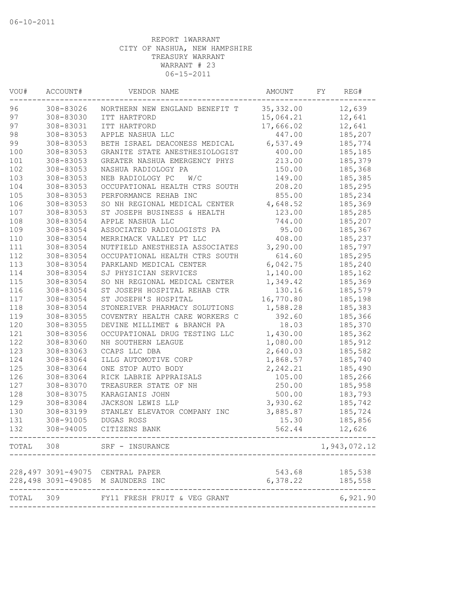| VOU#      | ACCOUNT#  | VENDOR NAME                       | AMOUNT     | FY | REG#         |
|-----------|-----------|-----------------------------------|------------|----|--------------|
| 96        | 308-83026 | NORTHERN NEW ENGLAND BENEFIT T    | 35, 332.00 |    | 12,639       |
| 97        | 308-83030 | ITT HARTFORD                      | 15,064.21  |    | 12,641       |
| 97        | 308-83031 | ITT HARTFORD                      | 17,666.02  |    | 12,641       |
| 98        | 308-83053 | APPLE NASHUA LLC                  | 447.00     |    | 185,207      |
| 99        | 308-83053 | BETH ISRAEL DEACONESS MEDICAL     | 6,537.49   |    | 185,774      |
| 100       | 308-83053 | GRANITE STATE ANESTHESIOLOGIST    | 400.00     |    | 185,185      |
| 101       | 308-83053 | GREATER NASHUA EMERGENCY PHYS     | 213.00     |    | 185,379      |
| 102       | 308-83053 | NASHUA RADIOLOGY PA               | 150.00     |    | 185,368      |
| 103       | 308-83053 | NEB RADIOLOGY PC<br>W/C           | 149.00     |    | 185,385      |
| 104       | 308-83053 | OCCUPATIONAL HEALTH CTRS SOUTH    | 208.20     |    | 185,295      |
| 105       | 308-83053 | PERFORMANCE REHAB INC             | 855.00     |    | 185,234      |
| 106       | 308-83053 | SO NH REGIONAL MEDICAL CENTER     | 4,648.52   |    | 185,369      |
| 107       | 308-83053 | ST JOSEPH BUSINESS & HEALTH       | 123.00     |    | 185,285      |
| 108       | 308-83054 | APPLE NASHUA LLC                  | 744.00     |    | 185,207      |
| 109       | 308-83054 | ASSOCIATED RADIOLOGISTS PA        | 95.00      |    | 185,367      |
| 110       | 308-83054 | MERRIMACK VALLEY PT LLC           | 408.00     |    | 185,237      |
| 111       | 308-83054 | NUTFIELD ANESTHESIA ASSOCIATES    | 3,290.00   |    | 185,797      |
| 112       | 308-83054 | OCCUPATIONAL HEALTH CTRS SOUTH    | 614.60     |    | 185,295      |
| 113       | 308-83054 | PARKLAND MEDICAL CENTER           | 6,042.75   |    | 185,240      |
| 114       | 308-83054 | SJ PHYSICIAN SERVICES             | 1,140.00   |    | 185,162      |
| 115       | 308-83054 | SO NH REGIONAL MEDICAL CENTER     | 1,349.42   |    | 185,369      |
| 116       | 308-83054 | ST JOSEPH HOSPITAL REHAB CTR      | 130.16     |    | 185,579      |
| 117       | 308-83054 | ST JOSEPH'S HOSPITAL              | 16,770.80  |    | 185,198      |
| 118       | 308-83054 | STONERIVER PHARMACY SOLUTIONS     | 1,588.28   |    | 185,383      |
| 119       | 308-83055 | COVENTRY HEALTH CARE WORKERS C    | 392.60     |    | 185,366      |
| 120       | 308-83055 | DEVINE MILLIMET & BRANCH PA       | 18.03      |    | 185,370      |
| 121       | 308-83056 | OCCUPATIONAL DRUG TESTING LLC     | 1,430.00   |    | 185,362      |
| 122       | 308-83060 | NH SOUTHERN LEAGUE                | 1,080.00   |    | 185,912      |
| 123       | 308-83063 | CCAPS LLC DBA                     | 2,640.03   |    | 185,582      |
| 124       | 308-83064 | ILLG AUTOMOTIVE CORP              | 1,868.57   |    | 185,740      |
| 125       | 308-83064 | ONE STOP AUTO BODY                | 2,242.21   |    | 185,490      |
| 126       | 308-83064 | RICK LABRIE APPRAISALS            | 105.00     |    | 185,266      |
| 127       | 308-83070 | TREASURER STATE OF NH             | 250.00     |    | 185,958      |
| 128       | 308-83075 | KARAGIANIS JOHN                   | 500.00     |    | 183,793      |
| 129       | 308-83084 | JACKSON LEWIS LLP                 | 3,930.62   |    | 185,742      |
| 130       | 308-83199 | STANLEY ELEVATOR COMPANY INC      | 3,885.87   |    | 185,724      |
| 131       | 308-91005 | DUGAS ROSS                        | 15.30      |    | 185,856      |
| 132       | 308-94005 | CITIZENS BANK                     | 562.44     |    | 12,626       |
|           |           | TOTAL 308 SRF - INSURANCE         |            |    | 1,943,072.12 |
|           |           |                                   |            |    |              |
|           |           | 228,497 3091-49075 CENTRAL PAPER  | 543.68     |    | 185,538      |
|           |           | 228,498 3091-49085 M SAUNDERS INC | 6,378.22   |    | 185,558      |
| TOTAL 309 |           | FY11 FRESH FRUIT & VEG GRANT      |            |    | 6,921.90     |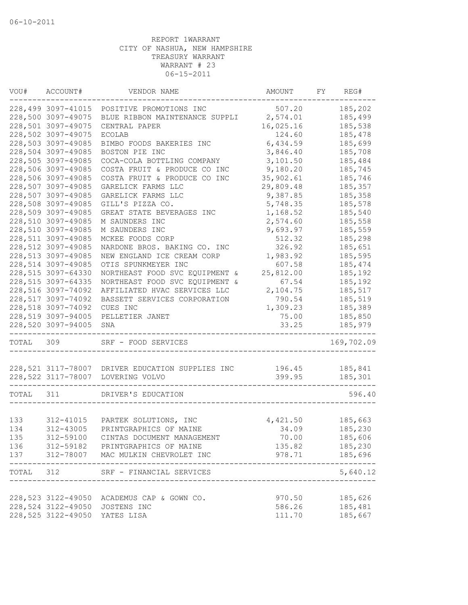| VOU#      | ACCOUNT#           | VENDOR NAME                                            | AMOUNT                            | FY | REG#                     |
|-----------|--------------------|--------------------------------------------------------|-----------------------------------|----|--------------------------|
|           | 228,499 3097-41015 | POSITIVE PROMOTIONS INC                                | 507.20                            |    | 185,202                  |
|           | 228,500 3097-49075 | BLUE RIBBON MAINTENANCE SUPPLI 2,574.01                |                                   |    | 185,499                  |
|           | 228,501 3097-49075 | CENTRAL PAPER                                          | 16,025.16                         |    | 185,538                  |
|           | 228,502 3097-49075 | <b>ECOLAB</b>                                          | 124.60                            |    | 185,478                  |
|           | 228,503 3097-49085 | BIMBO FOODS BAKERIES INC                               | 6,434.59                          |    | 185,699                  |
|           | 228,504 3097-49085 | BOSTON PIE INC                                         | 3,846.40                          |    | 185,708                  |
|           | 228,505 3097-49085 | COCA-COLA BOTTLING COMPANY                             | 3,101.50                          |    | 185,484                  |
|           | 228,506 3097-49085 | COSTA FRUIT & PRODUCE CO INC                           | 9,180.20                          |    | 185,745                  |
|           | 228,506 3097-49085 | COSTA FRUIT & PRODUCE CO INC                           | 35,902.61                         |    | 185,746                  |
|           | 228,507 3097-49085 | GARELICK FARMS LLC                                     | 29,809.48                         |    | 185,357                  |
|           | 228,507 3097-49085 | GARELICK FARMS LLC                                     | 9,387.85                          |    | 185,358                  |
|           | 228,508 3097-49085 | GILL'S PIZZA CO.                                       | 5,748.35                          |    | 185,578                  |
|           | 228,509 3097-49085 | GREAT STATE BEVERAGES INC                              | 1,168.52                          |    | 185,540                  |
|           | 228,510 3097-49085 | M SAUNDERS INC                                         | 2,574.60                          |    | 185,558                  |
|           | 228,510 3097-49085 | M SAUNDERS INC                                         | 9,693.97                          |    | 185,559                  |
|           | 228,511 3097-49085 | MCKEE FOODS CORP                                       | 512.32                            |    | 185,298                  |
|           | 228,512 3097-49085 | NARDONE BROS. BAKING CO. INC                           | 326.92                            |    | 185,651                  |
|           | 228,513 3097-49085 | NEW ENGLAND ICE CREAM CORP                             | 1,983.92                          |    | 185,595                  |
|           | 228,514 3097-49085 | OTIS SPUNKMEYER INC                                    | 607.58                            |    | 185,474                  |
|           | 228,515 3097-64330 | NORTHEAST FOOD SVC EQUIPMENT &                         | 25,812.00                         |    | 185,192                  |
|           | 228,515 3097-64335 | NORTHEAST FOOD SVC EQUIPMENT &                         | 67.54                             |    | 185,192                  |
|           | 228,516 3097-74092 | AFFILIATED HVAC SERVICES LLC                           | 2,104.75                          |    | 185,517                  |
|           | 228,517 3097-74092 | BASSETT SERVICES CORPORATION                           | 790.54                            |    | 185,519                  |
|           | 228,518 3097-74092 | CUES INC                                               | 1,309.23                          |    | 185,389                  |
|           | 228,519 3097-94005 | PELLETIER JANET                                        | 75.00                             |    | 185,850                  |
|           | 228,520 3097-94005 | SNA                                                    | 33.25                             |    | 185,979                  |
| TOTAL 309 |                    | _______________________________<br>SRF - FOOD SERVICES |                                   |    | 169,702.09               |
|           |                    | 228,521 3117-78007 DRIVER EDUCATION SUPPLIES INC       | 196.45                            |    | 185,841                  |
|           |                    | 228,522 3117-78007 LOVERING VOLVO                      | 399.95                            |    | 185,301                  |
|           |                    |                                                        |                                   |    |                          |
| TOTAL 311 |                    | DRIVER'S EDUCATION                                     |                                   |    | 596.40                   |
|           |                    |                                                        |                                   |    |                          |
| 133       | 312-41015          | PARTEK SOLUTIONS, INC                                  | 4,421.50                          |    | 185,663                  |
| 134       | 312-43005          | PRINTGRAPHICS OF MAINE                                 | 34.09                             |    | 185,230                  |
| 135       |                    | 312-59100 CINTAS DOCUMENT MANAGEMENT                   | 70.00                             |    | 185,606                  |
|           |                    | 136 312-59182 PRINTGRAPHICS OF MAINE                   | 135.82                            |    | 185,230                  |
|           | ------------       | 137 312-78007 MAC MULKIN CHEVROLET INC                 | 978.71                            |    | 185,696<br>------------- |
|           |                    | TOTAL 312 SRF - FINANCIAL SERVICES                     | _________________________________ |    | 5,640.12                 |
|           |                    | 228,523 3122-49050 ACADEMUS CAP & GOWN CO.             | 970.50                            |    | 185,626                  |
|           |                    | 228,524 3122-49050 JOSTENS INC                         | 586.26                            |    | 185,481                  |
|           |                    | 228,525 3122-49050 YATES LISA                          | 111.70                            |    | 185,667                  |
|           |                    |                                                        |                                   |    |                          |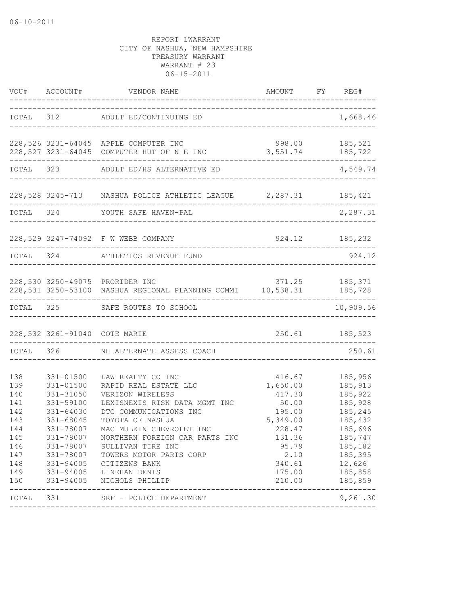|                                                                                         |                                                                                                                                             | VOU# ACCOUNT# VENDOR NAME                                                                                                                                                                                                                                                                                                            | AMOUNT FY REG#                                                                                                                 |                                                                                                                                            |
|-----------------------------------------------------------------------------------------|---------------------------------------------------------------------------------------------------------------------------------------------|--------------------------------------------------------------------------------------------------------------------------------------------------------------------------------------------------------------------------------------------------------------------------------------------------------------------------------------|--------------------------------------------------------------------------------------------------------------------------------|--------------------------------------------------------------------------------------------------------------------------------------------|
|                                                                                         |                                                                                                                                             | TOTAL 312 ADULT ED/CONTINUING ED                                                                                                                                                                                                                                                                                                     | ---------------------------------                                                                                              | 1,668.46                                                                                                                                   |
|                                                                                         |                                                                                                                                             | 228,526 3231-64045 APPLE COMPUTER INC<br>228,527 3231-64045 COMPUTER HUT OF N E INC                                                                                                                                                                                                                                                  | 998.00 185,521<br>3, 551.74 185, 722                                                                                           | -----------------                                                                                                                          |
|                                                                                         |                                                                                                                                             | TOTAL 323 ADULT ED/HS ALTERNATIVE ED                                                                                                                                                                                                                                                                                                 |                                                                                                                                | 4,549.74                                                                                                                                   |
|                                                                                         |                                                                                                                                             | 228,528 3245-713 NASHUA POLICE ATHLETIC LEAGUE 2,287.31 185,421                                                                                                                                                                                                                                                                      |                                                                                                                                |                                                                                                                                            |
|                                                                                         |                                                                                                                                             | TOTAL 324 YOUTH SAFE HAVEN-PAL                                                                                                                                                                                                                                                                                                       |                                                                                                                                | 2,287.31                                                                                                                                   |
|                                                                                         |                                                                                                                                             | 228,529 3247-74092 F W WEBB COMPANY                                                                                                                                                                                                                                                                                                  |                                                                                                                                | 924.12 185,232                                                                                                                             |
|                                                                                         |                                                                                                                                             | TOTAL 324 ATHLETICS REVENUE FUND                                                                                                                                                                                                                                                                                                     |                                                                                                                                | 924.12                                                                                                                                     |
|                                                                                         |                                                                                                                                             | 228,530 3250-49075 PRORIDER INC<br>228,531 3250-53100 NASHUA REGIONAL PLANNING COMMI 10,538.31 185,728                                                                                                                                                                                                                               |                                                                                                                                | 371.25 185,371                                                                                                                             |
|                                                                                         |                                                                                                                                             | TOTAL 325 SAFE ROUTES TO SCHOOL                                                                                                                                                                                                                                                                                                      |                                                                                                                                | ---------<br>10,909.56                                                                                                                     |
|                                                                                         |                                                                                                                                             | 228,532 3261-91040 COTE MARIE                                                                                                                                                                                                                                                                                                        |                                                                                                                                | 250.61 185,523                                                                                                                             |
|                                                                                         |                                                                                                                                             | TOTAL 326 NH ALTERNATE ASSESS COACH                                                                                                                                                                                                                                                                                                  |                                                                                                                                | 250.61                                                                                                                                     |
| 138<br>139<br>140<br>141<br>142<br>143<br>144<br>145<br>146<br>147<br>148<br>149<br>150 | 331-01500<br>331-01500<br>331-31050<br>331-59100<br>331-64030<br>331-68045<br>331-78007<br>331-78007<br>331-78007<br>331-94005<br>331-94005 | LAW REALTY CO INC<br>RAPID REAL ESTATE LLC<br>VERIZON WIRELESS<br>LEXISNEXIS RISK DATA MGMT INC<br>DTC COMMUNICATIONS INC<br>TOYOTA OF NASHUA<br>MAC MULKIN CHEVROLET INC<br>NORTHERN FOREIGN CAR PARTS INC<br>331-78007 SULLIVAN TIRE INC<br>TOWERS MOTOR PARTS CORP<br>CITIZENS BANK<br>331-94005 LINEHAN DENIS<br>NICHOLS PHILLIP | 416.67<br>1,650.00<br>417.30<br>50.00<br>195.00<br>5,349.00<br>228.47<br>131.36<br>95.79<br>2.10<br>340.61<br>175.00<br>210.00 | 185,956<br>185,913<br>185,922<br>185,928<br>185,245<br>185,432<br>185,696<br>185,747<br>185,182<br>185,395<br>12,626<br>185,858<br>185,859 |
|                                                                                         |                                                                                                                                             | TOTAL 331 SRF - POLICE DEPARTMENT                                                                                                                                                                                                                                                                                                    |                                                                                                                                | 9,261.30                                                                                                                                   |
|                                                                                         |                                                                                                                                             |                                                                                                                                                                                                                                                                                                                                      |                                                                                                                                |                                                                                                                                            |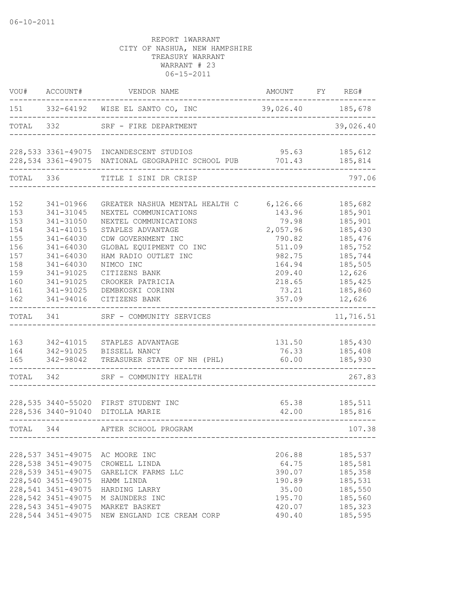|           | VOU# ACCOUNT#      | VENDOR NAME                                                                                | AMOUNT FY REG# |                |
|-----------|--------------------|--------------------------------------------------------------------------------------------|----------------|----------------|
|           |                    | 151 332-64192 WISE EL SANTO CO, INC 39,026.40 185,678<br>. _ _ _ _ _ _ _ _ _ _ _ _ _ _ _ _ |                | . <u>.</u> .   |
|           |                    | TOTAL 332 SRF - FIRE DEPARTMENT                                                            |                | 39,026.40      |
|           |                    | 228,533 3361-49075 INCANDESCENT STUDIOS                                                    | 95.63          | 185,612        |
|           |                    | 228,534 3361-49075 NATIONAL GEOGRAPHIC SCHOOL PUB 701.43 185,814                           |                |                |
|           | TOTAL 336          | TITLE I SINI DR CRISP                                                                      |                | 797.06         |
| 152       | 341-01966          | GREATER NASHUA MENTAL HEALTH C                                                             | 6,126.66       | 185,682        |
| 153       | 341-31045          | NEXTEL COMMUNICATIONS                                                                      | 143.96         | 185,901        |
| 153       | 341-31050          | NEXTEL COMMUNICATIONS                                                                      | 79.98          | 185,901        |
| 154       | 341-41015          | STAPLES ADVANTAGE                                                                          | 2,057.96       | 185,430        |
| 155       | $341 - 64030$      | CDW GOVERNMENT INC                                                                         | 790.82         | 185,476        |
| 156       | 341-64030          | GLOBAL EQUIPMENT CO INC                                                                    | 511.09         | 185,752        |
| 157       | 341-64030          | HAM RADIO OUTLET INC                                                                       | 982.75         | 185,744        |
| 158       | 341-64030          | NIMCO INC                                                                                  | 164.94         | 185,505        |
| 159       | 341-91025          | CITIZENS BANK                                                                              | 209.40         | 12,626         |
| 160       | 341-91025          | CROOKER PATRICIA                                                                           | 218.65         | 185,425        |
| 161       | 341-91025          | DEMBKOSKI CORINN                                                                           | 73.21          | 185,860        |
| 162       | 341-94016          | CITIZENS BANK                                                                              | 357.09         | 12,626         |
| TOTAL 341 |                    | SRF - COMMUNITY SERVICES                                                                   |                | 11,716.51      |
|           |                    |                                                                                            |                |                |
| 163       |                    | 342-41015 STAPLES ADVANTAGE                                                                |                | 131.50 185,430 |
|           |                    | 164 342-91025 BISSELL NANCY                                                                |                | 76.33 185,408  |
| 165       | 342-98042          | TREASURER STATE OF NH (PHL)                                                                |                | 60.00 185,930  |
|           | TOTAL 342          | SRF - COMMUNITY HEALTH                                                                     |                | 267.83         |
|           |                    |                                                                                            |                |                |
|           |                    | 228,535 3440-55020 FIRST STUDENT INC                                                       | 65.38          | 185,511        |
|           |                    | 228,536 3440-91040 DITOLLA MARIE                                                           | 42.00          | 185,816        |
| TOTAL 344 |                    | AFTER SCHOOL PROGRAM                                                                       |                | 107.38         |
|           |                    |                                                                                            |                |                |
|           | 228,537 3451-49075 | AC MOORE INC                                                                               | 206.88         | 185,537        |
|           | 228,538 3451-49075 | CROWELL LINDA                                                                              | 64.75          | 185,581        |
|           | 228,539 3451-49075 | GARELICK FARMS LLC                                                                         | 390.07         | 185,358        |
|           | 228,540 3451-49075 | HAMM LINDA                                                                                 | 190.89         | 185,531        |
|           | 228,541 3451-49075 | HARDING LARRY                                                                              | 35.00          | 185,550        |
|           | 228,542 3451-49075 | M SAUNDERS INC                                                                             | 195.70         | 185,560        |
|           | 228,543 3451-49075 | MARKET BASKET                                                                              | 420.07         | 185,323        |
|           | 228,544 3451-49075 | NEW ENGLAND ICE CREAM CORP                                                                 | 490.40         | 185,595        |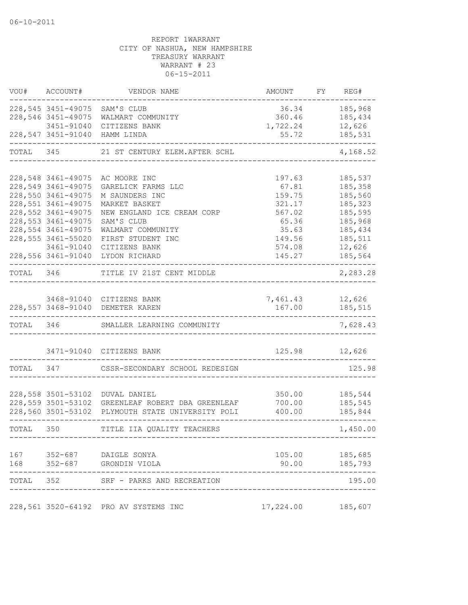| VOU#      | ACCOUNT#                                  | VENDOR NAME                                       | <b>AMOUNT</b>     | FY REG#        |
|-----------|-------------------------------------------|---------------------------------------------------|-------------------|----------------|
|           |                                           | 228,545 3451-49075 SAM'S CLUB                     |                   | 36.34 185,968  |
|           | 228,546 3451-49075                        | WALMART COMMUNITY                                 | 360.46            | 185,434        |
|           | 3451-91040                                | CITIZENS BANK                                     | 1,722.24          | 12,626         |
|           |                                           | 228,547 3451-91040 HAMM LINDA                     | 55.72             | 185,531        |
| TOTAL     | 345                                       | 21 ST CENTURY ELEM. AFTER SCHL                    |                   | 4,168.52       |
|           |                                           |                                                   |                   |                |
|           | 228,548 3461-49075                        | AC MOORE INC                                      | 197.63            | 185,537        |
|           | 228,549 3461-49075<br>228,550 3461-49075  | GARELICK FARMS LLC                                | 67.81             | 185,358        |
|           |                                           | M SAUNDERS INC                                    | 159.75            | 185,560        |
|           | 228,551 3461-49075                        | MARKET BASKET                                     | 321.17            | 185,323        |
|           | 228, 552 3461-49075                       | NEW ENGLAND ICE CREAM CORP                        | 567.02            | 185,595        |
|           | 228, 553 3461-49075                       | SAM'S CLUB                                        | 65.36             | 185,968        |
|           | 228, 554 3461-49075<br>228,555 3461-55020 | WALMART COMMUNITY                                 | 35.63             | 185,434        |
|           |                                           | FIRST STUDENT INC                                 | 149.56            | 185,511        |
|           | 3461-91040                                | CITIZENS BANK<br>228,556 3461-91040 LYDON RICHARD | 574.08            | 12,626         |
|           |                                           |                                                   | 145.27            | 185,564        |
| TOTAL 346 |                                           | TITLE IV 21ST CENT MIDDLE                         |                   | 2,283.28       |
|           |                                           |                                                   |                   |                |
|           |                                           | 3468-91040 CITIZENS BANK                          | 7,461.43          | 12,626         |
|           |                                           | 228,557 3468-91040 DEMETER KAREN                  | 167.00            | 185,515        |
| TOTAL 346 |                                           | SMALLER LEARNING COMMUNITY                        |                   | 7,628.43       |
|           | 3471-91040                                | CITIZENS BANK                                     |                   | 125.98 12,626  |
|           |                                           |                                                   |                   |                |
| TOTAL 347 |                                           | CSSR-SECONDARY SCHOOL REDESIGN                    |                   | 125.98         |
|           |                                           |                                                   |                   |                |
|           |                                           | 228,558 3501-53102 DUVAL DANIEL                   | 350.00            | 185,544        |
|           |                                           | 228,559 3501-53102 GREENLEAF ROBERT DBA GREENLEAF | 700.00            | 185,545        |
|           |                                           | 228,560 3501-53102 PLYMOUTH STATE UNIVERSITY POLI | 400.00            | 185,844        |
| TOTAL 350 |                                           | TITLE IIA QUALITY TEACHERS                        |                   | 1,450.00       |
|           |                                           | 167 352-687 DAIGLE SONYA                          |                   | 105.00 185,685 |
| 168       |                                           | 352-687 GRONDIN VIOLA                             | 90.00             | 185,793        |
| TOTAL     |                                           | 352 SRF - PARKS AND RECREATION                    |                   | 195.00         |
|           |                                           | 228,561 3520-64192 PRO AV SYSTEMS INC             | 17,224.00 185,607 |                |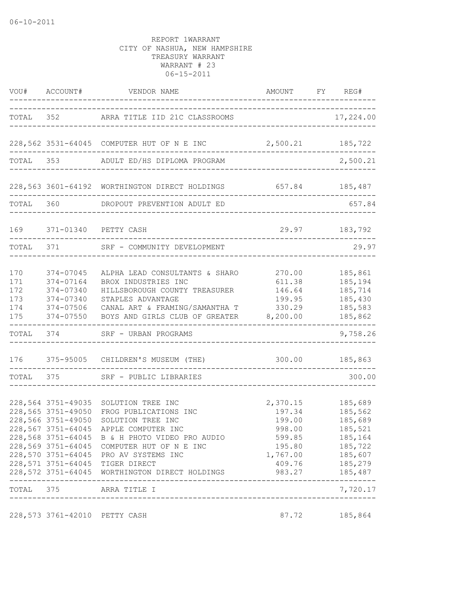|                                        |                                                                            | VOU# ACCOUNT# VENDOR NAME<br>------------------------------------                                                                                                                                                                                                                                                                      | AMOUNT FY REG#                                                                             |                                                                                                 |
|----------------------------------------|----------------------------------------------------------------------------|----------------------------------------------------------------------------------------------------------------------------------------------------------------------------------------------------------------------------------------------------------------------------------------------------------------------------------------|--------------------------------------------------------------------------------------------|-------------------------------------------------------------------------------------------------|
|                                        |                                                                            | TOTAL 352 ARRA TITLE IID 21C CLASSROOMS                                                                                                                                                                                                                                                                                                |                                                                                            | 17,224.00                                                                                       |
|                                        |                                                                            | 228,562 3531-64045 COMPUTER HUT OF N E INC                                                                                                                                                                                                                                                                                             | 2,500.21 185,722                                                                           |                                                                                                 |
|                                        |                                                                            | TOTAL 353 ADULT ED/HS DIPLOMA PROGRAM                                                                                                                                                                                                                                                                                                  |                                                                                            | . <u>_ _ _ _ _ _ _ _ _ _ _ _ _</u> _<br>2,500.21                                                |
|                                        |                                                                            | 228,563 3601-64192 WORTHINGTON DIRECT HOLDINGS 657.84 185,487                                                                                                                                                                                                                                                                          |                                                                                            |                                                                                                 |
|                                        |                                                                            | TOTAL 360 DROPOUT PREVENTION ADULT ED                                                                                                                                                                                                                                                                                                  |                                                                                            | 657.84                                                                                          |
| 169                                    |                                                                            | 371-01340 PETTY CASH                                                                                                                                                                                                                                                                                                                   |                                                                                            | 29.97 183,792                                                                                   |
|                                        | TOTAL 371                                                                  | SRF - COMMUNITY DEVELOPMENT                                                                                                                                                                                                                                                                                                            |                                                                                            | 29.97                                                                                           |
| 170<br>171<br>172<br>173<br>174<br>175 | 374-07045<br>374-07164<br>374-07340<br>374-07340<br>374-07506<br>374-07550 | ALPHA LEAD CONSULTANTS & SHARO<br>BROX INDUSTRIES INC<br>HILLSBOROUGH COUNTY TREASURER<br>STAPLES ADVANTAGE<br>CANAL ART & FRAMING/SAMANTHA T<br>BOYS AND GIRLS CLUB OF GREATER 8,200.00                                                                                                                                               | 270.00<br>611.38<br>146.64<br>199.95<br>330.29                                             | 185,861<br>185,194<br>185,714<br>185,430<br>185,583<br>185,862                                  |
|                                        |                                                                            | TOTAL 374 SRF - URBAN PROGRAMS                                                                                                                                                                                                                                                                                                         |                                                                                            | 9,758.26                                                                                        |
|                                        |                                                                            | 176 375-95005 CHILDREN'S MUSEUM (THE) 300.00 185,863                                                                                                                                                                                                                                                                                   |                                                                                            |                                                                                                 |
|                                        |                                                                            | TOTAL 375 SRF - PUBLIC LIBRARIES                                                                                                                                                                                                                                                                                                       |                                                                                            | 300.00                                                                                          |
|                                        | 228,564 3751-49035<br>228,565 3751-49050<br>228,566 3751-49050             | SOLUTION TREE INC<br>FROG PUBLICATIONS INC<br>SOLUTION TREE INC<br>228,567 3751-64045 APPLE COMPUTER INC<br>228,568 3751-64045 B & H PHOTO VIDEO PRO AUDIO<br>228,569 3751-64045 COMPUTER HUT OF N E INC<br>228,570 3751-64045 PRO AV SYSTEMS INC<br>228,571 3751-64045 TIGER DIRECT<br>228,572 3751-64045 WORTHINGTON DIRECT HOLDINGS | 2,370.15<br>197.34<br>199.00<br>998.00<br>599.85<br>195.80<br>1,767.00<br>409.76<br>983.27 | 185,689<br>185,562<br>185,689<br>185,521<br>185,164<br>185,722<br>185,607<br>185,279<br>185,487 |
| TOTAL 375                              | -----------                                                                | ARRA TITLE I                                                                                                                                                                                                                                                                                                                           |                                                                                            | 7,720.17                                                                                        |
|                                        | 228,573 3761-42010 PETTY CASH                                              |                                                                                                                                                                                                                                                                                                                                        | 87.72                                                                                      | 185,864                                                                                         |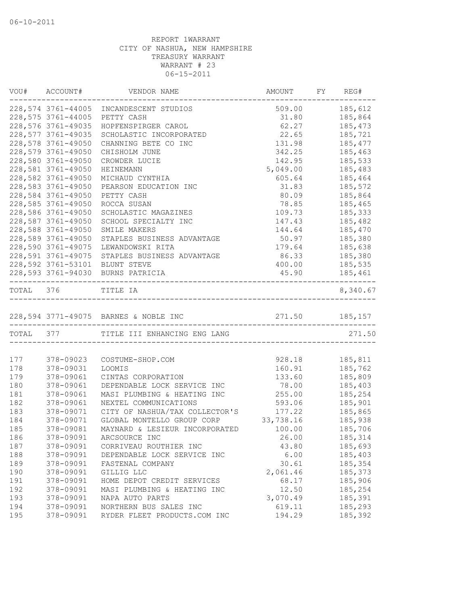|           | VOU# ACCOUNT#      | VENDOR NAME                             | AMOUNT FY REG# |                |
|-----------|--------------------|-----------------------------------------|----------------|----------------|
|           |                    | 228,574 3761-44005 INCANDESCENT STUDIOS |                | 509.00 185,612 |
|           | 228,575 3761-44005 | PETTY CASH                              | 31.80          | 185,864        |
|           | 228,576 3761-49035 | HOPFENSPIRGER CAROL                     | 62.27          | 185,473        |
|           | 228,577 3761-49035 | SCHOLASTIC INCORPORATED                 | 22.65          | 185,721        |
|           | 228,578 3761-49050 | CHANNING BETE CO INC                    | 131.98         | 185,477        |
|           | 228,579 3761-49050 | CHISHOLM JUNE                           | 342.25         | 185,463        |
|           | 228,580 3761-49050 | CROWDER LUCIE                           | 142.95         | 185,533        |
|           | 228,581 3761-49050 | HEINEMANN                               | 5,049.00       | 185,483        |
|           | 228,582 3761-49050 | MICHAUD CYNTHIA                         | 605.64         | 185,464        |
|           | 228,583 3761-49050 | PEARSON EDUCATION INC                   | 31.83          | 185,572        |
|           | 228,584 3761-49050 | PETTY CASH                              | 80.09          | 185,864        |
|           | 228,585 3761-49050 | ROCCA SUSAN                             | 78.85          | 185,465        |
|           | 228,586 3761-49050 | SCHOLASTIC MAGAZINES                    | 109.73         | 185,333        |
|           | 228,587 3761-49050 | SCHOOL SPECIALTY INC                    | 147.43         | 185,482        |
|           | 228,588 3761-49050 | SMILE MAKERS                            | 144.64         | 185,470        |
|           | 228,589 3761-49050 | STAPLES BUSINESS ADVANTAGE              | 50.97          | 185,380        |
|           | 228,590 3761-49075 | LEWANDOWSKI RITA                        | 179.64         | 185,638        |
|           | 228,591 3761-49075 | STAPLES BUSINESS ADVANTAGE              | 86.33          | 185,380        |
|           |                    | 228,592 3761-53101 BLUNT STEVE          |                | 400.00 185,535 |
|           |                    | 228,593 3761-94030 BURNS PATRICIA       |                | 45.90 185,461  |
| TOTAL 376 |                    | TITLE IA                                |                | 8,340.67       |
|           |                    |                                         |                |                |
|           |                    | TOTAL 377 TITLE III ENHANCING ENG LANG  |                | 271.50         |
|           |                    |                                         |                |                |
| 177       | 378-09023          | COSTUME-SHOP.COM                        | 928.18         | 185,811        |
| 178       | 378-09031          | LOOMIS                                  | 160.91         | 185,762        |
| 179       | 378-09061          | CINTAS CORPORATION                      | 133.60         | 185,809        |
| 180       | 378-09061          | DEPENDABLE LOCK SERVICE INC             | 78.00          | 185,403        |
| 181       | 378-09061          | MASI PLUMBING & HEATING INC             | 255.00         | 185,254        |
| 182       | 378-09061          | NEXTEL COMMUNICATIONS                   | 593.06         | 185,901        |
| 183       | 378-09071          | CITY OF NASHUA/TAX COLLECTOR'S          | 177.22         | 185,865        |
| 184       | 378-09071          | GLOBAL MONTELLO GROUP CORP              | 33,738.16      | 185,938        |
| 185       | 378-09081          | MAYNARD & LESIEUR INCORPORATED          | 100.00         | 185,706        |
| 186       | 378-09091          | ARCSOURCE INC                           | 26.00          | 185, 314       |
| 187       | 378-09091          | CORRIVEAU ROUTHIER INC                  | 43.80          | 185,693        |
| 188       | 378-09091          | DEPENDABLE LOCK SERVICE INC             | 6.00           | 185,403        |
| 189       | 378-09091          | FASTENAL COMPANY                        | 30.61          | 185,354        |
| 190       | 378-09091          | GILLIG LLC                              | 2,061.46       | 185,373        |
| 191       | 378-09091          | HOME DEPOT CREDIT SERVICES              | 68.17          | 185,906        |
| 192       | 378-09091          | MASI PLUMBING & HEATING INC             | 12.50          | 185,254        |
| 193       | 378-09091          | NAPA AUTO PARTS                         | 3,070.49       | 185,391        |
| 194       | 378-09091          | NORTHERN BUS SALES INC                  | 619.11         | 185,293        |
| 195       | 378-09091          | RYDER FLEET PRODUCTS.COM INC            | 194.29         | 185,392        |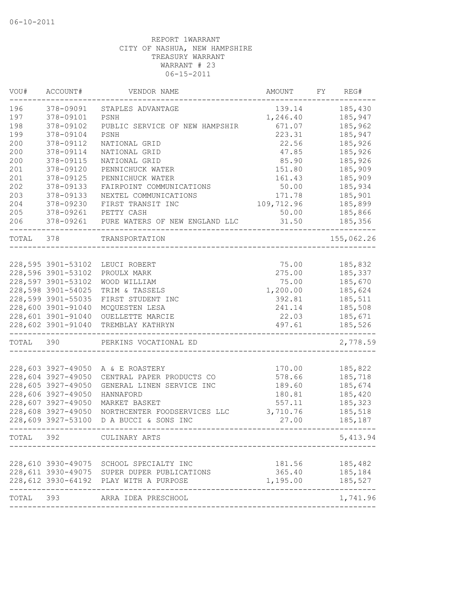| VOU#  | ACCOUNT#           | VENDOR NAME                            | AMOUNT     | FY | REG#       |
|-------|--------------------|----------------------------------------|------------|----|------------|
| 196   | 378-09091          | STAPLES ADVANTAGE                      | 139.14     |    | 185,430    |
| 197   | 378-09101          | PSNH                                   | 1,246.40   |    | 185,947    |
| 198   | 378-09102          | PUBLIC SERVICE OF NEW HAMPSHIR         | 671.07     |    | 185,962    |
| 199   | 378-09104          | PSNH                                   | 223.31     |    | 185,947    |
| 200   | 378-09112          | NATIONAL GRID                          | 22.56      |    | 185,926    |
| 200   | 378-09114          | NATIONAL GRID                          | 47.85      |    | 185,926    |
| 200   | 378-09115          | NATIONAL GRID                          | 85.90      |    | 185,926    |
| 201   | 378-09120          | PENNICHUCK WATER                       | 151.80     |    | 185,909    |
| 201   | 378-09125          | PENNICHUCK WATER                       | 161.43     |    | 185,909    |
| 202   | 378-09133          | FAIRPOINT COMMUNICATIONS               | 50.00      |    | 185,934    |
| 203   | 378-09133          | NEXTEL COMMUNICATIONS                  | 171.78     |    | 185,901    |
| 204   | 378-09230          | FIRST TRANSIT INC                      | 109,712.96 |    | 185,899    |
| 205   | 378-09261          | PETTY CASH                             | 50.00      |    | 185,866    |
| 206   | 378-09261          | PURE WATERS OF NEW ENGLAND LLC         | 31.50      |    | 185,356    |
| TOTAL | 378                | TRANSPORTATION                         |            |    | 155,062.26 |
|       |                    |                                        |            |    |            |
|       | 228,595 3901-53102 | LEUCI ROBERT                           | 75.00      |    | 185,832    |
|       | 228,596 3901-53102 | PROULX MARK                            | 275.00     |    | 185,337    |
|       | 228,597 3901-53102 | WOOD WILLIAM                           | 75.00      |    | 185,670    |
|       | 228,598 3901-54025 | TRIM & TASSELS                         | 1,200.00   |    | 185,624    |
|       | 228,599 3901-55035 | FIRST STUDENT INC                      | 392.81     |    | 185,511    |
|       | 228,600 3901-91040 | MCQUESTEN LESA                         | 241.14     |    | 185,508    |
|       | 228,601 3901-91040 | OUELLETTE MARCIE                       | 22.03      |    | 185,671    |
|       | 228,602 3901-91040 | TREMBLAY KATHRYN                       | 497.61     |    | 185,526    |
| TOTAL | 390                | PERKINS VOCATIONAL ED                  |            |    | 2,778.59   |
|       |                    |                                        |            |    |            |
|       | 228,603 3927-49050 | A & E ROASTERY                         | 170.00     |    | 185,822    |
|       | 228,604 3927-49050 | CENTRAL PAPER PRODUCTS CO              | 578.66     |    | 185,718    |
|       | 228,605 3927-49050 | GENERAL LINEN SERVICE INC              | 189.60     |    | 185,674    |
|       | 228,606 3927-49050 | HANNAFORD                              | 180.81     |    | 185,420    |
|       | 228,607 3927-49050 | MARKET BASKET                          | 557.11     |    | 185,323    |
|       | 228,608 3927-49050 | NORTHCENTER FOODSERVICES LLC           | 3,710.76   |    | 185,518    |
|       | 228,609 3927-53100 | D A BUCCI & SONS INC                   | 27.00      |    | 185,187    |
| TOTAL | 392                | CULINARY ARTS                          |            |    | 5, 413.94  |
|       |                    |                                        |            |    |            |
|       | 228,610 3930-49075 | SCHOOL SPECIALTY INC                   | 181.56     |    | 185,482    |
|       | 228,611 3930-49075 | SUPER DUPER PUBLICATIONS               | 365.40     |    | 185,184    |
|       |                    | 228,612 3930-64192 PLAY WITH A PURPOSE | 1,195.00   |    | 185,527    |
| TOTAL | 393                | ARRA IDEA PRESCHOOL                    |            |    | 1,741.96   |
|       |                    |                                        |            |    |            |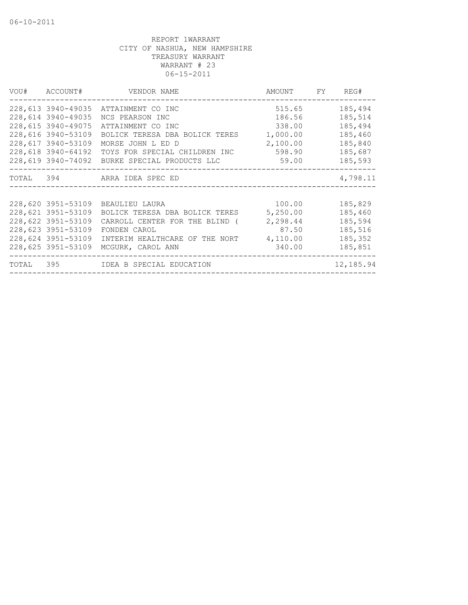|       | VOU# ACCOUNT#                                                                                                                    | VENDOR NAME                                                                                                                                                                                        | AMOUNT FY                                                             | REG#                                                                      |
|-------|----------------------------------------------------------------------------------------------------------------------------------|----------------------------------------------------------------------------------------------------------------------------------------------------------------------------------------------------|-----------------------------------------------------------------------|---------------------------------------------------------------------------|
|       | 228,613 3940-49035<br>228,614 3940-49035<br>228,615 3940-49075<br>228,616 3940-53109<br>228,617 3940-53109<br>228,618 3940-64192 | ATTAINMENT CO INC<br>NCS PEARSON INC<br>ATTAINMENT CO INC<br>BOLICK TERESA DBA BOLICK TERES<br>MORSE JOHN L ED D<br>TOYS FOR SPECIAL CHILDREN INC<br>228,619 3940-74092 BURKE SPECIAL PRODUCTS LLC | 515.65<br>186.56<br>338.00<br>1,000.00<br>2,100.00<br>598.90<br>59.00 | 185,494<br>185,514<br>185,494<br>185,460<br>185,840<br>185,687<br>185,593 |
|       |                                                                                                                                  | TOTAL 394 ARRA IDEA SPEC ED                                                                                                                                                                        |                                                                       | 4,798.11                                                                  |
|       | 228,620 3951-53109<br>228,621 3951-53109<br>228,622 3951-53109<br>228,623 3951-53109<br>228,624 3951-53109<br>228,625 3951-53109 | BEAULIEU LAURA<br>BOLICK TERESA DBA BOLICK TERES<br>CARROLL CENTER FOR THE BLIND (<br>FONDEN CAROL<br>INTERIM HEALTHCARE OF THE NORT<br>MCGURK, CAROL ANN                                          | 100.00<br>5,250.00<br>2,298.44<br>87.50<br>4,110.00<br>340.00         | 185,829<br>185,460<br>185,594<br>185,516<br>185,352<br>185,851            |
| TOTAL |                                                                                                                                  |                                                                                                                                                                                                    |                                                                       | 12,185.94                                                                 |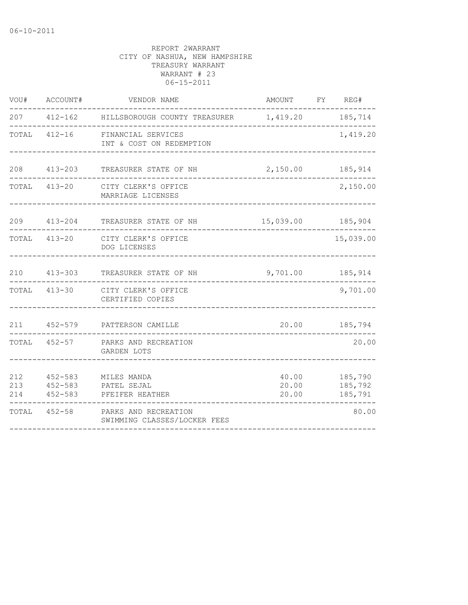| VOU#  | ACCOUNT#     | VENDOR NAME                                                                       | AMOUNT FY REG# |                                           |
|-------|--------------|-----------------------------------------------------------------------------------|----------------|-------------------------------------------|
|       |              | 207  412-162  HILLSBOROUGH COUNTY TREASURER  1,419.20  185,714                    |                |                                           |
| TOTAL |              | 412-16 FINANCIAL SERVICES<br>INT & COST ON REDEMPTION                             |                | 1,419.20                                  |
| 208   | 413-203      | TREASURER STATE OF NH                                                             | 2,150.00       | 185,914                                   |
| TOTAL |              | 413-20 CITY CLERK'S OFFICE<br>MARRIAGE LICENSES                                   |                | 2,150.00                                  |
|       | 209 413-204  | TREASURER STATE OF NH                                                             |                | 15,039.00 185,904                         |
|       | TOTAL 413-20 | CITY CLERK'S OFFICE<br>DOG LICENSES                                               |                | 15,039.00                                 |
|       | 210 413-303  | TREASURER STATE OF NH                                                             |                | 9,701.00 185,914                          |
|       |              | TOTAL 413-30 CITY CLERK'S OFFICE<br>CERTIFIED COPIES                              |                | 9,701.00                                  |
|       |              | 211 452-579 PATTERSON CAMILLE                                                     |                | 20.00 185,794                             |
|       |              | TOTAL 452-57 PARKS AND RECREATION<br>GARDEN LOTS                                  |                | 20.00                                     |
| 212   |              | 452-583 MILES MANDA<br>213   452-583   PATEL SEJAL<br>214 452-583 PFEIFER HEATHER | 20.00          | 40.00 185,790<br>20.00 185,792<br>185,791 |
| TOTAL |              | 452-58 PARKS AND RECREATION<br>SWIMMING CLASSES/LOCKER FEES                       |                | 80.00                                     |
|       |              |                                                                                   |                |                                           |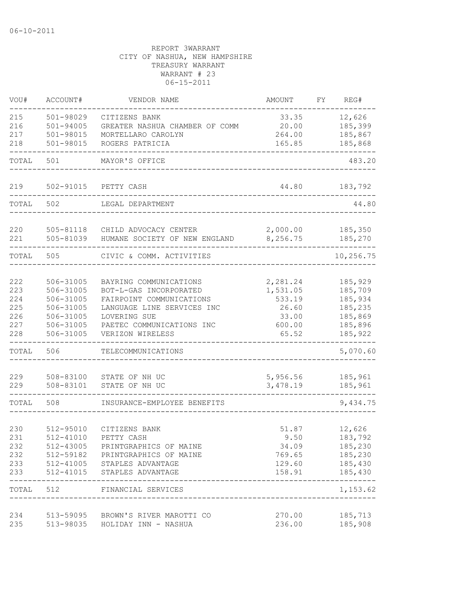| VOU#                                          | ACCOUNT#                                                                                | VENDOR NAME                                                                                                                                                                 | AMOUNT                                                              | FY | REG#                                                                           |
|-----------------------------------------------|-----------------------------------------------------------------------------------------|-----------------------------------------------------------------------------------------------------------------------------------------------------------------------------|---------------------------------------------------------------------|----|--------------------------------------------------------------------------------|
| 215<br>216<br>217<br>218                      | 501-98029<br>$501 - 94005$<br>501-98015<br>501-98015                                    | CITIZENS BANK<br>GREATER NASHUA CHAMBER OF COMM<br>MORTELLARO CAROLYN<br>ROGERS PATRICIA                                                                                    | 33.35<br>20.00<br>264.00<br>165.85                                  |    | 12,626<br>185,399<br>185,867<br>185,868                                        |
| TOTAL                                         | 501                                                                                     | MAYOR'S OFFICE                                                                                                                                                              |                                                                     |    | 483.20                                                                         |
|                                               |                                                                                         |                                                                                                                                                                             |                                                                     |    |                                                                                |
| 219                                           | 502-91015                                                                               | PETTY CASH                                                                                                                                                                  | 44.80                                                               |    | 183,792                                                                        |
| TOTAL                                         | 502                                                                                     | LEGAL DEPARTMENT                                                                                                                                                            |                                                                     |    | 44.80                                                                          |
| 220<br>221                                    | 505-81118<br>505-81039                                                                  | CHILD ADVOCACY CENTER<br>HUMANE SOCIETY OF NEW ENGLAND                                                                                                                      | 2,000.00<br>8,256.75                                                |    | 185,350<br>185,270                                                             |
| TOTAL                                         | 505                                                                                     | CIVIC & COMM. ACTIVITIES                                                                                                                                                    |                                                                     |    | 10,256.75                                                                      |
| 222<br>223<br>224<br>225<br>226<br>227<br>228 | 506-31005<br>506-31005<br>506-31005<br>506-31005<br>506-31005<br>506-31005<br>506-31005 | BAYRING COMMUNICATIONS<br>BOT-L-GAS INCORPORATED<br>FAIRPOINT COMMUNICATIONS<br>LANGUAGE LINE SERVICES INC<br>LOVERING SUE<br>PAETEC COMMUNICATIONS INC<br>VERIZON WIRELESS | 2,281.24<br>1,531.05<br>533.19<br>26.60<br>33.00<br>600.00<br>65.52 |    | 185,929<br>185,709<br>185,934<br>185,235<br>185,869<br>185,896<br>185,922      |
| TOTAL                                         | 506                                                                                     | TELECOMMUNICATIONS                                                                                                                                                          |                                                                     |    | 5,070.60                                                                       |
| 229<br>229                                    | 508-83100<br>508-83101                                                                  | STATE OF NH UC<br>STATE OF NH UC                                                                                                                                            | 5,956.56<br>3,478.19                                                |    | 185,961<br>185,961                                                             |
| TOTAL                                         | 508                                                                                     | INSURANCE-EMPLOYEE BENEFITS                                                                                                                                                 |                                                                     |    | 9,434.75                                                                       |
| 230<br>231<br>232<br>232<br>233<br>233        | 512-95010<br>512-41010<br>512-43005<br>512-59182<br>512-41005<br>512-41015              | CITIZENS BANK<br>PETTY CASH<br>PRINTGRAPHICS OF MAINE<br>PRINTGRAPHICS OF MAINE<br>STAPLES ADVANTAGE<br>STAPLES ADVANTAGE                                                   | 51.87<br>9.50<br>34.09<br>769.65<br>129.60<br>158.91                |    | 12,626<br>183,792<br>185,230<br>185,230<br>185,430<br>185,430<br>------------- |
|                                               |                                                                                         | TOTAL 512 FINANCIAL SERVICES                                                                                                                                                |                                                                     |    | 1,153.62                                                                       |
| 234<br>235                                    | 513-98035                                                                               | 513-59095 BROWN'S RIVER MAROTTI CO<br>HOLIDAY INN - NASHUA                                                                                                                  | 270.00<br>236.00                                                    |    | 185,713<br>185,908                                                             |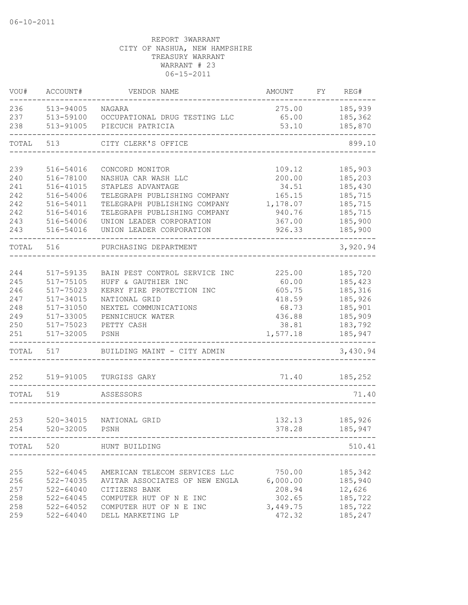| VOU#  | ACCOUNT#      | VENDOR NAME                    | AMOUNT   | FY | REG#     |
|-------|---------------|--------------------------------|----------|----|----------|
| 236   | 513-94005     | NAGARA                         | 275.00   |    | 185,939  |
| 237   | 513-59100     | OCCUPATIONAL DRUG TESTING LLC  | 65.00    |    | 185,362  |
| 238   | 513-91005     | PIECUCH PATRICIA               | 53.10    |    | 185,870  |
| TOTAL | 513           | CITY CLERK'S OFFICE            |          |    | 899.10   |
|       |               |                                |          |    |          |
| 239   | 516-54016     | CONCORD MONITOR                | 109.12   |    | 185,903  |
| 240   | 516-78100     | NASHUA CAR WASH LLC            | 200.00   |    | 185,203  |
| 241   | 516-41015     | STAPLES ADVANTAGE              | 34.51    |    | 185,430  |
| 242   | 516-54006     | TELEGRAPH PUBLISHING COMPANY   | 165.15   |    | 185,715  |
| 242   | 516-54011     | TELEGRAPH PUBLISHING COMPANY   | 1,178.07 |    | 185,715  |
| 242   | 516-54016     | TELEGRAPH PUBLISHING COMPANY   | 940.76   |    | 185,715  |
| 243   | 516-54006     | UNION LEADER CORPORATION       | 367.00   |    | 185,900  |
| 243   | 516-54016     | UNION LEADER CORPORATION       | 926.33   |    | 185,900  |
| TOTAL | 516           | PURCHASING DEPARTMENT          |          |    | 3,920.94 |
|       |               |                                |          |    |          |
| 244   | 517-59135     | BAIN PEST CONTROL SERVICE INC  | 225.00   |    | 185,720  |
| 245   | $517 - 75105$ | HUFF & GAUTHIER INC            | 60.00    |    | 185,423  |
| 246   | 517-75023     | KERRY FIRE PROTECTION INC      | 605.75   |    | 185,316  |
| 247   | 517-34015     | NATIONAL GRID                  | 418.59   |    | 185,926  |
| 248   | 517-31050     | NEXTEL COMMUNICATIONS          | 68.73    |    | 185,901  |
| 249   | 517-33005     | PENNICHUCK WATER               | 436.88   |    | 185,909  |
| 250   | 517-75023     | PETTY CASH                     | 38.81    |    | 183,792  |
| 251   | 517-32005     | PSNH                           | 1,577.18 |    | 185,947  |
| TOTAL | 517           | BUILDING MAINT - CITY ADMIN    |          |    | 3,430.94 |
|       |               |                                |          |    |          |
| 252   | 519-91005     | TURGISS GARY                   | 71.40    |    | 185,252  |
| TOTAL | 519           | ASSESSORS                      |          |    | 71.40    |
|       |               |                                |          |    |          |
| 253   | $520 - 34015$ | NATIONAL GRID                  | 132.13   |    | 185,926  |
| 254   | 520-32005     | PSNH                           | 378.28   |    | 185,947  |
|       |               | TOTAL 520 HUNT BUILDING        |          |    | 510.41   |
|       | -----------   |                                |          |    |          |
| 255   | 522-64045     | AMERICAN TELECOM SERVICES LLC  | 750.00   |    | 185,342  |
| 256   | $522 - 74035$ | AVITAR ASSOCIATES OF NEW ENGLA | 6,000.00 |    | 185,940  |
| 257   | $522 - 64040$ | CITIZENS BANK                  | 208.94   |    | 12,626   |
| 258   | 522-64045     | COMPUTER HUT OF N E INC        | 302.65   |    | 185,722  |
| 258   | 522-64052     | COMPUTER HUT OF N E INC        | 3,449.75 |    | 185,722  |
| 259   |               | 522-64040 DELL MARKETING LP    | 472.32   |    | 185,247  |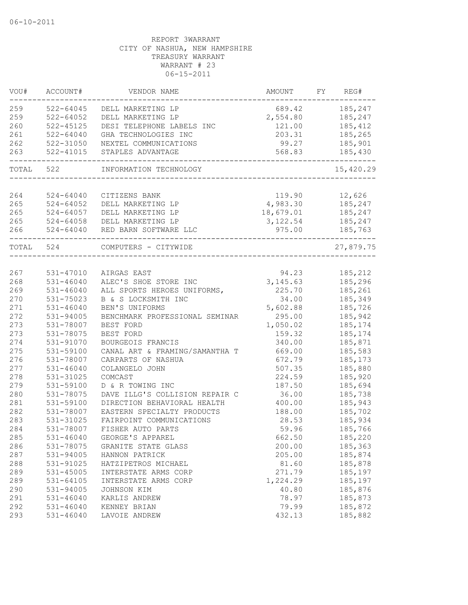| VOU#      | ACCOUNT#                          | VENDOR NAME                        | AMOUNT                 | FY | REG#      |
|-----------|-----------------------------------|------------------------------------|------------------------|----|-----------|
| 259       | $522 - 64045$                     | DELL MARKETING LP                  | 689.42                 |    | 185,247   |
| 259       | $522 - 64052$                     | DELL MARKETING LP                  | 2,554.80               |    | 185,247   |
| 260       | 522-45125                         | DESI TELEPHONE LABELS INC          | 121.00                 |    | 185,412   |
| 261       | $522 - 64040$                     | GHA TECHNOLOGIES INC               | 203.31                 |    | 185,265   |
| 262       | 522-31050                         | NEXTEL COMMUNICATIONS              | 99.27                  |    | 185,901   |
| 263       | 522-41015<br>-------------------- | STAPLES ADVANTAGE<br>_____________ | 568.83<br>____________ |    | 185,430   |
| TOTAL     | 522                               | INFORMATION TECHNOLOGY             |                        |    | 15,420.29 |
|           |                                   |                                    |                        |    |           |
| 264       | $524 - 64040$                     | CITIZENS BANK                      | 119.90                 |    | 12,626    |
| 265       | $524 - 64052$                     | DELL MARKETING LP                  | 4,983.30 185,247       |    |           |
| 265       | 524-64057                         | DELL MARKETING LP                  | 18,679.01              |    | 185,247   |
| 265       | 524-64058                         | DELL MARKETING LP                  | 3,122.54               |    | 185,247   |
| 266       | $524 - 64040$                     | RED BARN SOFTWARE LLC              | 975.00                 |    | 185,763   |
| TOTAL 524 |                                   | COMPUTERS - CITYWIDE               |                        |    | 27,879.75 |
|           |                                   |                                    |                        |    |           |
| 267       | 531-47010                         | AIRGAS EAST                        | 94.23                  |    | 185,212   |
| 268       | 531-46040                         | ALEC'S SHOE STORE INC              | 3, 145.63              |    | 185,296   |
| 269       | $531 - 46040$                     | ALL SPORTS HEROES UNIFORMS,        | 225.70                 |    | 185,261   |
| 270       | 531-75023                         | B & S LOCKSMITH INC                | 34.00                  |    | 185,349   |
| 271       | $531 - 46040$                     | BEN'S UNIFORMS                     | 5,602.88               |    | 185,726   |
| 272       | 531-94005                         | BENCHMARK PROFESSIONAL SEMINAR     | 295.00                 |    | 185,942   |
| 273       | 531-78007                         | BEST FORD                          | 1,050.02               |    | 185,174   |
| 273       | 531-78075                         | BEST FORD                          | 159.32                 |    | 185,174   |
| 274       | 531-91070                         | BOURGEOIS FRANCIS                  | 340.00                 |    | 185,871   |
| 275       | 531-59100                         | CANAL ART & FRAMING/SAMANTHA T     | 669.00                 |    | 185,583   |
| 276       | 531-78007                         | CARPARTS OF NASHUA                 | 672.79                 |    | 185, 173  |
| 277       | $531 - 46040$                     | COLANGELO JOHN                     | 507.35                 |    | 185,880   |
| 278       | 531-31025                         | COMCAST                            | 224.59                 |    | 185,920   |
| 279       | 531-59100                         | D & R TOWING INC                   | 187.50                 |    | 185,694   |
| 280       | 531-78075                         | DAVE ILLG'S COLLISION REPAIR C     | 36.00                  |    | 185,738   |
| 281       | 531-59100                         | DIRECTION BEHAVIORAL HEALTH        | 400.00                 |    | 185,943   |
| 282       | 531-78007                         | EASTERN SPECIALTY PRODUCTS         | 188.00                 |    | 185,702   |
| 283       | 531-31025                         | FAIRPOINT COMMUNICATIONS           | 28.53                  |    | 185,934   |
| 284       | 531-78007                         | FISHER AUTO PARTS                  | 59.96                  |    | 185,766   |
| 285       | $531 - 46040$                     | GEORGE'S APPAREL                   | 662.50                 |    | 185,220   |
| 286       | 531-78075                         | GRANITE STATE GLASS                | 200.00                 |    | 185,363   |
| 287       | 531-94005                         | HANNON PATRICK                     | 205.00                 |    | 185,874   |
| 288       | 531-91025                         | HATZIPETROS MICHAEL                | 81.60                  |    | 185,878   |
| 289       | $531 - 45005$                     | INTERSTATE ARMS CORP               | 271.79                 |    | 185,197   |
| 289       | 531-64105                         | INTERSTATE ARMS CORP               | 1,224.29               |    | 185,197   |
| 290       | 531-94005                         | JOHNSON KIM                        | 40.80                  |    | 185,876   |
| 291       | 531-46040                         | KARLIS ANDREW                      | 78.97                  |    | 185,873   |
| 292       | $531 - 46040$                     | KENNEY BRIAN                       | 79.99                  |    | 185,872   |
| 293       | $531 - 46040$                     | LAVOIE ANDREW                      | 432.13                 |    | 185,882   |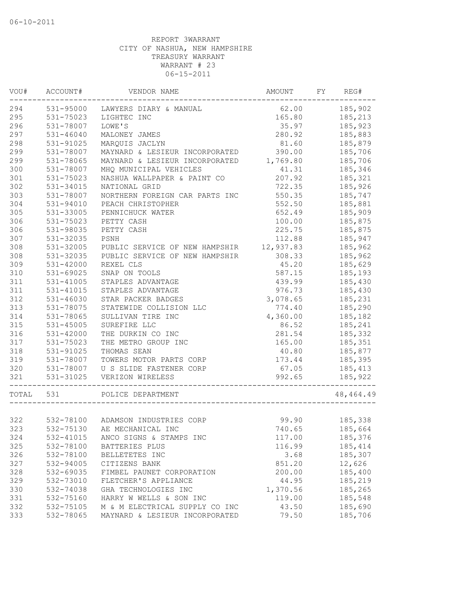| VOU#      | ACCOUNT#      | VENDOR NAME                        | AMOUNT    | FY | REG#        |
|-----------|---------------|------------------------------------|-----------|----|-------------|
| 294       |               | 531-95000 LAWYERS DIARY & MANUAL   | 62.00     |    | 185,902     |
| 295       | 531-75023     | LIGHTEC INC                        | 165.80    |    | 185,213     |
| 296       | 531-78007     | LOWE'S                             | 35.97     |    | 185,923     |
| 297       | 531-46040     | MALONEY JAMES                      | 280.92    |    | 185,883     |
| 298       | 531-91025     | MARQUIS JACLYN                     | 81.60     |    | 185,879     |
| 299       | 531-78007     | MAYNARD & LESIEUR INCORPORATED     | 390.00    |    | 185,706     |
| 299       | 531-78065     | MAYNARD & LESIEUR INCORPORATED     | 1,769.80  |    | 185,706     |
| 300       | 531-78007     | MHQ MUNICIPAL VEHICLES             | 41.31     |    | 185,346     |
| 301       | 531-75023     | NASHUA WALLPAPER & PAINT CO        | 207.92    |    | 185,321     |
| 302       | 531-34015     | NATIONAL GRID                      | 722.35    |    | 185,926     |
| 303       | 531-78007     | NORTHERN FOREIGN CAR PARTS INC     | 550.35    |    | 185,747     |
| 304       | 531-94010     | PEACH CHRISTOPHER                  | 552.50    |    | 185,881     |
| 305       | 531-33005     | PENNICHUCK WATER                   | 652.49    |    | 185,909     |
| 306       | 531-75023     | PETTY CASH                         | 100.00    |    | 185,875     |
| 306       | 531-98035     | PETTY CASH                         | 225.75    |    | 185,875     |
| 307       | 531-32035     | PSNH                               | 112.88    |    | 185,947     |
| 308       | 531-32005     | PUBLIC SERVICE OF NEW HAMPSHIR     | 12,937.83 |    | 185,962     |
| 308       | 531-32035     | PUBLIC SERVICE OF NEW HAMPSHIR     | 308.33    |    | 185,962     |
| 309       | 531-42000     | REXEL CLS                          | 45.20     |    | 185,629     |
| 310       | 531-69025     | SNAP ON TOOLS                      | 587.15    |    | 185,193     |
| 311       | 531-41005     | STAPLES ADVANTAGE                  | 439.99    |    | 185,430     |
| 311       | 531-41015     | STAPLES ADVANTAGE                  | 976.73    |    | 185,430     |
| 312       | 531-46030     | STAR PACKER BADGES                 | 3,078.65  |    | 185,231     |
| 313       | 531-78075     | STATEWIDE COLLISION LLC            | 774.40    |    | 185,290     |
| 314       | 531-78065     | SULLIVAN TIRE INC                  | 4,360.00  |    | 185,182     |
| 315       | $531 - 45005$ | SUREFIRE LLC                       | 86.52     |    | 185,241     |
| 316       | $531 - 42000$ | THE DURKIN CO INC                  | 281.54    |    | 185,332     |
| 317       | 531-75023     | THE METRO GROUP INC                | 165.00    |    | 185,351     |
| 318       | 531-91025     | THOMAS SEAN                        | 40.80     |    | 185,877     |
| 319       | 531-78007     | TOWERS MOTOR PARTS CORP            | 173.44    |    | 185,395     |
|           | 320 531-78007 | U S SLIDE FASTENER CORP            | 67.05     |    | 185,413     |
| 321       | 531-31025     | VERIZON WIRELESS<br>-------------- | 992.65    |    | 185,922     |
| TOTAL 531 |               | POLICE DEPARTMENT                  |           |    | 48, 464. 49 |
|           |               |                                    |           |    |             |
| 322       |               | 532-78100 ADAMSON INDUSTRIES CORP  | 99.90     |    | 185,338     |
| 323       |               | 532-75130 AE MECHANICAL INC        | 740.65    |    | 185,664     |
| 324       | 532-41015     | ANCO SIGNS & STAMPS INC            | 117.00    |    | 185,376     |
| 325       | 532-78100     | BATTERIES PLUS                     | 116.99    |    | 185,414     |
| 326       | 532-78100     | BELLETETES INC                     | 3.68      |    | 185,307     |
| 327       | 532-94005     | CITIZENS BANK                      | 851.20    |    | 12,626      |
| 328       | 532-69035     | FIMBEL PAUNET CORPORATION          | 200.00    |    | 185,400     |
| 329       | 532-73010     | FLETCHER'S APPLIANCE               | 44.95     |    | 185,219     |
| 330       | 532-74038     | GHA TECHNOLOGIES INC               | 1,370.56  |    | 185,265     |
| 331       | 532-75160     | HARRY W WELLS & SON INC            | 119.00    |    | 185,548     |
| 332       | 532-75105     | M & M ELECTRICAL SUPPLY CO INC     | 43.50     |    | 185,690     |
| 333       | 532-78065     | MAYNARD & LESIEUR INCORPORATED     | 79.50     |    | 185,706     |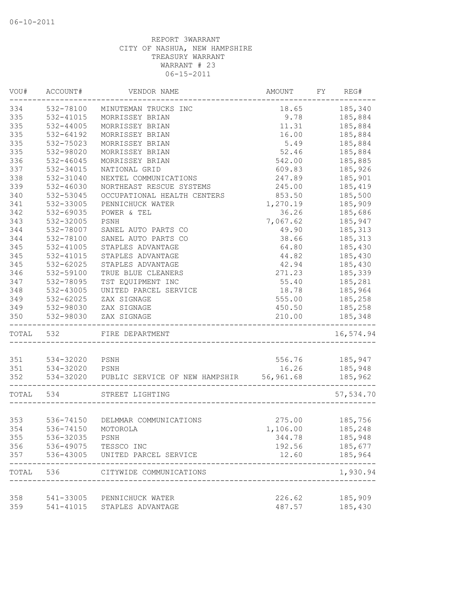| VOU#      | ACCOUNT#           | VENDOR NAME                                        | AMOUNT   | FY | REG#               |
|-----------|--------------------|----------------------------------------------------|----------|----|--------------------|
| 334       | 532-78100          | MINUTEMAN TRUCKS INC                               | 18.65    |    | 185,340            |
| 335       | 532-41015          | MORRISSEY BRIAN                                    | 9.78     |    | 185,884            |
| 335       | 532-44005          | MORRISSEY BRIAN                                    | 11.31    |    | 185,884            |
| 335       | $532 - 64192$      | MORRISSEY BRIAN                                    | 16.00    |    | 185,884            |
| 335       | 532-75023          | MORRISSEY BRIAN                                    | 5.49     |    | 185,884            |
| 335       | 532-98020          | MORRISSEY BRIAN                                    | 52.46    |    | 185,884            |
| 336       | $532 - 46045$      | MORRISSEY BRIAN                                    | 542.00   |    | 185,885            |
| 337       | 532-34015          | NATIONAL GRID                                      | 609.83   |    | 185,926            |
| 338       | 532-31040          | NEXTEL COMMUNICATIONS                              | 247.89   |    | 185,901            |
| 339       | 532-46030          | NORTHEAST RESCUE SYSTEMS                           | 245.00   |    | 185,419            |
| 340       | 532-53045          | OCCUPATIONAL HEALTH CENTERS                        | 853.50   |    | 185,500            |
| 341       | 532-33005          | PENNICHUCK WATER                                   | 1,270.19 |    | 185,909            |
| 342       | 532-69035          | POWER & TEL                                        | 36.26    |    | 185,686            |
| 343       | 532-32005          | PSNH                                               | 7,067.62 |    | 185,947            |
| 344       | 532-78007          | SANEL AUTO PARTS CO                                | 49.90    |    | 185,313            |
| 344       | 532-78100          | SANEL AUTO PARTS CO                                | 38.66    |    | 185,313            |
| 345       | 532-41005          | STAPLES ADVANTAGE                                  | 64.80    |    | 185,430            |
| 345       | 532-41015          | STAPLES ADVANTAGE                                  | 44.82    |    | 185,430            |
| 345       | 532-62025          | STAPLES ADVANTAGE                                  | 42.94    |    | 185,430            |
| 346       | 532-59100          | TRUE BLUE CLEANERS                                 | 271.23   |    | 185,339            |
| 347       | 532-78095          | TST EQUIPMENT INC                                  | 55.40    |    | 185,281            |
| 348       | 532-43005          | UNITED PARCEL SERVICE                              | 18.78    |    | 185,964            |
| 349       | 532-62025          | ZAX SIGNAGE                                        | 555.00   |    | 185,258            |
| 349       | 532-98030          | ZAX SIGNAGE                                        | 450.50   |    | 185,258            |
| 350       | 532-98030          | ZAX SIGNAGE                                        | 210.00   |    | 185,348            |
| TOTAL 532 |                    | FIRE DEPARTMENT                                    |          |    | 16,574.94          |
| 351       | 534-32020 PSNH     |                                                    | 556.76   |    |                    |
| 351       | 534-32020 PSNH     |                                                    | 16.26    |    | 185,947<br>185,948 |
| 352       |                    | 534-32020 PUBLIC SERVICE OF NEW HAMPSHIR 56,961.68 |          |    | 185,962            |
|           |                    |                                                    |          |    |                    |
| TOTAL 534 |                    | STREET LIGHTING                                    |          |    | 57,534.70          |
| 353       |                    | 536-74150 DELMMAR COMMUNICATIONS                   | 275.00   |    | 185,756            |
| 354       | 536-74150 MOTOROLA |                                                    | 1,106.00 |    | 185,248            |
| 355       | 536-32035          | PSNH                                               | 344.78   |    | 185,948            |
| 356       | 536-49075          | TESSCO INC                                         | 192.56   |    | 185,677            |
| 357       | 536-43005          | UNITED PARCEL SERVICE                              | 12.60    |    | 185,964            |
| TOTAL     | 536                | CITYWIDE COMMUNICATIONS                            |          |    | -----<br>1,930.94  |
| 358       |                    | 541-33005 PENNICHUCK WATER                         | 226.62   |    | 185,909            |
| 359       | 541-41015          | STAPLES ADVANTAGE                                  | 487.57   |    | 185,430            |
|           |                    |                                                    |          |    |                    |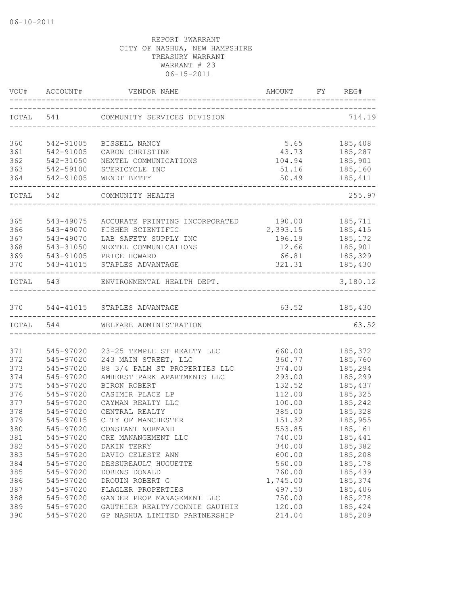| TOTAL 541 COMMUNITY SERVICES DIVISION<br>714.19<br>360<br>5.65<br>185,408<br>542-91005<br>BISSELL NANCY<br>361<br>542-91005<br>43.73 185,287<br>CARON CHRISTINE<br>362<br>542-31050<br>NEXTEL COMMUNICATIONS<br>104.94<br>185,901<br>363<br>542-59100<br>STERICYCLE INC<br>185,160<br>51.16<br>364<br>542-91005<br>50.49<br>185,411<br>WENDT BETTY<br>TOTAL 542 COMMUNITY HEALTH<br>365<br>ACCURATE PRINTING INCORPORATED 190.00<br>543-49075<br>185,711<br>366<br>2, 393.15 185, 415<br>543-49070<br>FISHER SCIENTIFIC<br>367<br>543-49070<br>LAB SAFETY SUPPLY INC<br>196.19<br>185,172<br>185,901<br>368<br>543-31050<br>12.66<br>NEXTEL COMMUNICATIONS<br>369<br>PRICE HOWARD<br>66.81<br>185,329<br>543-91005<br>185,430<br>321.31<br>370<br>543-41015 STAPLES ADVANTAGE<br>---------------<br>--------------------------------<br>TOTAL 543 ENVIRONMENTAL HEALTH DEPT.<br>370 544-41015 STAPLES ADVANTAGE<br>63.52 185,430<br>TOTAL 544<br>WELFARE ADMINISTRATION<br>371<br>545-97020 23-25 TEMPLE ST REALTY LLC<br>660.00 185,372<br>372<br>545-97020 243 MAIN STREET, LLC<br>360.77 185,760<br>88 3/4 PALM ST PROPERTIES LLC<br>373<br>545-97020<br>374.00<br>185,294<br>545-97020<br>293.00<br>185,299<br>AMHERST PARK APARTMENTS LLC<br>375<br>545-97020<br>BIRON ROBERT<br>132.52<br>185,437<br>376<br>545-97020<br>112.00<br>185,325<br>CASIMIR PLACE LP<br>185,242<br>377<br>545-97020<br>CAYMAN REALTY LLC<br>100.00<br>378<br>185,328<br>545-97020<br>CENTRAL REALTY<br>385.00<br>379<br>CITY OF MANCHESTER<br>185,955<br>545-97015<br>151.32<br>553.85<br>545-97020<br>CONSTANT NORMAND<br>185,161<br>381<br>545-97020<br>185,441<br>CRE MANANGEMENT LLC<br>740.00<br>545-97020<br>185,382<br>DAKIN TERRY<br>340.00<br>383<br>545-97020<br>600.00<br>185,208<br>DAVIO CELESTE ANN<br>384<br>545-97020<br>560.00<br>185,178<br>DESSUREAULT HUGUETTE<br>385<br>545-97020<br>760.00<br>185,439<br>DOBENS DONALD<br>386<br>185,374<br>545-97020<br>DROUIN ROBERT G<br>1,745.00<br>387<br>497.50<br>185,406<br>545-97020<br>FLAGLER PROPERTIES<br>388<br>545-97020<br>GANDER PROP MANAGEMENT LLC<br>750.00<br>185,278<br>389<br>545-97020<br>GAUTHIER REALTY/CONNIE GAUTHIE<br>120.00<br>185,424 |     |           | VOU# ACCOUNT# VENDOR NAME     |        |          |
|-------------------------------------------------------------------------------------------------------------------------------------------------------------------------------------------------------------------------------------------------------------------------------------------------------------------------------------------------------------------------------------------------------------------------------------------------------------------------------------------------------------------------------------------------------------------------------------------------------------------------------------------------------------------------------------------------------------------------------------------------------------------------------------------------------------------------------------------------------------------------------------------------------------------------------------------------------------------------------------------------------------------------------------------------------------------------------------------------------------------------------------------------------------------------------------------------------------------------------------------------------------------------------------------------------------------------------------------------------------------------------------------------------------------------------------------------------------------------------------------------------------------------------------------------------------------------------------------------------------------------------------------------------------------------------------------------------------------------------------------------------------------------------------------------------------------------------------------------------------------------------------------------------------------------------------------------------------------------------------------------------------------------------------------------------------------------------------------------------------------------------------------------------------------------------------------------------------|-----|-----------|-------------------------------|--------|----------|
|                                                                                                                                                                                                                                                                                                                                                                                                                                                                                                                                                                                                                                                                                                                                                                                                                                                                                                                                                                                                                                                                                                                                                                                                                                                                                                                                                                                                                                                                                                                                                                                                                                                                                                                                                                                                                                                                                                                                                                                                                                                                                                                                                                                                             |     |           |                               |        |          |
| 374<br>380<br>382                                                                                                                                                                                                                                                                                                                                                                                                                                                                                                                                                                                                                                                                                                                                                                                                                                                                                                                                                                                                                                                                                                                                                                                                                                                                                                                                                                                                                                                                                                                                                                                                                                                                                                                                                                                                                                                                                                                                                                                                                                                                                                                                                                                           |     |           |                               |        |          |
|                                                                                                                                                                                                                                                                                                                                                                                                                                                                                                                                                                                                                                                                                                                                                                                                                                                                                                                                                                                                                                                                                                                                                                                                                                                                                                                                                                                                                                                                                                                                                                                                                                                                                                                                                                                                                                                                                                                                                                                                                                                                                                                                                                                                             |     |           |                               |        |          |
|                                                                                                                                                                                                                                                                                                                                                                                                                                                                                                                                                                                                                                                                                                                                                                                                                                                                                                                                                                                                                                                                                                                                                                                                                                                                                                                                                                                                                                                                                                                                                                                                                                                                                                                                                                                                                                                                                                                                                                                                                                                                                                                                                                                                             |     |           |                               |        |          |
|                                                                                                                                                                                                                                                                                                                                                                                                                                                                                                                                                                                                                                                                                                                                                                                                                                                                                                                                                                                                                                                                                                                                                                                                                                                                                                                                                                                                                                                                                                                                                                                                                                                                                                                                                                                                                                                                                                                                                                                                                                                                                                                                                                                                             |     |           |                               |        |          |
|                                                                                                                                                                                                                                                                                                                                                                                                                                                                                                                                                                                                                                                                                                                                                                                                                                                                                                                                                                                                                                                                                                                                                                                                                                                                                                                                                                                                                                                                                                                                                                                                                                                                                                                                                                                                                                                                                                                                                                                                                                                                                                                                                                                                             |     |           |                               |        |          |
|                                                                                                                                                                                                                                                                                                                                                                                                                                                                                                                                                                                                                                                                                                                                                                                                                                                                                                                                                                                                                                                                                                                                                                                                                                                                                                                                                                                                                                                                                                                                                                                                                                                                                                                                                                                                                                                                                                                                                                                                                                                                                                                                                                                                             |     |           |                               |        |          |
|                                                                                                                                                                                                                                                                                                                                                                                                                                                                                                                                                                                                                                                                                                                                                                                                                                                                                                                                                                                                                                                                                                                                                                                                                                                                                                                                                                                                                                                                                                                                                                                                                                                                                                                                                                                                                                                                                                                                                                                                                                                                                                                                                                                                             |     |           |                               |        | 255.97   |
|                                                                                                                                                                                                                                                                                                                                                                                                                                                                                                                                                                                                                                                                                                                                                                                                                                                                                                                                                                                                                                                                                                                                                                                                                                                                                                                                                                                                                                                                                                                                                                                                                                                                                                                                                                                                                                                                                                                                                                                                                                                                                                                                                                                                             |     |           |                               |        |          |
|                                                                                                                                                                                                                                                                                                                                                                                                                                                                                                                                                                                                                                                                                                                                                                                                                                                                                                                                                                                                                                                                                                                                                                                                                                                                                                                                                                                                                                                                                                                                                                                                                                                                                                                                                                                                                                                                                                                                                                                                                                                                                                                                                                                                             |     |           |                               |        |          |
|                                                                                                                                                                                                                                                                                                                                                                                                                                                                                                                                                                                                                                                                                                                                                                                                                                                                                                                                                                                                                                                                                                                                                                                                                                                                                                                                                                                                                                                                                                                                                                                                                                                                                                                                                                                                                                                                                                                                                                                                                                                                                                                                                                                                             |     |           |                               |        |          |
|                                                                                                                                                                                                                                                                                                                                                                                                                                                                                                                                                                                                                                                                                                                                                                                                                                                                                                                                                                                                                                                                                                                                                                                                                                                                                                                                                                                                                                                                                                                                                                                                                                                                                                                                                                                                                                                                                                                                                                                                                                                                                                                                                                                                             |     |           |                               |        |          |
|                                                                                                                                                                                                                                                                                                                                                                                                                                                                                                                                                                                                                                                                                                                                                                                                                                                                                                                                                                                                                                                                                                                                                                                                                                                                                                                                                                                                                                                                                                                                                                                                                                                                                                                                                                                                                                                                                                                                                                                                                                                                                                                                                                                                             |     |           |                               |        |          |
|                                                                                                                                                                                                                                                                                                                                                                                                                                                                                                                                                                                                                                                                                                                                                                                                                                                                                                                                                                                                                                                                                                                                                                                                                                                                                                                                                                                                                                                                                                                                                                                                                                                                                                                                                                                                                                                                                                                                                                                                                                                                                                                                                                                                             |     |           |                               |        |          |
|                                                                                                                                                                                                                                                                                                                                                                                                                                                                                                                                                                                                                                                                                                                                                                                                                                                                                                                                                                                                                                                                                                                                                                                                                                                                                                                                                                                                                                                                                                                                                                                                                                                                                                                                                                                                                                                                                                                                                                                                                                                                                                                                                                                                             |     |           |                               |        |          |
|                                                                                                                                                                                                                                                                                                                                                                                                                                                                                                                                                                                                                                                                                                                                                                                                                                                                                                                                                                                                                                                                                                                                                                                                                                                                                                                                                                                                                                                                                                                                                                                                                                                                                                                                                                                                                                                                                                                                                                                                                                                                                                                                                                                                             |     |           |                               |        | 3,180.12 |
|                                                                                                                                                                                                                                                                                                                                                                                                                                                                                                                                                                                                                                                                                                                                                                                                                                                                                                                                                                                                                                                                                                                                                                                                                                                                                                                                                                                                                                                                                                                                                                                                                                                                                                                                                                                                                                                                                                                                                                                                                                                                                                                                                                                                             |     |           |                               |        |          |
|                                                                                                                                                                                                                                                                                                                                                                                                                                                                                                                                                                                                                                                                                                                                                                                                                                                                                                                                                                                                                                                                                                                                                                                                                                                                                                                                                                                                                                                                                                                                                                                                                                                                                                                                                                                                                                                                                                                                                                                                                                                                                                                                                                                                             |     |           |                               |        |          |
|                                                                                                                                                                                                                                                                                                                                                                                                                                                                                                                                                                                                                                                                                                                                                                                                                                                                                                                                                                                                                                                                                                                                                                                                                                                                                                                                                                                                                                                                                                                                                                                                                                                                                                                                                                                                                                                                                                                                                                                                                                                                                                                                                                                                             |     |           |                               |        | 63.52    |
|                                                                                                                                                                                                                                                                                                                                                                                                                                                                                                                                                                                                                                                                                                                                                                                                                                                                                                                                                                                                                                                                                                                                                                                                                                                                                                                                                                                                                                                                                                                                                                                                                                                                                                                                                                                                                                                                                                                                                                                                                                                                                                                                                                                                             |     |           |                               |        |          |
|                                                                                                                                                                                                                                                                                                                                                                                                                                                                                                                                                                                                                                                                                                                                                                                                                                                                                                                                                                                                                                                                                                                                                                                                                                                                                                                                                                                                                                                                                                                                                                                                                                                                                                                                                                                                                                                                                                                                                                                                                                                                                                                                                                                                             |     |           |                               |        |          |
|                                                                                                                                                                                                                                                                                                                                                                                                                                                                                                                                                                                                                                                                                                                                                                                                                                                                                                                                                                                                                                                                                                                                                                                                                                                                                                                                                                                                                                                                                                                                                                                                                                                                                                                                                                                                                                                                                                                                                                                                                                                                                                                                                                                                             |     |           |                               |        |          |
|                                                                                                                                                                                                                                                                                                                                                                                                                                                                                                                                                                                                                                                                                                                                                                                                                                                                                                                                                                                                                                                                                                                                                                                                                                                                                                                                                                                                                                                                                                                                                                                                                                                                                                                                                                                                                                                                                                                                                                                                                                                                                                                                                                                                             |     |           |                               |        |          |
|                                                                                                                                                                                                                                                                                                                                                                                                                                                                                                                                                                                                                                                                                                                                                                                                                                                                                                                                                                                                                                                                                                                                                                                                                                                                                                                                                                                                                                                                                                                                                                                                                                                                                                                                                                                                                                                                                                                                                                                                                                                                                                                                                                                                             |     |           |                               |        |          |
|                                                                                                                                                                                                                                                                                                                                                                                                                                                                                                                                                                                                                                                                                                                                                                                                                                                                                                                                                                                                                                                                                                                                                                                                                                                                                                                                                                                                                                                                                                                                                                                                                                                                                                                                                                                                                                                                                                                                                                                                                                                                                                                                                                                                             |     |           |                               |        |          |
|                                                                                                                                                                                                                                                                                                                                                                                                                                                                                                                                                                                                                                                                                                                                                                                                                                                                                                                                                                                                                                                                                                                                                                                                                                                                                                                                                                                                                                                                                                                                                                                                                                                                                                                                                                                                                                                                                                                                                                                                                                                                                                                                                                                                             |     |           |                               |        |          |
|                                                                                                                                                                                                                                                                                                                                                                                                                                                                                                                                                                                                                                                                                                                                                                                                                                                                                                                                                                                                                                                                                                                                                                                                                                                                                                                                                                                                                                                                                                                                                                                                                                                                                                                                                                                                                                                                                                                                                                                                                                                                                                                                                                                                             |     |           |                               |        |          |
|                                                                                                                                                                                                                                                                                                                                                                                                                                                                                                                                                                                                                                                                                                                                                                                                                                                                                                                                                                                                                                                                                                                                                                                                                                                                                                                                                                                                                                                                                                                                                                                                                                                                                                                                                                                                                                                                                                                                                                                                                                                                                                                                                                                                             |     |           |                               |        |          |
|                                                                                                                                                                                                                                                                                                                                                                                                                                                                                                                                                                                                                                                                                                                                                                                                                                                                                                                                                                                                                                                                                                                                                                                                                                                                                                                                                                                                                                                                                                                                                                                                                                                                                                                                                                                                                                                                                                                                                                                                                                                                                                                                                                                                             |     |           |                               |        |          |
|                                                                                                                                                                                                                                                                                                                                                                                                                                                                                                                                                                                                                                                                                                                                                                                                                                                                                                                                                                                                                                                                                                                                                                                                                                                                                                                                                                                                                                                                                                                                                                                                                                                                                                                                                                                                                                                                                                                                                                                                                                                                                                                                                                                                             |     |           |                               |        |          |
|                                                                                                                                                                                                                                                                                                                                                                                                                                                                                                                                                                                                                                                                                                                                                                                                                                                                                                                                                                                                                                                                                                                                                                                                                                                                                                                                                                                                                                                                                                                                                                                                                                                                                                                                                                                                                                                                                                                                                                                                                                                                                                                                                                                                             |     |           |                               |        |          |
|                                                                                                                                                                                                                                                                                                                                                                                                                                                                                                                                                                                                                                                                                                                                                                                                                                                                                                                                                                                                                                                                                                                                                                                                                                                                                                                                                                                                                                                                                                                                                                                                                                                                                                                                                                                                                                                                                                                                                                                                                                                                                                                                                                                                             |     |           |                               |        |          |
|                                                                                                                                                                                                                                                                                                                                                                                                                                                                                                                                                                                                                                                                                                                                                                                                                                                                                                                                                                                                                                                                                                                                                                                                                                                                                                                                                                                                                                                                                                                                                                                                                                                                                                                                                                                                                                                                                                                                                                                                                                                                                                                                                                                                             |     |           |                               |        |          |
|                                                                                                                                                                                                                                                                                                                                                                                                                                                                                                                                                                                                                                                                                                                                                                                                                                                                                                                                                                                                                                                                                                                                                                                                                                                                                                                                                                                                                                                                                                                                                                                                                                                                                                                                                                                                                                                                                                                                                                                                                                                                                                                                                                                                             |     |           |                               |        |          |
|                                                                                                                                                                                                                                                                                                                                                                                                                                                                                                                                                                                                                                                                                                                                                                                                                                                                                                                                                                                                                                                                                                                                                                                                                                                                                                                                                                                                                                                                                                                                                                                                                                                                                                                                                                                                                                                                                                                                                                                                                                                                                                                                                                                                             |     |           |                               |        |          |
|                                                                                                                                                                                                                                                                                                                                                                                                                                                                                                                                                                                                                                                                                                                                                                                                                                                                                                                                                                                                                                                                                                                                                                                                                                                                                                                                                                                                                                                                                                                                                                                                                                                                                                                                                                                                                                                                                                                                                                                                                                                                                                                                                                                                             |     |           |                               |        |          |
|                                                                                                                                                                                                                                                                                                                                                                                                                                                                                                                                                                                                                                                                                                                                                                                                                                                                                                                                                                                                                                                                                                                                                                                                                                                                                                                                                                                                                                                                                                                                                                                                                                                                                                                                                                                                                                                                                                                                                                                                                                                                                                                                                                                                             |     |           |                               |        |          |
|                                                                                                                                                                                                                                                                                                                                                                                                                                                                                                                                                                                                                                                                                                                                                                                                                                                                                                                                                                                                                                                                                                                                                                                                                                                                                                                                                                                                                                                                                                                                                                                                                                                                                                                                                                                                                                                                                                                                                                                                                                                                                                                                                                                                             |     |           |                               |        |          |
|                                                                                                                                                                                                                                                                                                                                                                                                                                                                                                                                                                                                                                                                                                                                                                                                                                                                                                                                                                                                                                                                                                                                                                                                                                                                                                                                                                                                                                                                                                                                                                                                                                                                                                                                                                                                                                                                                                                                                                                                                                                                                                                                                                                                             | 390 | 545-97020 | GP NASHUA LIMITED PARTNERSHIP | 214.04 | 185,209  |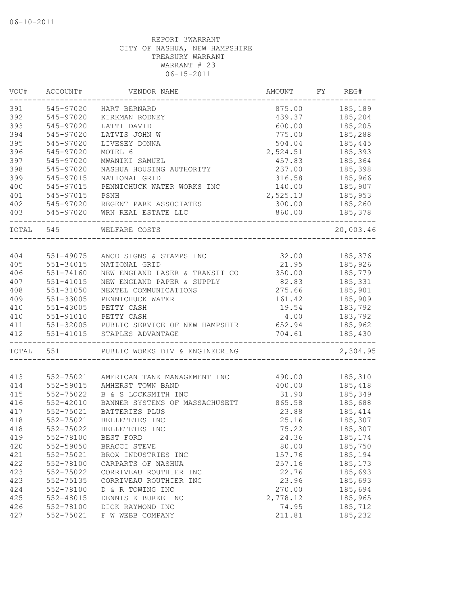| VOU#  | ACCOUNT#      | VENDOR NAME                              | AMOUNT   | FY | REG#      |
|-------|---------------|------------------------------------------|----------|----|-----------|
| 391   | 545-97020     | HART BERNARD                             | 875.00   |    | 185,189   |
| 392   | 545-97020     | KIRKMAN RODNEY                           | 439.37   |    | 185,204   |
| 393   | 545-97020     | LATTI DAVID                              | 600.00   |    | 185,205   |
| 394   | 545-97020     | LATVIS JOHN W                            | 775.00   |    | 185,288   |
| 395   | 545-97020     | LIVESEY DONNA                            | 504.04   |    | 185,445   |
| 396   | 545-97020     | MOTEL 6                                  | 2,524.51 |    | 185,393   |
| 397   | 545-97020     | MWANIKI SAMUEL                           | 457.83   |    | 185,364   |
| 398   | 545-97020     | NASHUA HOUSING AUTHORITY                 | 237.00   |    | 185,398   |
| 399   | 545-97015     | NATIONAL GRID                            | 316.58   |    | 185,966   |
| 400   | 545-97015     | PENNICHUCK WATER WORKS INC               | 140.00   |    | 185,907   |
| 401   | 545-97015     | PSNH                                     | 2,525.13 |    | 185,953   |
| 402   | 545-97020     | REGENT PARK ASSOCIATES                   | 300.00   |    | 185,260   |
| 403   | 545-97020     | WRN REAL ESTATE LLC                      | 860.00   |    | 185,378   |
| TOTAL | 545           | WELFARE COSTS                            |          |    | 20,003.46 |
|       |               |                                          |          |    |           |
| 404   | 551-49075     | ANCO SIGNS & STAMPS INC                  | 32.00    |    | 185,376   |
| 405   | 551-34015     | NATIONAL GRID                            | 21.95    |    | 185,926   |
| 406   | 551-74160     | NEW ENGLAND LASER & TRANSIT CO           | 350.00   |    | 185,779   |
| 407   | 551-41015     | NEW ENGLAND PAPER & SUPPLY               | 82.83    |    | 185,331   |
| 408   | 551-31050     | NEXTEL COMMUNICATIONS                    | 275.66   |    | 185,901   |
| 409   | 551-33005     | PENNICHUCK WATER                         | 161.42   |    | 185,909   |
| 410   | 551-43005     | PETTY CASH                               | 19.54    |    | 183,792   |
| 410   | 551-91010     | PETTY CASH                               | 4.00     |    | 183,792   |
| 411   |               | 551-32005 PUBLIC SERVICE OF NEW HAMPSHIR | 652.94   |    | 185,962   |
| 412   | 551-41015     | STAPLES ADVANTAGE                        | 704.61   |    | 185,430   |
| TOTAL | 551           | PUBLIC WORKS DIV & ENGINEERING           |          |    | 2,304.95  |
|       |               |                                          |          |    |           |
| 413   | 552-75021     | AMERICAN TANK MANAGEMENT INC             | 490.00   |    | 185,310   |
| 414   | 552-59015     | AMHERST TOWN BAND                        | 400.00   |    | 185,418   |
| 415   | 552-75022     | B & S LOCKSMITH INC                      | 31.90    |    | 185,349   |
| 416   | $552 - 42010$ | BANNER SYSTEMS OF MASSACHUSETT           | 865.58   |    | 185,688   |
| 417   | 552-75021     | BATTERIES PLUS                           | 23.88    |    | 185, 414  |
| 418   | 552-75021     | BELLETETES INC                           | 25.16    |    | 185,307   |
| 418   | 552-75022     | BELLETETES INC                           | 75.22    |    | 185,307   |
| 419   | 552-78100     | BEST FORD                                | 24.36    |    | 185, 174  |
| 420   | 552-59050     | BRACCI STEVE                             | 80.00    |    | 185,750   |
| 421   | 552-75021     | BROX INDUSTRIES INC                      | 157.76   |    | 185,194   |
| 422   | 552-78100     | CARPARTS OF NASHUA                       | 257.16   |    | 185, 173  |
| 423   | 552-75022     | CORRIVEAU ROUTHIER INC                   | 22.76    |    | 185,693   |
| 423   | 552-75135     | CORRIVEAU ROUTHIER INC                   | 23.96    |    | 185,693   |
| 424   | 552-78100     | D & R TOWING INC                         | 270.00   |    | 185,694   |
| 425   | 552-48015     | DENNIS K BURKE INC                       | 2,778.12 |    | 185,965   |
| 426   | 552-78100     | DICK RAYMOND INC                         | 74.95    |    | 185,712   |
| 427   | 552-75021     | F W WEBB COMPANY                         | 211.81   |    | 185,232   |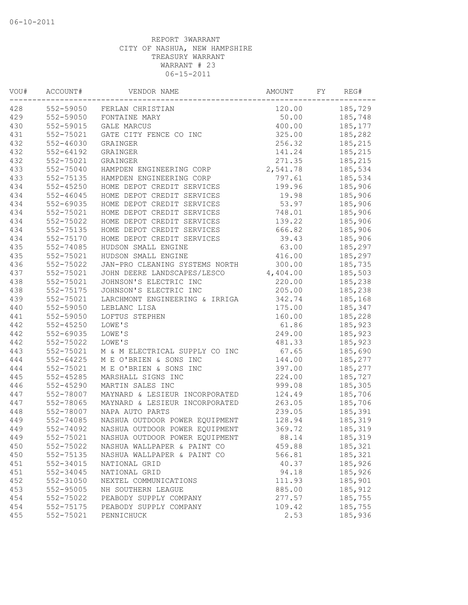| VOU# | ACCOUNT#      | VENDOR NAME                    | AMOUNT   | FY | REG#    |
|------|---------------|--------------------------------|----------|----|---------|
| 428  | 552-59050     | FERLAN CHRISTIAN               | 120.00   |    | 185,729 |
| 429  | 552-59050     | FONTAINE MARY                  | 50.00    |    | 185,748 |
| 430  | 552-59015     | <b>GALE MARCUS</b>             | 400.00   |    | 185,177 |
| 431  | 552-75021     | GATE CITY FENCE CO INC         | 325.00   |    | 185,282 |
| 432  | 552-46030     | GRAINGER                       | 256.32   |    | 185,215 |
| 432  | 552-64192     | GRAINGER                       | 141.24   |    | 185,215 |
| 432  | 552-75021     | GRAINGER                       | 271.35   |    | 185,215 |
| 433  | 552-75040     | HAMPDEN ENGINEERING CORP       | 2,541.78 |    | 185,534 |
| 433  | 552-75135     | HAMPDEN ENGINEERING CORP       | 797.61   |    | 185,534 |
| 434  | $552 - 45250$ | HOME DEPOT CREDIT SERVICES     | 199.96   |    | 185,906 |
| 434  | $552 - 46045$ | HOME DEPOT CREDIT SERVICES     | 19.98    |    | 185,906 |
| 434  | 552-69035     | HOME DEPOT CREDIT SERVICES     | 53.97    |    | 185,906 |
| 434  | 552-75021     | HOME DEPOT CREDIT SERVICES     | 748.01   |    | 185,906 |
| 434  | 552-75022     | HOME DEPOT CREDIT SERVICES     | 139.22   |    | 185,906 |
| 434  | 552-75135     | HOME DEPOT CREDIT SERVICES     | 666.82   |    | 185,906 |
| 434  | 552-75170     | HOME DEPOT CREDIT SERVICES     | 39.43    |    | 185,906 |
| 435  | 552-74085     | HUDSON SMALL ENGINE            | 63.00    |    | 185,297 |
| 435  | 552-75021     | HUDSON SMALL ENGINE            | 416.00   |    | 185,297 |
| 436  | 552-75022     | JAN-PRO CLEANING SYSTEMS NORTH | 300.00   |    | 185,735 |
| 437  | 552-75021     | JOHN DEERE LANDSCAPES/LESCO    | 4,404.00 |    | 185,503 |
| 438  | 552-75021     | JOHNSON'S ELECTRIC INC         | 220.00   |    | 185,238 |
| 438  | 552-75175     | JOHNSON'S ELECTRIC INC         | 205.00   |    | 185,238 |
| 439  | 552-75021     | LARCHMONT ENGINEERING & IRRIGA | 342.74   |    | 185,168 |
| 440  | 552-59050     | LEBLANC LISA                   | 175.00   |    | 185,347 |
| 441  | 552-59050     | LOFTUS STEPHEN                 | 160.00   |    | 185,228 |
| 442  | $552 - 45250$ | LOWE'S                         | 61.86    |    | 185,923 |
| 442  | 552-69035     | LOWE'S                         | 249.00   |    | 185,923 |
| 442  | 552-75022     | LOWE'S                         | 481.33   |    | 185,923 |
| 443  | 552-75021     | M & M ELECTRICAL SUPPLY CO INC | 67.65    |    | 185,690 |
| 444  | 552-64225     | M E O'BRIEN & SONS INC         | 144.00   |    | 185,277 |
| 444  | 552-75021     | M E O'BRIEN & SONS INC         | 397.00   |    | 185,277 |
| 445  | $552 - 45285$ | MARSHALL SIGNS INC             | 224.00   |    | 185,727 |
| 446  | $552 - 45290$ | MARTIN SALES INC               | 999.08   |    | 185,305 |
| 447  | 552-78007     | MAYNARD & LESIEUR INCORPORATED | 124.49   |    | 185,706 |
| 447  | 552-78065     | MAYNARD & LESIEUR INCORPORATED | 263.05   |    | 185,706 |
| 448  | 552-78007     | NAPA AUTO PARTS                | 239.05   |    | 185,391 |
| 449  | 552-74085     | NASHUA OUTDOOR POWER EQUIPMENT | 128.94   |    | 185,319 |
| 449  | 552-74092     | NASHUA OUTDOOR POWER EQUIPMENT | 369.72   |    | 185,319 |
| 449  | 552-75021     | NASHUA OUTDOOR POWER EQUIPMENT | 88.14    |    | 185,319 |
| 450  | 552-75022     | NASHUA WALLPAPER & PAINT CO    | 459.88   |    | 185,321 |
| 450  | 552-75135     | NASHUA WALLPAPER & PAINT CO    | 566.81   |    | 185,321 |
| 451  | 552-34015     | NATIONAL GRID                  | 40.37    |    | 185,926 |
| 451  | 552-34045     | NATIONAL GRID                  | 94.18    |    | 185,926 |
| 452  | 552-31050     | NEXTEL COMMUNICATIONS          | 111.93   |    | 185,901 |
| 453  | 552-95005     | NH SOUTHERN LEAGUE             | 885.00   |    | 185,912 |
| 454  | 552-75022     | PEABODY SUPPLY COMPANY         | 277.57   |    | 185,755 |
| 454  | 552-75175     | PEABODY SUPPLY COMPANY         | 109.42   |    | 185,755 |
| 455  | 552-75021     | PENNICHUCK                     | 2.53     |    | 185,936 |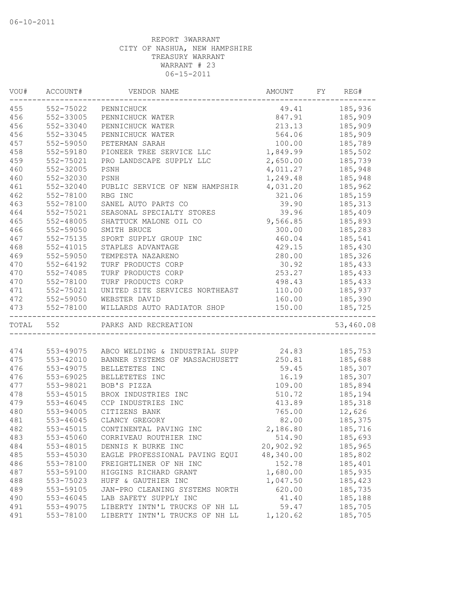| 552-75022<br>185,936<br>49.41<br>PENNICHUCK<br>552-33005<br>847.91<br>185,909<br>PENNICHUCK WATER<br>552-33040<br>213.13<br>185,909<br>PENNICHUCK WATER<br>552-33045<br>564.06<br>185,909<br>PENNICHUCK WATER<br>552-59050<br>100.00<br>PETERMAN SARAH<br>185,789<br>1,849.99<br>552-59180<br>PIONEER TREE SERVICE LLC<br>185,502<br>552-75021<br>PRO LANDSCAPE SUPPLY LLC<br>2,650.00<br>185,739<br>4,011.27<br>185,948<br>552-32005<br>PSNH<br>1,249.48<br>185,948<br>552-32030<br>PSNH<br>552-32040<br>4,031.20<br>185,962<br>PUBLIC SERVICE OF NEW HAMPSHIR<br>552-78100<br>RBG INC<br>321.06<br>185,159<br>463<br>552-78100<br>SANEL AUTO PARTS CO<br>39.90<br>185,313<br>464<br>552-75021<br>SEASONAL SPECIALTY STORES<br>39.96<br>185,409<br>465<br>552-48005<br>9,566.85<br>SHATTUCK MALONE OIL CO<br>185,893<br>466<br>185,283<br>552-59050<br>SMITH BRUCE<br>300.00<br>467<br>185,541<br>552-75135<br>SPORT SUPPLY GROUP INC<br>460.04<br>468<br>552-41015<br>STAPLES ADVANTAGE<br>429.15<br>185,430<br>469<br>552-59050<br>TEMPESTA NAZARENO<br>280.00<br>185,326<br>470<br>552-64192<br>TURF PRODUCTS CORP<br>30.92<br>185,433<br>470<br>253.27<br>552-74085<br>TURF PRODUCTS CORP<br>185,433<br>470<br>552-78100<br>TURF PRODUCTS CORP<br>498.43<br>185,433<br>471<br>552-75021<br>110.00<br>UNITED SITE SERVICES NORTHEAST<br>185,937<br>472<br>552-59050<br>WEBSTER DAVID<br>160.00<br>185,390<br>WILLARDS AUTO RADIATOR SHOP<br>552-78100<br>150.00<br>185,725<br>TOTAL 552<br>PARKS AND RECREATION<br>ABCO WELDING & INDUSTRIAL SUPP 24.83 185,753<br>553-49075<br>BANNER SYSTEMS OF MASSACHUSETT 250.81 185,688<br>475<br>553-42010<br>476<br>553-49075<br>59.45<br>185,307<br>BELLETETES INC<br>476<br>16.19<br>185,307<br>553-69025<br>BELLETETES INC<br>477<br>553-98021<br>BOB'S PIZZA<br>109.00<br>185,894<br>478<br>553-45015<br>BROX INDUSTRIES INC<br>510.72<br>185,194<br>553-46045<br>413.89<br>185,318<br>CCP INDUSTRIES INC<br>553-94005<br>12,626<br>CITIZENS BANK<br>765.00<br>553-46045<br>CLANCY GREGORY<br>82.00<br>185,375<br>553-45015<br>CONTINENTAL PAVING INC<br>2,186.80<br>185,716<br>553-45060<br>CORRIVEAU ROUTHIER INC<br>514.90<br>185,693<br>20,902.92<br>553-48015<br>DENNIS K BURKE INC<br>185,965<br>553-45030<br>48,340.00<br>185,802<br>EAGLE PROFESSIONAL PAVING EQUI<br>152.78<br>553-78100<br>185,401<br>FREIGHTLINER OF NH INC<br>1,680.00<br>185,935<br>553-59100<br>HIGGINS RICHARD GRANT<br>488<br>1,047.50<br>553-75023<br>HUFF & GAUTHIER INC<br>185,423<br>489<br>620.00<br>553-59105<br>JAN-PRO CLEANING SYSTEMS NORTH<br>185,735<br>490<br>LAB SAFETY SUPPLY INC<br>41.40<br>185,188<br>553-46045<br>59.47<br>491<br>553-49075<br>LIBERTY INTN'L TRUCKS OF NH LL<br>185,705<br>1,120.62<br>553-78100<br>LIBERTY INTN'L TRUCKS OF NH LL<br>185,705 | VOU# | ACCOUNT# | VENDOR NAME | AMOUNT | FY | REG#      |
|-------------------------------------------------------------------------------------------------------------------------------------------------------------------------------------------------------------------------------------------------------------------------------------------------------------------------------------------------------------------------------------------------------------------------------------------------------------------------------------------------------------------------------------------------------------------------------------------------------------------------------------------------------------------------------------------------------------------------------------------------------------------------------------------------------------------------------------------------------------------------------------------------------------------------------------------------------------------------------------------------------------------------------------------------------------------------------------------------------------------------------------------------------------------------------------------------------------------------------------------------------------------------------------------------------------------------------------------------------------------------------------------------------------------------------------------------------------------------------------------------------------------------------------------------------------------------------------------------------------------------------------------------------------------------------------------------------------------------------------------------------------------------------------------------------------------------------------------------------------------------------------------------------------------------------------------------------------------------------------------------------------------------------------------------------------------------------------------------------------------------------------------------------------------------------------------------------------------------------------------------------------------------------------------------------------------------------------------------------------------------------------------------------------------------------------------------------------------------------------------------------------------------------------------------------------------------------------------------------------------------------------------------------------------------------------------------------------------------------------------------------------------------------------------------------------------|------|----------|-------------|--------|----|-----------|
|                                                                                                                                                                                                                                                                                                                                                                                                                                                                                                                                                                                                                                                                                                                                                                                                                                                                                                                                                                                                                                                                                                                                                                                                                                                                                                                                                                                                                                                                                                                                                                                                                                                                                                                                                                                                                                                                                                                                                                                                                                                                                                                                                                                                                                                                                                                                                                                                                                                                                                                                                                                                                                                                                                                                                                                                                   | 455  |          |             |        |    |           |
|                                                                                                                                                                                                                                                                                                                                                                                                                                                                                                                                                                                                                                                                                                                                                                                                                                                                                                                                                                                                                                                                                                                                                                                                                                                                                                                                                                                                                                                                                                                                                                                                                                                                                                                                                                                                                                                                                                                                                                                                                                                                                                                                                                                                                                                                                                                                                                                                                                                                                                                                                                                                                                                                                                                                                                                                                   | 456  |          |             |        |    |           |
|                                                                                                                                                                                                                                                                                                                                                                                                                                                                                                                                                                                                                                                                                                                                                                                                                                                                                                                                                                                                                                                                                                                                                                                                                                                                                                                                                                                                                                                                                                                                                                                                                                                                                                                                                                                                                                                                                                                                                                                                                                                                                                                                                                                                                                                                                                                                                                                                                                                                                                                                                                                                                                                                                                                                                                                                                   | 456  |          |             |        |    |           |
|                                                                                                                                                                                                                                                                                                                                                                                                                                                                                                                                                                                                                                                                                                                                                                                                                                                                                                                                                                                                                                                                                                                                                                                                                                                                                                                                                                                                                                                                                                                                                                                                                                                                                                                                                                                                                                                                                                                                                                                                                                                                                                                                                                                                                                                                                                                                                                                                                                                                                                                                                                                                                                                                                                                                                                                                                   | 456  |          |             |        |    |           |
|                                                                                                                                                                                                                                                                                                                                                                                                                                                                                                                                                                                                                                                                                                                                                                                                                                                                                                                                                                                                                                                                                                                                                                                                                                                                                                                                                                                                                                                                                                                                                                                                                                                                                                                                                                                                                                                                                                                                                                                                                                                                                                                                                                                                                                                                                                                                                                                                                                                                                                                                                                                                                                                                                                                                                                                                                   | 457  |          |             |        |    |           |
|                                                                                                                                                                                                                                                                                                                                                                                                                                                                                                                                                                                                                                                                                                                                                                                                                                                                                                                                                                                                                                                                                                                                                                                                                                                                                                                                                                                                                                                                                                                                                                                                                                                                                                                                                                                                                                                                                                                                                                                                                                                                                                                                                                                                                                                                                                                                                                                                                                                                                                                                                                                                                                                                                                                                                                                                                   | 458  |          |             |        |    |           |
|                                                                                                                                                                                                                                                                                                                                                                                                                                                                                                                                                                                                                                                                                                                                                                                                                                                                                                                                                                                                                                                                                                                                                                                                                                                                                                                                                                                                                                                                                                                                                                                                                                                                                                                                                                                                                                                                                                                                                                                                                                                                                                                                                                                                                                                                                                                                                                                                                                                                                                                                                                                                                                                                                                                                                                                                                   | 459  |          |             |        |    |           |
|                                                                                                                                                                                                                                                                                                                                                                                                                                                                                                                                                                                                                                                                                                                                                                                                                                                                                                                                                                                                                                                                                                                                                                                                                                                                                                                                                                                                                                                                                                                                                                                                                                                                                                                                                                                                                                                                                                                                                                                                                                                                                                                                                                                                                                                                                                                                                                                                                                                                                                                                                                                                                                                                                                                                                                                                                   | 460  |          |             |        |    |           |
|                                                                                                                                                                                                                                                                                                                                                                                                                                                                                                                                                                                                                                                                                                                                                                                                                                                                                                                                                                                                                                                                                                                                                                                                                                                                                                                                                                                                                                                                                                                                                                                                                                                                                                                                                                                                                                                                                                                                                                                                                                                                                                                                                                                                                                                                                                                                                                                                                                                                                                                                                                                                                                                                                                                                                                                                                   | 460  |          |             |        |    |           |
|                                                                                                                                                                                                                                                                                                                                                                                                                                                                                                                                                                                                                                                                                                                                                                                                                                                                                                                                                                                                                                                                                                                                                                                                                                                                                                                                                                                                                                                                                                                                                                                                                                                                                                                                                                                                                                                                                                                                                                                                                                                                                                                                                                                                                                                                                                                                                                                                                                                                                                                                                                                                                                                                                                                                                                                                                   | 461  |          |             |        |    |           |
|                                                                                                                                                                                                                                                                                                                                                                                                                                                                                                                                                                                                                                                                                                                                                                                                                                                                                                                                                                                                                                                                                                                                                                                                                                                                                                                                                                                                                                                                                                                                                                                                                                                                                                                                                                                                                                                                                                                                                                                                                                                                                                                                                                                                                                                                                                                                                                                                                                                                                                                                                                                                                                                                                                                                                                                                                   | 462  |          |             |        |    |           |
|                                                                                                                                                                                                                                                                                                                                                                                                                                                                                                                                                                                                                                                                                                                                                                                                                                                                                                                                                                                                                                                                                                                                                                                                                                                                                                                                                                                                                                                                                                                                                                                                                                                                                                                                                                                                                                                                                                                                                                                                                                                                                                                                                                                                                                                                                                                                                                                                                                                                                                                                                                                                                                                                                                                                                                                                                   |      |          |             |        |    |           |
|                                                                                                                                                                                                                                                                                                                                                                                                                                                                                                                                                                                                                                                                                                                                                                                                                                                                                                                                                                                                                                                                                                                                                                                                                                                                                                                                                                                                                                                                                                                                                                                                                                                                                                                                                                                                                                                                                                                                                                                                                                                                                                                                                                                                                                                                                                                                                                                                                                                                                                                                                                                                                                                                                                                                                                                                                   |      |          |             |        |    |           |
|                                                                                                                                                                                                                                                                                                                                                                                                                                                                                                                                                                                                                                                                                                                                                                                                                                                                                                                                                                                                                                                                                                                                                                                                                                                                                                                                                                                                                                                                                                                                                                                                                                                                                                                                                                                                                                                                                                                                                                                                                                                                                                                                                                                                                                                                                                                                                                                                                                                                                                                                                                                                                                                                                                                                                                                                                   |      |          |             |        |    |           |
|                                                                                                                                                                                                                                                                                                                                                                                                                                                                                                                                                                                                                                                                                                                                                                                                                                                                                                                                                                                                                                                                                                                                                                                                                                                                                                                                                                                                                                                                                                                                                                                                                                                                                                                                                                                                                                                                                                                                                                                                                                                                                                                                                                                                                                                                                                                                                                                                                                                                                                                                                                                                                                                                                                                                                                                                                   |      |          |             |        |    |           |
|                                                                                                                                                                                                                                                                                                                                                                                                                                                                                                                                                                                                                                                                                                                                                                                                                                                                                                                                                                                                                                                                                                                                                                                                                                                                                                                                                                                                                                                                                                                                                                                                                                                                                                                                                                                                                                                                                                                                                                                                                                                                                                                                                                                                                                                                                                                                                                                                                                                                                                                                                                                                                                                                                                                                                                                                                   |      |          |             |        |    |           |
|                                                                                                                                                                                                                                                                                                                                                                                                                                                                                                                                                                                                                                                                                                                                                                                                                                                                                                                                                                                                                                                                                                                                                                                                                                                                                                                                                                                                                                                                                                                                                                                                                                                                                                                                                                                                                                                                                                                                                                                                                                                                                                                                                                                                                                                                                                                                                                                                                                                                                                                                                                                                                                                                                                                                                                                                                   |      |          |             |        |    |           |
|                                                                                                                                                                                                                                                                                                                                                                                                                                                                                                                                                                                                                                                                                                                                                                                                                                                                                                                                                                                                                                                                                                                                                                                                                                                                                                                                                                                                                                                                                                                                                                                                                                                                                                                                                                                                                                                                                                                                                                                                                                                                                                                                                                                                                                                                                                                                                                                                                                                                                                                                                                                                                                                                                                                                                                                                                   |      |          |             |        |    |           |
|                                                                                                                                                                                                                                                                                                                                                                                                                                                                                                                                                                                                                                                                                                                                                                                                                                                                                                                                                                                                                                                                                                                                                                                                                                                                                                                                                                                                                                                                                                                                                                                                                                                                                                                                                                                                                                                                                                                                                                                                                                                                                                                                                                                                                                                                                                                                                                                                                                                                                                                                                                                                                                                                                                                                                                                                                   |      |          |             |        |    |           |
|                                                                                                                                                                                                                                                                                                                                                                                                                                                                                                                                                                                                                                                                                                                                                                                                                                                                                                                                                                                                                                                                                                                                                                                                                                                                                                                                                                                                                                                                                                                                                                                                                                                                                                                                                                                                                                                                                                                                                                                                                                                                                                                                                                                                                                                                                                                                                                                                                                                                                                                                                                                                                                                                                                                                                                                                                   |      |          |             |        |    |           |
|                                                                                                                                                                                                                                                                                                                                                                                                                                                                                                                                                                                                                                                                                                                                                                                                                                                                                                                                                                                                                                                                                                                                                                                                                                                                                                                                                                                                                                                                                                                                                                                                                                                                                                                                                                                                                                                                                                                                                                                                                                                                                                                                                                                                                                                                                                                                                                                                                                                                                                                                                                                                                                                                                                                                                                                                                   |      |          |             |        |    |           |
|                                                                                                                                                                                                                                                                                                                                                                                                                                                                                                                                                                                                                                                                                                                                                                                                                                                                                                                                                                                                                                                                                                                                                                                                                                                                                                                                                                                                                                                                                                                                                                                                                                                                                                                                                                                                                                                                                                                                                                                                                                                                                                                                                                                                                                                                                                                                                                                                                                                                                                                                                                                                                                                                                                                                                                                                                   |      |          |             |        |    |           |
|                                                                                                                                                                                                                                                                                                                                                                                                                                                                                                                                                                                                                                                                                                                                                                                                                                                                                                                                                                                                                                                                                                                                                                                                                                                                                                                                                                                                                                                                                                                                                                                                                                                                                                                                                                                                                                                                                                                                                                                                                                                                                                                                                                                                                                                                                                                                                                                                                                                                                                                                                                                                                                                                                                                                                                                                                   |      |          |             |        |    |           |
|                                                                                                                                                                                                                                                                                                                                                                                                                                                                                                                                                                                                                                                                                                                                                                                                                                                                                                                                                                                                                                                                                                                                                                                                                                                                                                                                                                                                                                                                                                                                                                                                                                                                                                                                                                                                                                                                                                                                                                                                                                                                                                                                                                                                                                                                                                                                                                                                                                                                                                                                                                                                                                                                                                                                                                                                                   | 473  |          |             |        |    |           |
|                                                                                                                                                                                                                                                                                                                                                                                                                                                                                                                                                                                                                                                                                                                                                                                                                                                                                                                                                                                                                                                                                                                                                                                                                                                                                                                                                                                                                                                                                                                                                                                                                                                                                                                                                                                                                                                                                                                                                                                                                                                                                                                                                                                                                                                                                                                                                                                                                                                                                                                                                                                                                                                                                                                                                                                                                   |      |          |             |        |    | 53,460.08 |
|                                                                                                                                                                                                                                                                                                                                                                                                                                                                                                                                                                                                                                                                                                                                                                                                                                                                                                                                                                                                                                                                                                                                                                                                                                                                                                                                                                                                                                                                                                                                                                                                                                                                                                                                                                                                                                                                                                                                                                                                                                                                                                                                                                                                                                                                                                                                                                                                                                                                                                                                                                                                                                                                                                                                                                                                                   |      |          |             |        |    |           |
|                                                                                                                                                                                                                                                                                                                                                                                                                                                                                                                                                                                                                                                                                                                                                                                                                                                                                                                                                                                                                                                                                                                                                                                                                                                                                                                                                                                                                                                                                                                                                                                                                                                                                                                                                                                                                                                                                                                                                                                                                                                                                                                                                                                                                                                                                                                                                                                                                                                                                                                                                                                                                                                                                                                                                                                                                   | 474  |          |             |        |    |           |
|                                                                                                                                                                                                                                                                                                                                                                                                                                                                                                                                                                                                                                                                                                                                                                                                                                                                                                                                                                                                                                                                                                                                                                                                                                                                                                                                                                                                                                                                                                                                                                                                                                                                                                                                                                                                                                                                                                                                                                                                                                                                                                                                                                                                                                                                                                                                                                                                                                                                                                                                                                                                                                                                                                                                                                                                                   |      |          |             |        |    |           |
|                                                                                                                                                                                                                                                                                                                                                                                                                                                                                                                                                                                                                                                                                                                                                                                                                                                                                                                                                                                                                                                                                                                                                                                                                                                                                                                                                                                                                                                                                                                                                                                                                                                                                                                                                                                                                                                                                                                                                                                                                                                                                                                                                                                                                                                                                                                                                                                                                                                                                                                                                                                                                                                                                                                                                                                                                   |      |          |             |        |    |           |
|                                                                                                                                                                                                                                                                                                                                                                                                                                                                                                                                                                                                                                                                                                                                                                                                                                                                                                                                                                                                                                                                                                                                                                                                                                                                                                                                                                                                                                                                                                                                                                                                                                                                                                                                                                                                                                                                                                                                                                                                                                                                                                                                                                                                                                                                                                                                                                                                                                                                                                                                                                                                                                                                                                                                                                                                                   |      |          |             |        |    |           |
|                                                                                                                                                                                                                                                                                                                                                                                                                                                                                                                                                                                                                                                                                                                                                                                                                                                                                                                                                                                                                                                                                                                                                                                                                                                                                                                                                                                                                                                                                                                                                                                                                                                                                                                                                                                                                                                                                                                                                                                                                                                                                                                                                                                                                                                                                                                                                                                                                                                                                                                                                                                                                                                                                                                                                                                                                   |      |          |             |        |    |           |
|                                                                                                                                                                                                                                                                                                                                                                                                                                                                                                                                                                                                                                                                                                                                                                                                                                                                                                                                                                                                                                                                                                                                                                                                                                                                                                                                                                                                                                                                                                                                                                                                                                                                                                                                                                                                                                                                                                                                                                                                                                                                                                                                                                                                                                                                                                                                                                                                                                                                                                                                                                                                                                                                                                                                                                                                                   |      |          |             |        |    |           |
|                                                                                                                                                                                                                                                                                                                                                                                                                                                                                                                                                                                                                                                                                                                                                                                                                                                                                                                                                                                                                                                                                                                                                                                                                                                                                                                                                                                                                                                                                                                                                                                                                                                                                                                                                                                                                                                                                                                                                                                                                                                                                                                                                                                                                                                                                                                                                                                                                                                                                                                                                                                                                                                                                                                                                                                                                   | 479  |          |             |        |    |           |
|                                                                                                                                                                                                                                                                                                                                                                                                                                                                                                                                                                                                                                                                                                                                                                                                                                                                                                                                                                                                                                                                                                                                                                                                                                                                                                                                                                                                                                                                                                                                                                                                                                                                                                                                                                                                                                                                                                                                                                                                                                                                                                                                                                                                                                                                                                                                                                                                                                                                                                                                                                                                                                                                                                                                                                                                                   | 480  |          |             |        |    |           |
|                                                                                                                                                                                                                                                                                                                                                                                                                                                                                                                                                                                                                                                                                                                                                                                                                                                                                                                                                                                                                                                                                                                                                                                                                                                                                                                                                                                                                                                                                                                                                                                                                                                                                                                                                                                                                                                                                                                                                                                                                                                                                                                                                                                                                                                                                                                                                                                                                                                                                                                                                                                                                                                                                                                                                                                                                   | 481  |          |             |        |    |           |
|                                                                                                                                                                                                                                                                                                                                                                                                                                                                                                                                                                                                                                                                                                                                                                                                                                                                                                                                                                                                                                                                                                                                                                                                                                                                                                                                                                                                                                                                                                                                                                                                                                                                                                                                                                                                                                                                                                                                                                                                                                                                                                                                                                                                                                                                                                                                                                                                                                                                                                                                                                                                                                                                                                                                                                                                                   | 482  |          |             |        |    |           |
|                                                                                                                                                                                                                                                                                                                                                                                                                                                                                                                                                                                                                                                                                                                                                                                                                                                                                                                                                                                                                                                                                                                                                                                                                                                                                                                                                                                                                                                                                                                                                                                                                                                                                                                                                                                                                                                                                                                                                                                                                                                                                                                                                                                                                                                                                                                                                                                                                                                                                                                                                                                                                                                                                                                                                                                                                   | 483  |          |             |        |    |           |
|                                                                                                                                                                                                                                                                                                                                                                                                                                                                                                                                                                                                                                                                                                                                                                                                                                                                                                                                                                                                                                                                                                                                                                                                                                                                                                                                                                                                                                                                                                                                                                                                                                                                                                                                                                                                                                                                                                                                                                                                                                                                                                                                                                                                                                                                                                                                                                                                                                                                                                                                                                                                                                                                                                                                                                                                                   | 484  |          |             |        |    |           |
|                                                                                                                                                                                                                                                                                                                                                                                                                                                                                                                                                                                                                                                                                                                                                                                                                                                                                                                                                                                                                                                                                                                                                                                                                                                                                                                                                                                                                                                                                                                                                                                                                                                                                                                                                                                                                                                                                                                                                                                                                                                                                                                                                                                                                                                                                                                                                                                                                                                                                                                                                                                                                                                                                                                                                                                                                   | 485  |          |             |        |    |           |
|                                                                                                                                                                                                                                                                                                                                                                                                                                                                                                                                                                                                                                                                                                                                                                                                                                                                                                                                                                                                                                                                                                                                                                                                                                                                                                                                                                                                                                                                                                                                                                                                                                                                                                                                                                                                                                                                                                                                                                                                                                                                                                                                                                                                                                                                                                                                                                                                                                                                                                                                                                                                                                                                                                                                                                                                                   | 486  |          |             |        |    |           |
|                                                                                                                                                                                                                                                                                                                                                                                                                                                                                                                                                                                                                                                                                                                                                                                                                                                                                                                                                                                                                                                                                                                                                                                                                                                                                                                                                                                                                                                                                                                                                                                                                                                                                                                                                                                                                                                                                                                                                                                                                                                                                                                                                                                                                                                                                                                                                                                                                                                                                                                                                                                                                                                                                                                                                                                                                   | 487  |          |             |        |    |           |
|                                                                                                                                                                                                                                                                                                                                                                                                                                                                                                                                                                                                                                                                                                                                                                                                                                                                                                                                                                                                                                                                                                                                                                                                                                                                                                                                                                                                                                                                                                                                                                                                                                                                                                                                                                                                                                                                                                                                                                                                                                                                                                                                                                                                                                                                                                                                                                                                                                                                                                                                                                                                                                                                                                                                                                                                                   |      |          |             |        |    |           |
|                                                                                                                                                                                                                                                                                                                                                                                                                                                                                                                                                                                                                                                                                                                                                                                                                                                                                                                                                                                                                                                                                                                                                                                                                                                                                                                                                                                                                                                                                                                                                                                                                                                                                                                                                                                                                                                                                                                                                                                                                                                                                                                                                                                                                                                                                                                                                                                                                                                                                                                                                                                                                                                                                                                                                                                                                   |      |          |             |        |    |           |
|                                                                                                                                                                                                                                                                                                                                                                                                                                                                                                                                                                                                                                                                                                                                                                                                                                                                                                                                                                                                                                                                                                                                                                                                                                                                                                                                                                                                                                                                                                                                                                                                                                                                                                                                                                                                                                                                                                                                                                                                                                                                                                                                                                                                                                                                                                                                                                                                                                                                                                                                                                                                                                                                                                                                                                                                                   |      |          |             |        |    |           |
|                                                                                                                                                                                                                                                                                                                                                                                                                                                                                                                                                                                                                                                                                                                                                                                                                                                                                                                                                                                                                                                                                                                                                                                                                                                                                                                                                                                                                                                                                                                                                                                                                                                                                                                                                                                                                                                                                                                                                                                                                                                                                                                                                                                                                                                                                                                                                                                                                                                                                                                                                                                                                                                                                                                                                                                                                   |      |          |             |        |    |           |
|                                                                                                                                                                                                                                                                                                                                                                                                                                                                                                                                                                                                                                                                                                                                                                                                                                                                                                                                                                                                                                                                                                                                                                                                                                                                                                                                                                                                                                                                                                                                                                                                                                                                                                                                                                                                                                                                                                                                                                                                                                                                                                                                                                                                                                                                                                                                                                                                                                                                                                                                                                                                                                                                                                                                                                                                                   | 491  |          |             |        |    |           |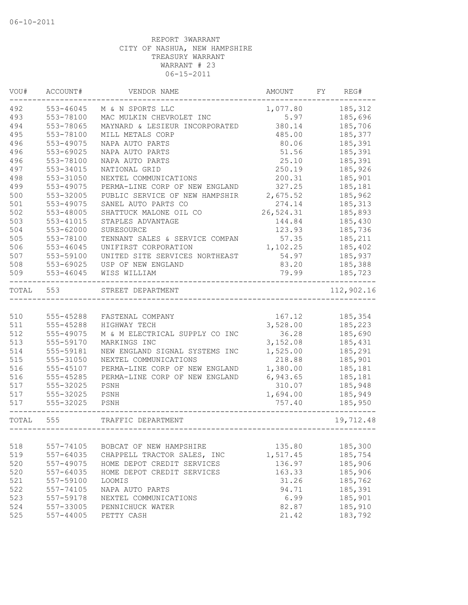| VOU#  | ACCOUNT#      | VENDOR NAME                    | AMOUNT    | FY. | REG#       |
|-------|---------------|--------------------------------|-----------|-----|------------|
| 492   | 553-46045     | M & N SPORTS LLC               | 1,077.80  |     | 185,312    |
| 493   | 553-78100     | MAC MULKIN CHEVROLET INC       | 5.97      |     | 185,696    |
| 494   | 553-78065     | MAYNARD & LESIEUR INCORPORATED | 380.14    |     | 185,706    |
| 495   | 553-78100     | MILL METALS CORP               | 485.00    |     | 185,377    |
| 496   | 553-49075     | NAPA AUTO PARTS                | 80.06     |     | 185,391    |
| 496   | 553-69025     | NAPA AUTO PARTS                | 51.56     |     | 185,391    |
| 496   | 553-78100     | NAPA AUTO PARTS                | 25.10     |     | 185,391    |
| 497   | 553-34015     | NATIONAL GRID                  | 250.19    |     | 185,926    |
| 498   | 553-31050     | NEXTEL COMMUNICATIONS          | 200.31    |     | 185,901    |
| 499   | 553-49075     | PERMA-LINE CORP OF NEW ENGLAND | 327.25    |     | 185,181    |
| 500   | 553-32005     | PUBLIC SERVICE OF NEW HAMPSHIR | 2,675.52  |     | 185,962    |
| 501   | 553-49075     | SANEL AUTO PARTS CO            | 274.14    |     | 185, 313   |
| 502   | 553-48005     | SHATTUCK MALONE OIL CO         | 26,524.31 |     | 185,893    |
| 503   | 553-41015     | STAPLES ADVANTAGE              | 144.84    |     | 185,430    |
| 504   | 553-62000     | SURESOURCE                     | 123.93    |     | 185,736    |
| 505   | 553-78100     | TENNANT SALES & SERVICE COMPAN | 57.35     |     | 185,211    |
| 506   | 553-46045     | UNIFIRST CORPORATION           | 1,102.25  |     | 185,402    |
| 507   | 553-59100     | UNITED SITE SERVICES NORTHEAST | 54.97     |     | 185,937    |
| 508   | 553-69025     | USP OF NEW ENGLAND             | 83.20     |     | 185,388    |
| 509   | 553-46045     | WISS WILLIAM                   | 79.99     |     | 185,723    |
| TOTAL | 553           | STREET DEPARTMENT              |           |     | 112,902.16 |
|       |               |                                |           |     |            |
| 510   | 555-45288     | FASTENAL COMPANY               | 167.12    |     | 185,354    |
| 511   | 555-45288     | HIGHWAY TECH                   | 3,528.00  |     | 185,223    |
| 512   | 555-49075     | M & M ELECTRICAL SUPPLY CO INC | 36.28     |     | 185,690    |
| 513   | 555-59170     | MARKINGS INC                   | 3,152.08  |     | 185,431    |
| 514   | 555-59181     | NEW ENGLAND SIGNAL SYSTEMS INC | 1,525.00  |     | 185,291    |
| 515   | 555-31050     | NEXTEL COMMUNICATIONS          | 218.88    |     | 185,901    |
| 516   | 555-45107     | PERMA-LINE CORP OF NEW ENGLAND | 1,380.00  |     | 185,181    |
| 516   | 555-45285     | PERMA-LINE CORP OF NEW ENGLAND | 6,943.65  |     | 185,181    |
| 517   | 555-32025     | PSNH                           | 310.07    |     | 185,948    |
| 517   | 555-32025     | PSNH                           | 1,694.00  |     | 185,949    |
| 517   | 555-32025     | PSNH                           | 757.40    |     | 185,950    |
| TOTAL | 555           | TRAFFIC DEPARTMENT             |           |     | 19,712.48  |
|       |               |                                |           |     |            |
| 518   | 557-74105     | BOBCAT OF NEW HAMPSHIRE        | 135.80    |     | 185,300    |
| 519   | 557-64035     | CHAPPELL TRACTOR SALES, INC    | 1,517.45  |     | 185,754    |
| 520   | 557-49075     | HOME DEPOT CREDIT SERVICES     | 136.97    |     | 185,906    |
| 520   | $557 - 64035$ | HOME DEPOT CREDIT SERVICES     | 163.33    |     | 185,906    |
| 521   | 557-59100     | LOOMIS                         | 31.26     |     | 185,762    |
| 522   | 557-74105     | NAPA AUTO PARTS                | 94.71     |     | 185,391    |
| 523   | 557-59178     | NEXTEL COMMUNICATIONS          | 6.99      |     | 185,901    |
| 524   | 557-33005     | PENNICHUCK WATER               | 82.87     |     | 185,910    |
| 525   | 557-44005     | PETTY CASH                     | 21.42     |     | 183,792    |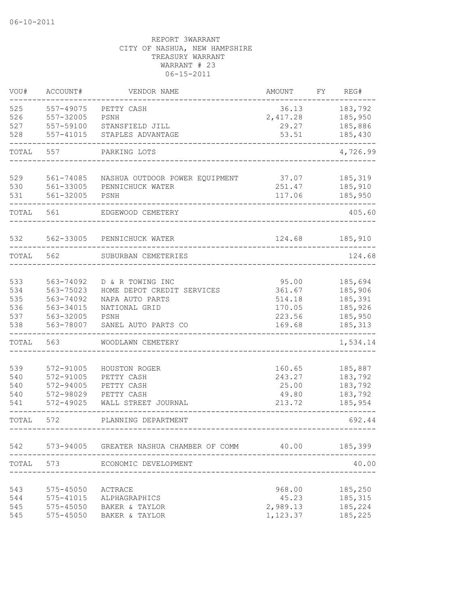| VOU#  | ACCOUNT#      | VENDOR NAME                              | <b>AMOUNT</b> | FY | REG#     |
|-------|---------------|------------------------------------------|---------------|----|----------|
| 525   | $557 - 49075$ | PETTY CASH                               | 36.13         |    | 183,792  |
| 526   | 557-32005     | PSNH                                     | 2,417.28      |    | 185,950  |
| 527   | 557-59100     | STANSFIELD JILL                          | 29.27         |    | 185,886  |
| 528   | 557-41015     | STAPLES ADVANTAGE                        | 53.51         |    | 185,430  |
| TOTAL | 557           | PARKING LOTS                             |               |    | 4,726.99 |
| 529   | 561-74085     | NASHUA OUTDOOR POWER EQUIPMENT           | 37.07         |    | 185,319  |
| 530   | 561-33005     | PENNICHUCK WATER                         | 251.47        |    | 185,910  |
| 531   | 561-32005     | PSNH                                     | 117.06        |    | 185,950  |
| TOTAL | 561           | EDGEWOOD CEMETERY                        |               |    | 405.60   |
| 532   | 562-33005     | PENNICHUCK WATER                         | 124.68        |    | 185,910  |
| TOTAL | 562           | SUBURBAN CEMETERIES                      |               |    | 124.68   |
|       |               |                                          |               |    |          |
| 533   | 563-74092     | D & R TOWING INC                         | 95.00         |    | 185,694  |
| 534   | 563-75023     | HOME DEPOT CREDIT SERVICES               | 361.67        |    | 185,906  |
| 535   | 563-74092     | NAPA AUTO PARTS                          | 514.18        |    | 185,391  |
| 536   | 563-34015     | NATIONAL GRID                            | 170.05        |    | 185,926  |
| 537   | 563-32005     | PSNH                                     | 223.56        |    | 185,950  |
| 538   | 563-78007     | SANEL AUTO PARTS CO                      | 169.68        |    | 185, 313 |
| TOTAL | 563           | WOODLAWN CEMETERY                        |               |    | 1,534.14 |
| 539   | 572-91005     | HOUSTON ROGER                            | 160.65        |    | 185,887  |
| 540   | 572-91005     | PETTY CASH                               | 243.27        |    | 183,792  |
| 540   | 572-94005     | PETTY CASH                               | 25.00         |    | 183,792  |
| 540   | 572-98029     | PETTY CASH                               | 49.80         |    | 183,792  |
| 541   | 572-49025     | WALL STREET JOURNAL                      | 213.72        |    | 185,954  |
| TOTAL | 572           | PLANNING DEPARTMENT                      |               |    | 692.44   |
| 542   |               | 573-94005 GREATER NASHUA CHAMBER OF COMM | 40.00         |    | 185,399  |
| TOTAL | 573           | ECONOMIC DEVELOPMENT                     |               |    | 40.00    |
|       |               |                                          |               |    |          |
| 543   | 575-45050     | ACTRACE                                  | 968.00        |    | 185,250  |
| 544   | 575-41015     | ALPHAGRAPHICS                            | 45.23         |    | 185, 315 |
| 545   | 575-45050     | BAKER & TAYLOR                           | 2,989.13      |    | 185,224  |
| 545   | 575-45050     | BAKER & TAYLOR                           | 1,123.37      |    | 185,225  |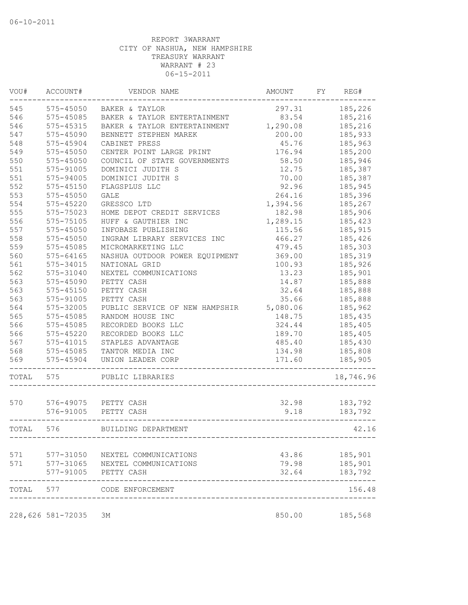| VOU#  | ACCOUNT#          | VENDOR NAME                     | AMOUNT   | FY | REG#      |
|-------|-------------------|---------------------------------|----------|----|-----------|
| 545   | 575-45050         | BAKER & TAYLOR                  | 297.31   |    | 185,226   |
| 546   | $575 - 45085$     | BAKER & TAYLOR ENTERTAINMENT    | 83.54    |    | 185,216   |
| 546   | 575-45315         | BAKER & TAYLOR ENTERTAINMENT    | 1,290.08 |    | 185,216   |
| 547   | $575 - 45090$     | BENNETT STEPHEN MAREK           | 200.00   |    | 185,933   |
| 548   | $575 - 45904$     | CABINET PRESS                   | 45.76    |    | 185,963   |
| 549   | 575-45050         | CENTER POINT LARGE PRINT        | 176.94   |    | 185,200   |
| 550   | $575 - 45050$     | COUNCIL OF STATE GOVERNMENTS    | 58.50    |    | 185,946   |
| 551   | 575-91005         | DOMINICI JUDITH S               | 12.75    |    | 185,387   |
| 551   | 575-94005         | DOMINICI JUDITH S               | 70.00    |    | 185,387   |
| 552   | $575 - 45150$     | FLAGSPLUS LLC                   | 92.96    |    | 185,945   |
| 553   | $575 - 45050$     | GALE                            | 264.16   |    | 185,396   |
| 554   | 575-45220         | GRESSCO LTD                     | 1,394.56 |    | 185,267   |
| 555   | 575-75023         | HOME DEPOT CREDIT SERVICES      | 182.98   |    | 185,906   |
| 556   | 575-75105         | HUFF & GAUTHIER INC             | 1,289.15 |    | 185,423   |
| 557   | 575-45050         | INFOBASE PUBLISHING             | 115.56   |    | 185,915   |
| 558   | $575 - 45050$     | INGRAM LIBRARY SERVICES INC     | 466.27   |    | 185,426   |
| 559   | 575-45085         | MICROMARKETING LLC              | 479.45   |    | 185,303   |
| 560   | $575 - 64165$     | NASHUA OUTDOOR POWER EQUIPMENT  | 369.00   |    | 185,319   |
| 561   | 575-34015         | NATIONAL GRID                   | 100.93   |    | 185,926   |
| 562   | 575-31040         | NEXTEL COMMUNICATIONS           | 13.23    |    | 185,901   |
| 563   | $575 - 45090$     | PETTY CASH                      | 14.87    |    | 185,888   |
| 563   | $575 - 45150$     | PETTY CASH                      | 32.64    |    | 185,888   |
| 563   | 575-91005         | PETTY CASH                      | 35.66    |    | 185,888   |
| 564   | 575-32005         | PUBLIC SERVICE OF NEW HAMPSHIR  | 5,080.06 |    | 185,962   |
| 565   | 575-45085         | RANDOM HOUSE INC                | 148.75   |    | 185,435   |
| 566   | 575-45085         | RECORDED BOOKS LLC              | 324.44   |    |           |
| 566   |                   |                                 |          |    | 185,405   |
|       | 575-45220         | RECORDED BOOKS LLC              | 189.70   |    | 185,405   |
| 567   | 575-41015         | STAPLES ADVANTAGE               | 485.40   |    | 185,430   |
| 568   | 575-45085         | TANTOR MEDIA INC                | 134.98   |    | 185,808   |
| 569   | 575-45904         | UNION LEADER CORP               | 171.60   |    | 185,905   |
| TOTAL | 575               | PUBLIC LIBRARIES                |          |    | 18,746.96 |
| 570   |                   | 576-49075 PETTY CASH            | 32.98    |    | 183,792   |
|       | 576-91005         | PETTY CASH                      | 9.18     |    | 183,792   |
| TOTAL | 576               | BUILDING DEPARTMENT             |          |    | 42.16     |
|       |                   |                                 |          |    |           |
| 571   |                   | 577-31050 NEXTEL COMMUNICATIONS | 43.86    |    | 185,901   |
| 571   |                   | 577-31065 NEXTEL COMMUNICATIONS | 79.98    |    | 185,901   |
|       | 577-91005         | PETTY CASH                      | 32.64    |    | 183,792   |
| TOTAL |                   | 577 CODE ENFORCEMENT            |          |    | 156.48    |
|       | 228,626 581-72035 | ЗМ                              | 850.00   |    | 185,568   |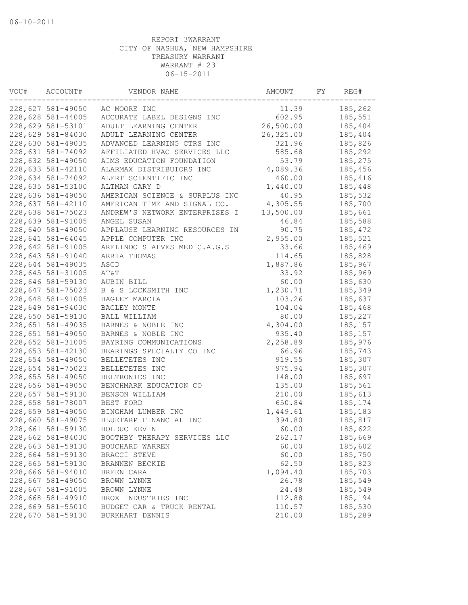| VOU# | ACCOUNT#          | VENDOR NAME                    | AMOUNT    | FY | REG#    |
|------|-------------------|--------------------------------|-----------|----|---------|
|      | 228,627 581-49050 | AC MOORE INC                   | 11.39     |    | 185,262 |
|      | 228,628 581-44005 | ACCURATE LABEL DESIGNS INC     | 602.95    |    | 185,551 |
|      | 228,629 581-53101 | ADULT LEARNING CENTER          | 26,500.00 |    | 185,404 |
|      | 228,629 581-84030 | ADULT LEARNING CENTER          | 26,325.00 |    | 185,404 |
|      | 228,630 581-49035 | ADVANCED LEARNING CTRS INC     | 321.96    |    | 185,826 |
|      | 228,631 581-74092 | AFFILIATED HVAC SERVICES LLC   | 585.68    |    | 185,292 |
|      | 228,632 581-49050 | AIMS EDUCATION FOUNDATION      | 53.79     |    | 185,275 |
|      | 228,633 581-42110 | ALARMAX DISTRIBUTORS INC       | 4,089.36  |    | 185,456 |
|      | 228,634 581-74092 | ALERT SCIENTIFIC INC           | 460.00    |    | 185,416 |
|      | 228,635 581-53100 | ALTMAN GARY D                  | 1,440.00  |    | 185,448 |
|      | 228,636 581-49050 | AMERICAN SCIENCE & SURPLUS INC | 40.95     |    | 185,532 |
|      | 228,637 581-42110 | AMERICAN TIME AND SIGNAL CO.   | 4,305.55  |    | 185,700 |
|      | 228,638 581-75023 | ANDREW'S NETWORK ENTERPRISES I | 13,500.00 |    | 185,661 |
|      | 228,639 581-91005 | ANGEL SUSAN                    | 46.84     |    | 185,588 |
|      | 228,640 581-49050 | APPLAUSE LEARNING RESOURCES IN | 90.75     |    | 185,472 |
|      | 228,641 581-64045 | APPLE COMPUTER INC             | 2,955.00  |    | 185,521 |
|      | 228,642 581-91005 | ARELINDO S ALVES MED C.A.G.S   | 33.66     |    | 185,469 |
|      | 228,643 581-91040 | ARRIA THOMAS                   | 114.65    |    | 185,828 |
|      | 228,644 581-49035 | ASCD                           | 1,887.86  |    | 185,967 |
|      | 228,645 581-31005 | AT&T                           | 33.92     |    | 185,969 |
|      | 228,646 581-59130 | AUBIN BILL                     | 60.00     |    | 185,630 |
|      | 228,647 581-75023 | B & S LOCKSMITH INC            | 1,230.71  |    | 185,349 |
|      | 228,648 581-91005 | BAGLEY MARCIA                  | 103.26    |    | 185,637 |
|      | 228,649 581-94030 | BAGLEY MONTE                   | 104.04    |    | 185,468 |
|      | 228,650 581-59130 | BALL WILLIAM                   | 80.00     |    | 185,227 |
|      | 228,651 581-49035 | BARNES & NOBLE INC             | 4,304.00  |    | 185,157 |
|      | 228,651 581-49050 | BARNES & NOBLE INC             | 935.40    |    | 185,157 |
|      | 228,652 581-31005 | BAYRING COMMUNICATIONS         | 2,258.89  |    | 185,976 |
|      | 228,653 581-42130 | BEARINGS SPECIALTY CO INC      | 66.96     |    | 185,743 |
|      | 228,654 581-49050 | BELLETETES INC                 | 919.55    |    | 185,307 |
|      | 228,654 581-75023 | BELLETETES INC                 | 975.94    |    | 185,307 |
|      | 228,655 581-49050 | BELTRONICS INC                 | 148.00    |    | 185,697 |
|      | 228,656 581-49050 | BENCHMARK EDUCATION CO         | 135.00    |    | 185,561 |
|      | 228,657 581-59130 | BENSON WILLIAM                 | 210.00    |    | 185,613 |
|      | 228,658 581-78007 | BEST FORD                      | 650.84    |    | 185,174 |
|      | 228,659 581-49050 | BINGHAM LUMBER INC             | 1,449.61  |    | 185,183 |
|      | 228,660 581-49075 | BLUETARP FINANCIAL INC         | 394.80    |    | 185,817 |
|      | 228,661 581-59130 | BOLDUC KEVIN                   | 60.00     |    | 185,622 |
|      | 228,662 581-84030 | BOOTHBY THERAPY SERVICES LLC   | 262.17    |    | 185,669 |
|      | 228,663 581-59130 | BOUCHARD WARREN                | 60.00     |    | 185,602 |
|      | 228,664 581-59130 | BRACCI STEVE                   | 60.00     |    | 185,750 |
|      | 228,665 581-59130 | BRANNEN BECKIE                 | 62.50     |    | 185,823 |
|      | 228,666 581-94010 | BREEN CARA                     | 1,094.40  |    | 185,703 |
|      | 228,667 581-49050 | BROWN LYNNE                    | 26.78     |    | 185,549 |
|      | 228,667 581-91005 | BROWN LYNNE                    | 24.48     |    | 185,549 |
|      | 228,668 581-49910 | BROX INDUSTRIES INC            | 112.88    |    | 185,194 |
|      | 228,669 581-55010 | BUDGET CAR & TRUCK RENTAL      | 110.57    |    | 185,530 |
|      | 228,670 581-59130 | BURKHART DENNIS                | 210.00    |    | 185,289 |
|      |                   |                                |           |    |         |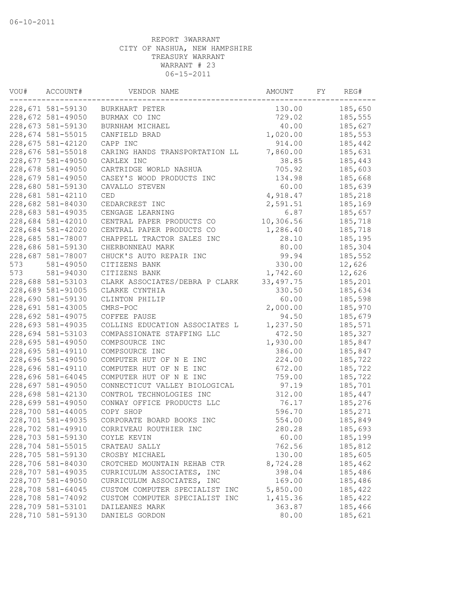| VOU# | ACCOUNT#          | VENDOR NAME                    | AMOUNT      | FY | REG#    |
|------|-------------------|--------------------------------|-------------|----|---------|
|      | 228,671 581-59130 | BURKHART PETER                 | 130.00      |    | 185,650 |
|      | 228,672 581-49050 | BURMAX CO INC                  | 729.02      |    | 185,555 |
|      | 228,673 581-59130 | BURNHAM MICHAEL                | 40.00       |    | 185,627 |
|      | 228,674 581-55015 | CANFIELD BRAD                  | 1,020.00    |    | 185,553 |
|      | 228,675 581-42120 | CAPP INC                       | 914.00      |    | 185,442 |
|      | 228,676 581-55018 | CARING HANDS TRANSPORTATION LL | 7,860.00    |    | 185,631 |
|      | 228,677 581-49050 | CARLEX INC                     | 38.85       |    | 185,443 |
|      | 228,678 581-49050 | CARTRIDGE WORLD NASHUA         | 705.92      |    | 185,603 |
|      | 228,679 581-49050 | CASEY'S WOOD PRODUCTS INC      | 134.98      |    | 185,668 |
|      | 228,680 581-59130 | CAVALLO STEVEN                 | 60.00       |    | 185,639 |
|      | 228,681 581-42110 | CED                            | 4,918.47    |    | 185,218 |
|      | 228,682 581-84030 | CEDARCREST INC                 | 2,591.51    |    | 185,169 |
|      | 228,683 581-49035 | CENGAGE LEARNING               | 6.87        |    | 185,657 |
|      | 228,684 581-42010 | CENTRAL PAPER PRODUCTS CO      | 10,306.56   |    | 185,718 |
|      | 228,684 581-42020 | CENTRAL PAPER PRODUCTS CO      | 1,286.40    |    | 185,718 |
|      | 228,685 581-78007 | CHAPPELL TRACTOR SALES INC     | 28.10       |    | 185,195 |
|      | 228,686 581-59130 | CHERBONNEAU MARK               | 80.00       |    | 185,304 |
|      | 228,687 581-78007 | CHUCK'S AUTO REPAIR INC        | 99.94       |    | 185,552 |
| 573  | 581-49050         | CITIZENS BANK                  | 330.00      |    | 12,626  |
| 573  | 581-94030         | CITIZENS BANK                  | 1,742.60    |    | 12,626  |
|      | 228,688 581-53103 | CLARK ASSOCIATES/DEBRA P CLARK | 33, 497. 75 |    | 185,201 |
|      | 228,689 581-91005 | CLARKE CYNTHIA                 | 330.50      |    | 185,634 |
|      | 228,690 581-59130 | CLINTON PHILIP                 | 60.00       |    | 185,598 |
|      | 228,691 581-43005 | CMRS-POC                       | 2,000.00    |    | 185,970 |
|      | 228,692 581-49075 | COFFEE PAUSE                   | 94.50       |    | 185,679 |
|      | 228,693 581-49035 | COLLINS EDUCATION ASSOCIATES L | 1,237.50    |    | 185,571 |
|      | 228,694 581-53103 | COMPASSIONATE STAFFING LLC     | 472.50      |    | 185,327 |
|      | 228,695 581-49050 | COMPSOURCE INC                 | 1,930.00    |    | 185,847 |
|      | 228,695 581-49110 | COMPSOURCE INC                 | 386.00      |    | 185,847 |
|      | 228,696 581-49050 | COMPUTER HUT OF N E INC        | 224.00      |    | 185,722 |
|      | 228,696 581-49110 | COMPUTER HUT OF N E INC        | 672.00      |    | 185,722 |
|      | 228,696 581-64045 | COMPUTER HUT OF N E INC        | 759.00      |    | 185,722 |
|      | 228,697 581-49050 | CONNECTICUT VALLEY BIOLOGICAL  | 97.19       |    | 185,701 |
|      | 228,698 581-42130 | CONTROL TECHNOLOGIES INC       | 312.00      |    | 185,447 |
|      | 228,699 581-49050 | CONWAY OFFICE PRODUCTS LLC     | 76.17       |    | 185,276 |
|      | 228,700 581-44005 | COPY SHOP                      | 596.70      |    | 185,271 |
|      | 228,701 581-49035 | CORPORATE BOARD BOOKS INC      | 554.00      |    | 185,849 |
|      | 228,702 581-49910 | CORRIVEAU ROUTHIER INC         | 280.28      |    | 185,693 |
|      | 228,703 581-59130 | COYLE KEVIN                    | 60.00       |    | 185,199 |
|      | 228,704 581-55015 | CRATEAU SALLY                  | 762.56      |    | 185,812 |
|      | 228,705 581-59130 | CROSBY MICHAEL                 | 130.00      |    | 185,605 |
|      | 228,706 581-84030 | CROTCHED MOUNTAIN REHAB CTR    | 8,724.28    |    | 185,462 |
|      | 228,707 581-49035 | CURRICULUM ASSOCIATES, INC     | 398.04      |    | 185,486 |
|      | 228,707 581-49050 | CURRICULUM ASSOCIATES, INC     | 169.00      |    | 185,486 |
|      | 228,708 581-64045 | CUSTOM COMPUTER SPECIALIST INC | 5,850.00    |    | 185,422 |
|      | 228,708 581-74092 | CUSTOM COMPUTER SPECIALIST INC | 1,415.36    |    | 185,422 |
|      | 228,709 581-53101 | DAILEANES MARK                 | 363.87      |    | 185,466 |
|      |                   |                                |             |    | 185,621 |
|      | 228,710 581-59130 | DANIELS GORDON                 | 80.00       |    |         |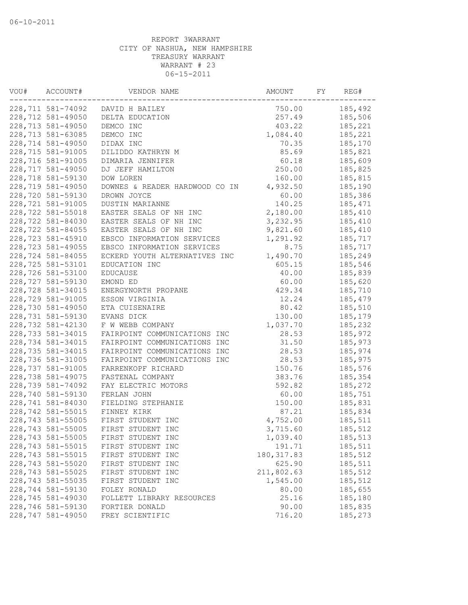| VOU# | ACCOUNT#          | VENDOR NAME                    | AMOUNT      | FY | REG#     |
|------|-------------------|--------------------------------|-------------|----|----------|
|      | 228,711 581-74092 | DAVID H BAILEY                 | 750.00      |    | 185,492  |
|      | 228,712 581-49050 | DELTA EDUCATION                | 257.49      |    | 185,506  |
|      | 228,713 581-49050 | DEMCO INC                      | 403.22      |    | 185,221  |
|      | 228,713 581-63085 | DEMCO INC                      | 1,084.40    |    | 185,221  |
|      | 228,714 581-49050 | DIDAX INC                      | 70.35       |    | 185,170  |
|      | 228,715 581-91005 | DILIDDO KATHRYN M              | 85.69       |    | 185,821  |
|      | 228,716 581-91005 | DIMARIA JENNIFER               | 60.18       |    | 185,609  |
|      | 228,717 581-49050 | DJ JEFF HAMILTON               | 250.00      |    | 185,825  |
|      | 228,718 581-59130 | DOW LOREN                      | 160.00      |    | 185,815  |
|      | 228,719 581-49050 | DOWNES & READER HARDWOOD CO IN | 4,932.50    |    | 185,190  |
|      | 228,720 581-59130 | DROWN JOYCE                    | 60.00       |    | 185,386  |
|      | 228,721 581-91005 | DUSTIN MARIANNE                | 140.25      |    | 185, 471 |
|      | 228,722 581-55018 | EASTER SEALS OF NH INC         | 2,180.00    |    | 185,410  |
|      | 228,722 581-84030 | EASTER SEALS OF NH INC         | 3,232.95    |    | 185,410  |
|      | 228,722 581-84055 | EASTER SEALS OF NH INC         | 9,821.60    |    | 185,410  |
|      | 228,723 581-45910 | EBSCO INFORMATION SERVICES     | 1,291.92    |    | 185,717  |
|      | 228,723 581-49055 | EBSCO INFORMATION SERVICES     | 8.75        |    | 185,717  |
|      | 228,724 581-84055 | ECKERD YOUTH ALTERNATIVES INC  | 1,490.70    |    | 185,249  |
|      | 228,725 581-53101 | EDUCATION INC                  | 605.15      |    | 185,546  |
|      | 228,726 581-53100 | <b>EDUCAUSE</b>                | 40.00       |    | 185,839  |
|      | 228,727 581-59130 | EMOND ED                       | 60.00       |    | 185,620  |
|      | 228,728 581-34015 | ENERGYNORTH PROPANE            | 429.34      |    | 185,710  |
|      | 228,729 581-91005 | ESSON VIRGINIA                 | 12.24       |    | 185,479  |
|      | 228,730 581-49050 | ETA CUISENAIRE                 | 80.42       |    | 185,510  |
|      | 228,731 581-59130 | EVANS DICK                     | 130.00      |    | 185,179  |
|      | 228,732 581-42130 | F W WEBB COMPANY               | 1,037.70    |    | 185,232  |
|      | 228,733 581-34015 | FAIRPOINT COMMUNICATIONS INC   | 28.53       |    | 185,972  |
|      | 228,734 581-34015 | FAIRPOINT COMMUNICATIONS INC   | 31.50       |    | 185,973  |
|      | 228,735 581-34015 | FAIRPOINT COMMUNICATIONS INC   | 28.53       |    | 185,974  |
|      | 228,736 581-31005 | FAIRPOINT COMMUNICATIONS INC   | 28.53       |    | 185,975  |
|      | 228,737 581-91005 | FARRENKOPF RICHARD             | 150.76      |    | 185,576  |
|      | 228,738 581-49075 | FASTENAL COMPANY               | 383.76      |    | 185,354  |
|      | 228,739 581-74092 | FAY ELECTRIC MOTORS            | 592.82      |    | 185,272  |
|      | 228,740 581-59130 | FERLAN JOHN                    | 60.00       |    | 185,751  |
|      | 228,741 581-84030 | FIELDING STEPHANIE             | 150.00      |    | 185,831  |
|      | 228,742 581-55015 | FINNEY KIRK                    | 87.21       |    | 185,834  |
|      | 228,743 581-55005 | FIRST STUDENT INC              | 4,752.00    |    | 185,511  |
|      | 228,743 581-55005 | FIRST STUDENT INC              | 3,715.60    |    | 185,512  |
|      | 228,743 581-55005 | FIRST STUDENT INC              | 1,039.40    |    | 185,513  |
|      | 228,743 581-55015 | FIRST STUDENT INC              | 191.71      |    | 185,511  |
|      | 228,743 581-55015 | FIRST STUDENT INC              | 180, 317.83 |    | 185,512  |
|      | 228,743 581-55020 | FIRST STUDENT INC              | 625.90      |    | 185,511  |
|      | 228,743 581-55025 | FIRST STUDENT INC              | 211,802.63  |    | 185,512  |
|      | 228,743 581-55035 | FIRST STUDENT INC              | 1,545.00    |    | 185,512  |
|      | 228,744 581-59130 | FOLEY RONALD                   | 80.00       |    | 185,655  |
|      | 228,745 581-49030 | FOLLETT LIBRARY RESOURCES      | 25.16       |    | 185,180  |
|      | 228,746 581-59130 | FORTIER DONALD                 | 90.00       |    | 185,835  |
|      | 228,747 581-49050 | FREY SCIENTIFIC                | 716.20      |    | 185,273  |
|      |                   |                                |             |    |          |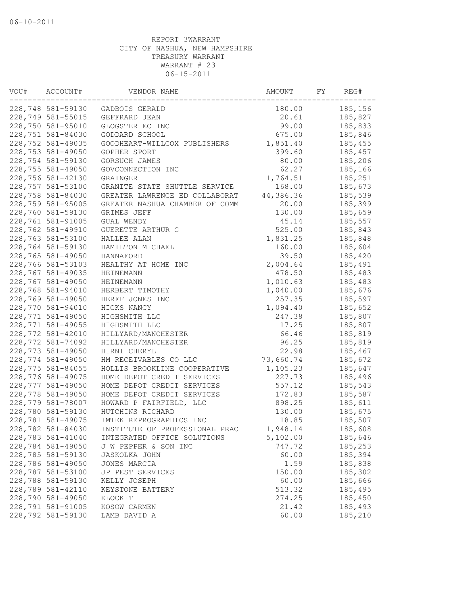| VOU# | ACCOUNT#          | VENDOR NAME                    | AMOUNT    | FY | REG#    |
|------|-------------------|--------------------------------|-----------|----|---------|
|      | 228,748 581-59130 | GADBOIS GERALD                 | 180.00    |    | 185,156 |
|      | 228,749 581-55015 | GEFFRARD JEAN                  | 20.61     |    | 185,827 |
|      | 228,750 581-95010 | GLOGSTER EC INC                | 99.00     |    | 185,833 |
|      | 228,751 581-84030 | GODDARD SCHOOL                 | 675.00    |    | 185,846 |
|      | 228,752 581-49035 | GOODHEART-WILLCOX PUBLISHERS   | 1,851.40  |    | 185,455 |
|      | 228,753 581-49050 | GOPHER SPORT                   | 399.60    |    | 185,457 |
|      | 228,754 581-59130 | GORSUCH JAMES                  | 80.00     |    | 185,206 |
|      | 228,755 581-49050 | GOVCONNECTION INC              | 62.27     |    | 185,166 |
|      | 228,756 581-42130 | GRAINGER                       | 1,764.51  |    | 185,251 |
|      | 228,757 581-53100 | GRANITE STATE SHUTTLE SERVICE  | 168.00    |    | 185,673 |
|      | 228,758 581-84030 | GREATER LAWRENCE ED COLLABORAT | 44,386.36 |    | 185,539 |
|      | 228,759 581-95005 | GREATER NASHUA CHAMBER OF COMM | 20.00     |    | 185,399 |
|      | 228,760 581-59130 | GRIMES JEFF                    | 130.00    |    | 185,659 |
|      | 228,761 581-91005 | GUAL WENDY                     | 45.14     |    | 185,557 |
|      | 228,762 581-49910 | GUERETTE ARTHUR G              | 525.00    |    | 185,843 |
|      | 228,763 581-53100 | HALLEE ALAN                    | 1,831.25  |    | 185,848 |
|      | 228,764 581-59130 | HAMILTON MICHAEL               | 160.00    |    | 185,604 |
|      | 228,765 581-49050 | HANNAFORD                      | 39.50     |    | 185,420 |
|      | 228,766 581-53103 | HEALTHY AT HOME INC            | 2,004.64  |    | 185,491 |
|      | 228,767 581-49035 | HEINEMANN                      | 478.50    |    | 185,483 |
|      | 228,767 581-49050 | <b>HEINEMANN</b>               | 1,010.63  |    | 185,483 |
|      | 228,768 581-94010 | HERBERT TIMOTHY                | 1,040.00  |    | 185,676 |
|      | 228,769 581-49050 | HERFF JONES INC                | 257.35    |    | 185,597 |
|      | 228,770 581-94010 | HICKS NANCY                    | 1,094.40  |    | 185,652 |
|      | 228,771 581-49050 | HIGHSMITH LLC                  | 247.38    |    | 185,807 |
|      | 228,771 581-49055 | HIGHSMITH LLC                  | 17.25     |    | 185,807 |
|      | 228,772 581-42010 | HILLYARD/MANCHESTER            | 66.46     |    | 185,819 |
|      | 228,772 581-74092 | HILLYARD/MANCHESTER            | 96.25     |    | 185,819 |
|      | 228,773 581-49050 | HIRNI CHERYL                   | 22.98     |    | 185,467 |
|      | 228,774 581-49050 | HM RECEIVABLES CO LLC          | 73,660.74 |    | 185,672 |
|      | 228,775 581-84055 | HOLLIS BROOKLINE COOPERATIVE   | 1,105.23  |    | 185,647 |
|      | 228,776 581-49075 | HOME DEPOT CREDIT SERVICES     | 227.73    |    | 185,496 |
|      | 228,777 581-49050 | HOME DEPOT CREDIT SERVICES     | 557.12    |    | 185,543 |
|      | 228,778 581-49050 | HOME DEPOT CREDIT SERVICES     | 172.83    |    | 185,587 |
|      | 228,779 581-78007 | HOWARD P FAIRFIELD, LLC        | 898.25    |    | 185,611 |
|      | 228,780 581-59130 | HUTCHINS RICHARD               | 130.00    |    | 185,675 |
|      | 228,781 581-49075 | IMTEK REPROGRAPHICS INC        | 18.85     |    | 185,507 |
|      | 228,782 581-84030 | INSTITUTE OF PROFESSIONAL PRAC | 1,948.14  |    | 185,608 |
|      | 228,783 581-41040 | INTEGRATED OFFICE SOLUTIONS    | 5,102.00  |    | 185,646 |
|      | 228,784 581-49050 | J W PEPPER & SON INC           | 747.72    |    | 185,253 |
|      | 228,785 581-59130 | <b>JASKOLKA JOHN</b>           | 60.00     |    | 185,394 |
|      | 228,786 581-49050 | JONES MARCIA                   | 1.59      |    | 185,838 |
|      | 228,787 581-53100 | JP PEST SERVICES               | 150.00    |    | 185,302 |
|      | 228,788 581-59130 | KELLY JOSEPH                   | 60.00     |    | 185,666 |
|      | 228,789 581-42110 | KEYSTONE BATTERY               | 513.32    |    | 185,495 |
|      | 228,790 581-49050 | KLOCKIT                        | 274.25    |    | 185,450 |
|      | 228,791 581-91005 | KOSOW CARMEN                   | 21.42     |    | 185,493 |
|      | 228,792 581-59130 | LAMB DAVID A                   | 60.00     |    | 185,210 |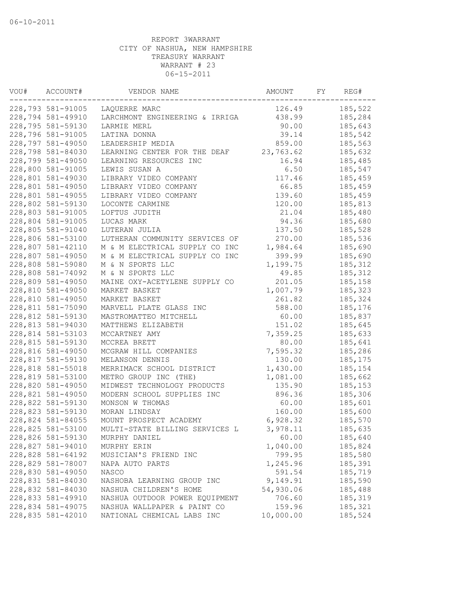| VOU# | ACCOUNT#          | VENDOR NAME                    | AMOUNT    | FY | REG#     |
|------|-------------------|--------------------------------|-----------|----|----------|
|      | 228,793 581-91005 | LAQUERRE MARC                  | 126.49    |    | 185,522  |
|      | 228,794 581-49910 | LARCHMONT ENGINEERING & IRRIGA | 438.99    |    | 185,284  |
|      | 228,795 581-59130 | LARMIE MERL                    | 90.00     |    | 185,643  |
|      | 228,796 581-91005 | LATINA DONNA                   | 39.14     |    | 185,542  |
|      | 228,797 581-49050 | LEADERSHIP MEDIA               | 859.00    |    | 185,563  |
|      | 228,798 581-84030 | LEARNING CENTER FOR THE DEAF   | 23,763.62 |    | 185,632  |
|      | 228,799 581-49050 | LEARNING RESOURCES INC         | 16.94     |    | 185,485  |
|      | 228,800 581-91005 | LEWIS SUSAN A                  | 6.50      |    | 185,547  |
|      | 228,801 581-49030 | LIBRARY VIDEO COMPANY          | 117.46    |    | 185,459  |
|      | 228,801 581-49050 | LIBRARY VIDEO COMPANY          | 66.85     |    | 185,459  |
|      | 228,801 581-49055 | LIBRARY VIDEO COMPANY          | 139.60    |    | 185,459  |
|      | 228,802 581-59130 | LOCONTE CARMINE                | 120.00    |    | 185,813  |
|      | 228,803 581-91005 | LOFTUS JUDITH                  | 21.04     |    | 185,480  |
|      | 228,804 581-91005 | LUCAS MARK                     | 94.36     |    | 185,680  |
|      | 228,805 581-91040 | LUTERAN JULIA                  | 137.50    |    | 185,528  |
|      | 228,806 581-53100 | LUTHERAN COMMUNITY SERVICES OF | 270.00    |    | 185,536  |
|      | 228,807 581-42110 | M & M ELECTRICAL SUPPLY CO INC | 1,984.64  |    | 185,690  |
|      | 228,807 581-49050 | M & M ELECTRICAL SUPPLY CO INC | 399.99    |    | 185,690  |
|      | 228,808 581-59080 | M & N SPORTS LLC               | 1,199.75  |    | 185, 312 |
|      | 228,808 581-74092 | M & N SPORTS LLC               | 49.85     |    | 185, 312 |
|      | 228,809 581-49050 | MAINE OXY-ACETYLENE SUPPLY CO  | 201.05    |    | 185,158  |
|      | 228,810 581-49050 | MARKET BASKET                  | 1,007.79  |    | 185,323  |
|      | 228,810 581-49050 | MARKET BASKET                  | 261.82    |    | 185,324  |
|      | 228,811 581-75090 | MARVELL PLATE GLASS INC        | 588.00    |    | 185,176  |
|      | 228,812 581-59130 | MASTROMATTEO MITCHELL          | 60.00     |    | 185,837  |
|      | 228,813 581-94030 | MATTHEWS ELIZABETH             | 151.02    |    | 185,645  |
|      | 228,814 581-53103 | MCCARTNEY AMY                  | 7,359.25  |    | 185,633  |
|      | 228,815 581-59130 | MCCREA BRETT                   | 80.00     |    | 185,641  |
|      | 228,816 581-49050 | MCGRAW HILL COMPANIES          | 7,595.32  |    | 185,286  |
|      | 228,817 581-59130 | MELANSON DENNIS                | 130.00    |    | 185,175  |
|      | 228,818 581-55018 | MERRIMACK SCHOOL DISTRICT      | 1,430.00  |    | 185,154  |
|      | 228,819 581-53100 | METRO GROUP INC (THE)          | 1,081.00  |    | 185,662  |
|      | 228,820 581-49050 | MIDWEST TECHNOLOGY PRODUCTS    | 135.90    |    | 185,153  |
|      | 228,821 581-49050 | MODERN SCHOOL SUPPLIES INC     | 896.36    |    | 185,306  |
|      | 228,822 581-59130 | MONSON W THOMAS                | 60.00     |    | 185,601  |
|      | 228,823 581-59130 | MORAN LINDSAY                  | 160.00    |    | 185,600  |
|      | 228,824 581-84055 | MOUNT PROSPECT ACADEMY         | 6,928.32  |    | 185,570  |
|      | 228,825 581-53100 |                                | 3,978.11  |    |          |
|      |                   | MULTI-STATE BILLING SERVICES L |           |    | 185,635  |
|      | 228,826 581-59130 | MURPHY DANIEL                  | 60.00     |    | 185,640  |
|      | 228,827 581-94010 | MURPHY ERIN                    | 1,040.00  |    | 185,824  |
|      | 228,828 581-64192 | MUSICIAN'S FRIEND INC          | 799.95    |    | 185,580  |
|      | 228,829 581-78007 | NAPA AUTO PARTS                | 1,245.96  |    | 185,391  |
|      | 228,830 581-49050 | NASCO                          | 591.54    |    | 185,719  |
|      | 228,831 581-84030 | NASHOBA LEARNING GROUP INC     | 9,149.91  |    | 185,590  |
|      | 228,832 581-84030 | NASHUA CHILDREN'S HOME         | 54,930.06 |    | 185,488  |
|      | 228,833 581-49910 | NASHUA OUTDOOR POWER EQUIPMENT | 706.60    |    | 185,319  |
|      | 228,834 581-49075 | NASHUA WALLPAPER & PAINT CO    | 159.96    |    | 185,321  |
|      | 228,835 581-42010 | NATIONAL CHEMICAL LABS INC     | 10,000.00 |    | 185,524  |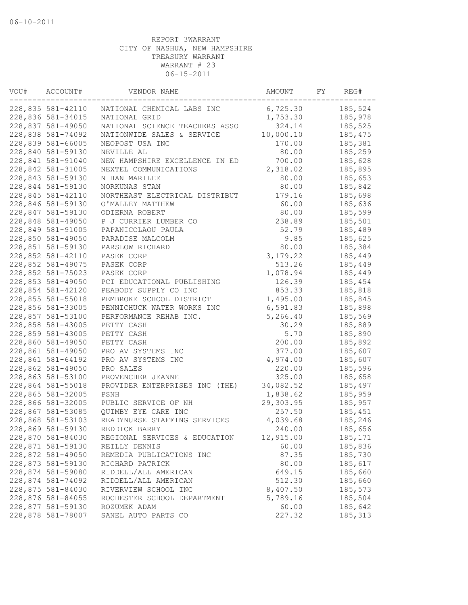| VOU# | ACCOUNT#          | VENDOR NAME                    | AMOUNT    | FY | REG#     |
|------|-------------------|--------------------------------|-----------|----|----------|
|      | 228,835 581-42110 | NATIONAL CHEMICAL LABS INC     | 6,725.30  |    | 185,524  |
|      | 228,836 581-34015 | NATIONAL GRID                  | 1,753.30  |    | 185,978  |
|      | 228,837 581-49050 | NATIONAL SCIENCE TEACHERS ASSO | 324.14    |    | 185,525  |
|      | 228,838 581-74092 | NATIONWIDE SALES & SERVICE     | 10,000.10 |    | 185, 475 |
|      | 228,839 581-66005 | NEOPOST USA INC                | 170.00    |    | 185,381  |
|      | 228,840 581-59130 | NEVILLE AL                     | 80.00     |    | 185,259  |
|      | 228,841 581-91040 | NEW HAMPSHIRE EXCELLENCE IN ED | 700.00    |    | 185,628  |
|      | 228,842 581-31005 | NEXTEL COMMUNICATIONS          | 2,318.02  |    | 185,895  |
|      | 228,843 581-59130 | NIHAN MARILEE                  | 80.00     |    | 185,653  |
|      | 228,844 581-59130 | NORKUNAS STAN                  | 80.00     |    | 185,842  |
|      | 228,845 581-42110 | NORTHEAST ELECTRICAL DISTRIBUT | 179.16    |    | 185,698  |
|      | 228,846 581-59130 | O'MALLEY MATTHEW               | 60.00     |    | 185,636  |
|      | 228,847 581-59130 | ODIERNA ROBERT                 | 80.00     |    | 185,599  |
|      | 228,848 581-49050 | P J CURRIER LUMBER CO          | 238.89    |    | 185,501  |
|      | 228,849 581-91005 | PAPANICOLAOU PAULA             | 52.79     |    | 185,489  |
|      | 228,850 581-49050 | PARADISE MALCOLM               | 9.85      |    | 185,625  |
|      | 228,851 581-59130 | PARSLOW RICHARD                | 80.00     |    | 185,384  |
|      | 228,852 581-42110 | PASEK CORP                     | 3, 179.22 |    | 185,449  |
|      | 228,852 581-49075 | PASEK CORP                     | 513.26    |    | 185,449  |
|      | 228,852 581-75023 | PASEK CORP                     | 1,078.94  |    | 185,449  |
|      | 228,853 581-49050 | PCI EDUCATIONAL PUBLISHING     | 126.39    |    | 185,454  |
|      | 228,854 581-42120 | PEABODY SUPPLY CO INC          | 853.33    |    | 185,818  |
|      | 228,855 581-55018 | PEMBROKE SCHOOL DISTRICT       | 1,495.00  |    | 185,845  |
|      | 228,856 581-33005 | PENNICHUCK WATER WORKS INC     | 6,591.83  |    | 185,898  |
|      | 228,857 581-53100 | PERFORMANCE REHAB INC.         | 5,266.40  |    | 185,569  |
|      | 228,858 581-43005 | PETTY CASH                     | 30.29     |    | 185,889  |
|      | 228,859 581-43005 | PETTY CASH                     | 5.70      |    | 185,890  |
|      | 228,860 581-49050 | PETTY CASH                     | 200.00    |    | 185,892  |
|      | 228,861 581-49050 | PRO AV SYSTEMS INC             | 377.00    |    | 185,607  |
|      | 228,861 581-64192 | PRO AV SYSTEMS INC             | 4,974.00  |    | 185,607  |
|      | 228,862 581-49050 | PRO SALES                      | 220.00    |    | 185,596  |
|      | 228,863 581-53100 | PROVENCHER JEANNE              | 325.00    |    | 185,658  |
|      | 228,864 581-55018 | PROVIDER ENTERPRISES INC (THE) | 34,082.52 |    | 185,497  |
|      | 228,865 581-32005 | PSNH                           | 1,838.62  |    | 185,959  |
|      | 228,866 581-32005 | PUBLIC SERVICE OF NH           | 29,303.95 |    | 185,957  |
|      | 228,867 581-53085 | QUIMBY EYE CARE INC            | 257.50    |    | 185,451  |
|      | 228,868 581-53103 | READYNURSE STAFFING SERVICES   | 4,039.68  |    | 185,246  |
|      | 228,869 581-59130 | REDDICK BARRY                  | 240.00    |    | 185,656  |
|      | 228,870 581-84030 | REGIONAL SERVICES & EDUCATION  | 12,915.00 |    | 185,171  |
|      | 228,871 581-59130 | REILLY DENNIS                  | 60.00     |    | 185,836  |
|      | 228,872 581-49050 | REMEDIA PUBLICATIONS INC       | 87.35     |    | 185,730  |
|      | 228,873 581-59130 | RICHARD PATRICK                | 80.00     |    | 185,617  |
|      | 228,874 581-59080 | RIDDELL/ALL AMERICAN           | 649.15    |    | 185,660  |
|      | 228,874 581-74092 | RIDDELL/ALL AMERICAN           | 512.30    |    | 185,660  |
|      | 228,875 581-84030 | RIVERVIEW SCHOOL INC           | 8,407.50  |    | 185,573  |
|      | 228,876 581-84055 | ROCHESTER SCHOOL DEPARTMENT    | 5,789.16  |    | 185,504  |
|      | 228,877 581-59130 | ROZUMEK ADAM                   | 60.00     |    | 185,642  |
|      | 228,878 581-78007 | SANEL AUTO PARTS CO            | 227.32    |    | 185, 313 |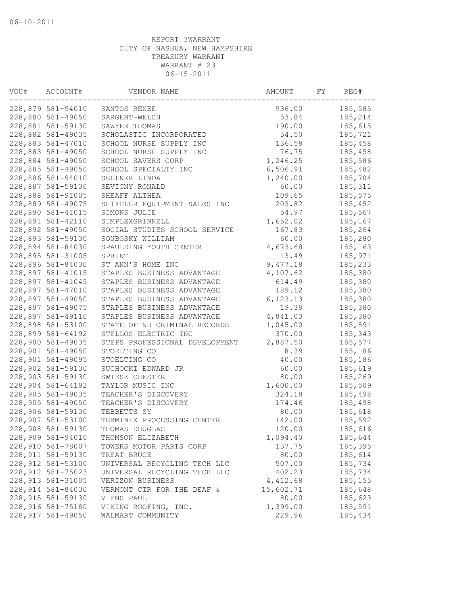| VOU# | ACCOUNT#           | VENDOR NAME                    | AMOUNT    | FY | REG#    |
|------|--------------------|--------------------------------|-----------|----|---------|
|      | 228,879 581-94010  | SANTOS RENEE                   | 936.00    |    | 185,585 |
|      | 228,880 581-49050  | SARGENT-WELCH                  | 53.84     |    | 185,214 |
|      | 228,881 581-59130  | SAWYER THOMAS                  | 190.00    |    | 185,615 |
|      | 228,882 581-49035  | SCHOLASTIC INCORPORATED        | 54.50     |    | 185,721 |
|      | 228,883 581-47010  | SCHOOL NURSE SUPPLY INC        | 136.58    |    | 185,458 |
|      | 228,883 581-49050  | SCHOOL NURSE SUPPLY INC        | 76.75     |    | 185,458 |
|      | 228,884 581-49050  | SCHOOL SAVERS CORP             | 1,246.25  |    | 185,586 |
|      | 228,885 581-49050  | SCHOOL SPECIALTY INC           | 6,506.91  |    | 185,482 |
|      | 228,886 581-94010  | SELLNER LINDA                  | 1,240.00  |    | 185,704 |
|      | 228,887 581-59130  | SEVIGNY RONALD                 | 60.00     |    | 185,311 |
|      | 228,888 581-91005  | SHEAFF ALTHEA                  | 109.65    |    | 185,575 |
|      | 228,889 581-49075  | SHIFFLER EQUIPMENT SALES INC   | 203.82    |    | 185,452 |
|      | 228,890 581-41015  | SIMONS JULIE                   | 54.97     |    | 185,567 |
|      | 228,891 581-42110  | SIMPLEXGRINNELL                | 1,652.02  |    | 185,167 |
|      | 228,892 581-49050  | SOCIAL STUDIES SCHOOL SERVICE  | 167.83    |    | 185,264 |
|      | 228,893 581-59130  | SOUBOSKY WILLIAM               | 60.00     |    | 185,280 |
|      | 228,894 581-84030  | SPAULDING YOUTH CENTER         | 4,673.68  |    | 185,163 |
|      | 228,895 581-31005  | SPRINT                         | 13.49     |    | 185,971 |
|      | 228,896 581-84030  | ST ANN'S HOME INC              | 9,477.18  |    | 185,233 |
|      | 228,897 581-41015  | STAPLES BUSINESS ADVANTAGE     | 4,107.62  |    | 185,380 |
|      | 228,897 581-41045  | STAPLES BUSINESS ADVANTAGE     | 614.49    |    | 185,380 |
|      | 228,897 581-47010  | STAPLES BUSINESS ADVANTAGE     | 189.12    |    | 185,380 |
|      | 228,897 581-49050  | STAPLES BUSINESS ADVANTAGE     | 6, 123.13 |    | 185,380 |
|      | 228,897 581-49075  | STAPLES BUSINESS ADVANTAGE     | 19.39     |    | 185,380 |
|      | 228,897 581-49110  | STAPLES BUSINESS ADVANTAGE     | 4,841.03  |    | 185,380 |
|      | 228,898 581-53100  | STATE OF NH CRIMINAL RECORDS   | 1,045.00  |    | 185,891 |
|      | 228,899 581-64192  | STELLOS ELECTRIC INC           | 370.00    |    | 185,343 |
|      | 228,900 581-49035  | STEPS PROFESSIONAL DEVELOPMENT | 2,887.50  |    | 185,577 |
|      | 228,901 581-49050  | STOELTING CO                   | 8.39      |    | 185,186 |
|      | 228,901 581-49095  | STOELTING CO                   | 40.00     |    | 185,186 |
|      | 228,902 581-59130  | SUCHOCKI EDWARD JR             | 60.00     |    | 185,619 |
|      | 228,903 581-59130  | SWIESZ CHESTER                 | 80.00     |    | 185,269 |
|      | 228,904 581-64192  | TAYLOR MUSIC INC               | 1,600.00  |    | 185,509 |
|      | 228,905 581-49035  | TEACHER'S DISCOVERY            | 324.18    |    | 185,498 |
|      | 228,905 581-49050  | TEACHER'S DISCOVERY            | 174.46    |    | 185,498 |
|      | 228,906 581-59130  | TEBBETTS SY                    | 80.00     |    | 185,618 |
|      | 228,907 581-53100  | TERMINIX PROCESSING CENTER     | 142.00    |    | 185,592 |
|      | 228,908 581-59130  | THOMAS DOUGLAS                 | 120.00    |    | 185,616 |
|      | 228,909 581-94010  | THOMSON ELIZABETH              | 1,094.40  |    | 185,644 |
|      | 228,910 581-78007  | TOWERS MOTOR PARTS CORP        | 137.75    |    | 185,395 |
|      | 228, 911 581-59130 | TREAT BRUCE                    | 80.00     |    | 185,614 |
|      | 228,912 581-53100  | UNIVERSAL RECYCLING TECH LLC   | 507.00    |    | 185,734 |
|      | 228, 912 581-75023 | UNIVERSAL RECYCLING TECH LLC   | 402.23    |    | 185,734 |
|      | 228, 913 581-31005 | VERIZON BUSINESS               | 4,412.68  |    | 185,155 |
|      | 228,914 581-84030  | VERMONT CTR FOR THE DEAF &     | 15,602.71 |    | 185,648 |
|      | 228, 915 581-59130 | VIENS PAUL                     | 80.00     |    | 185,623 |
|      | 228, 916 581-75180 | VIKING ROOFING, INC.           | 1,399.00  |    | 185,591 |
|      | 228, 917 581-49050 | WALMART COMMUNITY              | 229.96    |    | 185,434 |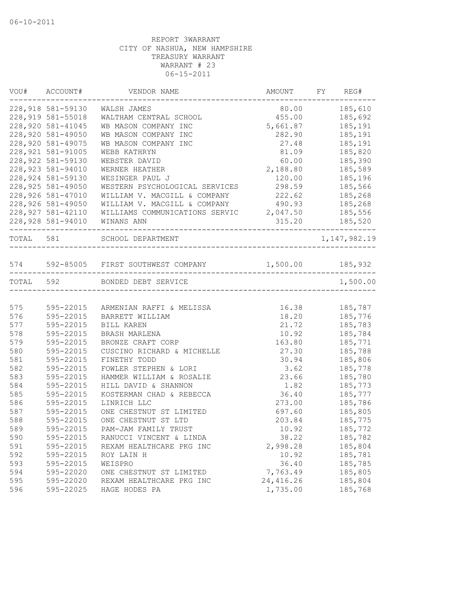|           | VOU# ACCOUNT#      | VENDOR NAME                                            | AMOUNT FY REG# |                    |
|-----------|--------------------|--------------------------------------------------------|----------------|--------------------|
|           | 228,918 581-59130  | WALSH JAMES                                            | 80.00 185,610  |                    |
|           | 228, 919 581-55018 | WALTHAM CENTRAL SCHOOL                                 | 455.00         | 185,692            |
|           | 228,920 581-41045  | WB MASON COMPANY INC                                   | 5,661.87       | 185,191            |
|           | 228,920 581-49050  | WB MASON COMPANY INC                                   | 282.90         | 185,191            |
|           | 228,920 581-49075  | WB MASON COMPANY INC                                   | 27.48          | 185,191            |
|           | 228, 921 581-91005 | WEBB KATHRYN                                           | 81.09          | 185,820            |
|           | 228, 922 581-59130 | WEBSTER DAVID                                          | 60.00          | 185,390            |
|           | 228, 923 581-94010 | WERNER HEATHER                                         | 2,188.80       | 185,589            |
|           | 228,924 581-59130  | WESINGER PAUL J                                        | 120.00         | 185,196            |
|           | 228, 925 581-49050 | WESTERN PSYCHOLOGICAL SERVICES 298.59                  |                | 185,566            |
|           | 228,926 581-47010  | WILLIAM V. MACGILL & COMPANY                           | 222.62 185,268 |                    |
|           | 228,926 581-49050  | WILLIAM V. MACGILL & COMPANY 490.93 185,268            |                |                    |
|           | 228, 927 581-42110 | WILLIAMS COMMUNICATIONS SERVIC 2,047.50 185,556        |                |                    |
|           | 228,928 581-94010  | WINANS ANN                                             |                | $315.20$ $185,520$ |
| TOTAL 581 |                    | SCHOOL DEPARTMENT<br>----------------------------      |                | 1, 147, 982. 19    |
|           |                    |                                                        |                |                    |
|           |                    | 574 592-85005 FIRST SOUTHWEST COMPANY 1,500.00 185,932 |                |                    |
|           |                    | TOTAL 592 BONDED DEBT SERVICE                          |                | 1,500.00           |
|           |                    |                                                        |                |                    |
| 575       | 595-22015          | ARMENIAN RAFFI & MELISSA                               | 16.38          | 185,787            |
| 576       | 595-22015          | BARRETT WILLIAM                                        | 18.20          | 185,776            |
| 577       | 595-22015          | BILL KAREN                                             | 21.72          | 185,783            |
| 578       | 595-22015          | BRASH MARLENA                                          | 10.92          | 185,784            |
| 579       | 595-22015          | BRONZE CRAFT CORP                                      | 163.80         | 185,771            |
| 580       | 595-22015          | CUSCINO RICHARD & MICHELLE                             | 27.30          | 185,788            |
| 581       | 595-22015          | FINETHY TODD                                           | 30.94          | 185,806            |
| 582       | 595-22015          | FOWLER STEPHEN & LORI                                  | 3.62           | 185,778            |
| 583       | 595-22015          | HAMMER WILLIAM & ROSALIE                               | 23.66          | 185,780            |
| 584       | 595-22015          | HILL DAVID & SHANNON                                   | 1.82           | 185,773            |
| 585       | 595-22015          | KOSTERMAN CHAD & REBECCA                               | 36.40          | 185,777            |
| 586       | 595-22015          | LINRICH LLC                                            | 273.00         | 185,786            |
| 587       | 595-22015          | ONE CHESTNUT ST LIMITED                                | 697.60         | 185,805            |
| 588       | 595-22015          | ONE CHESTNUT ST LTD                                    | 203.84         | 185,775            |
| 589       | 595-22015          | PAM-JAM FAMILY TRUST                                   | 10.92          | 185,772            |
| 590       | 595-22015          | RANUCCI VINCENT & LINDA                                | 38.22          | 185,782            |
| 591       | 595-22015          | REXAM HEALTHCARE PKG INC                               | 2,998.28       | 185,804            |
| 592       | 595-22015          | ROY LAIN H                                             | 10.92          | 185,781            |
| 593       | 595-22015          | WEISPRO                                                | 36.40          | 185,785            |
| 594       | 595-22020          | ONE CHESTNUT ST LIMITED                                | 7,763.49       | 185,805            |
| 595       | 595-22020          | REXAM HEALTHCARE PKG INC                               | 24,416.26      | 185,804            |
| 596       | 595-22025          | HAGE HODES PA                                          | 1,735.00       | 185,768            |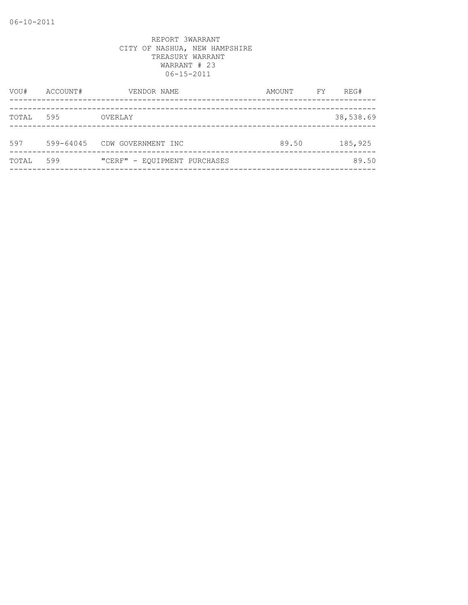| VOU#  | ACCOUNT#  | VENDOR NAME                  | AMOUNT | FY | REG#      |
|-------|-----------|------------------------------|--------|----|-----------|
| TOTAL | 595       | OVERLAY                      |        |    | 38,538.69 |
| 597   | 599-64045 | CDW GOVERNMENT INC           | 89.50  |    | 185,925   |
| TOTAL | 599       | "CERF" - EOUIPMENT PURCHASES |        |    | 89.50     |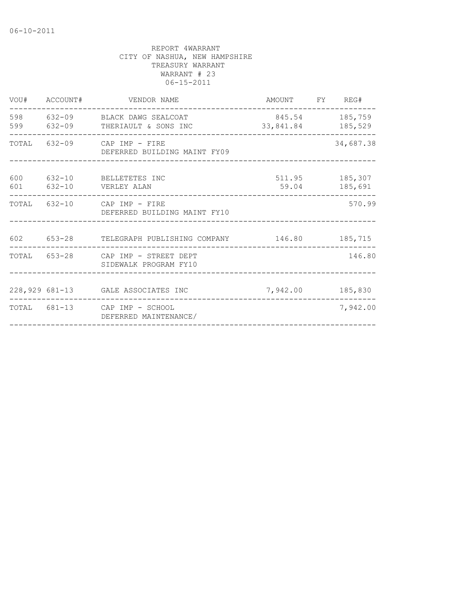|     | VOU# ACCOUNT# | VENDOR NAME                                                   | AMOUNT FY REG#                      |                           |
|-----|---------------|---------------------------------------------------------------|-------------------------------------|---------------------------|
| 598 |               | 632-09 BLACK DAWG SEALCOAT<br>599 632-09 THERIAULT & SONS INC | 845.54 185,759<br>33,841.84 185,529 |                           |
|     |               | TOTAL 632-09 CAP IMP - FIRE<br>DEFERRED BUILDING MAINT FY09   |                                     | 34,687.38                 |
| 600 |               | 632-10 BELLETETES INC<br>601 632-10 VERLEY ALAN               | 59.04                               | 511.95 185,307<br>185,691 |
|     |               | TOTAL 632-10 CAP IMP - FIRE<br>DEFERRED BUILDING MAINT FY10   | _______________________________     | 570.99                    |
| 602 |               | 653-28 TELEGRAPH PUBLISHING COMPANY 146.80 185,715            |                                     |                           |
|     |               | TOTAL 653-28 CAP IMP - STREET DEPT<br>SIDEWALK PROGRAM FY10   |                                     | 146.80                    |
|     |               | 228,929 681-13 GALE ASSOCIATES INC                            | 7,942.00 185,830                    |                           |
|     |               | TOTAL 681-13 CAP IMP - SCHOOL<br>DEFERRED MAINTENANCE/        |                                     | 7,942.00                  |
|     |               |                                                               |                                     |                           |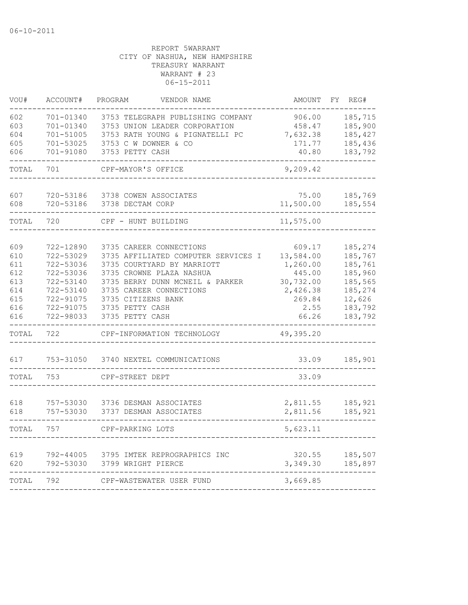| VOU#       | ACCOUNT#               | VENDOR NAME<br>PROGRAM              | AMOUNT        | REG#<br>FY         |
|------------|------------------------|-------------------------------------|---------------|--------------------|
| 602        | 701-01340              | 3753 TELEGRAPH PUBLISHING COMPANY   | 906.00        | 185,715            |
| 603        | 701-01340              | 3753 UNION LEADER CORPORATION       | 458.47        | 185,900            |
| 604        | 701-51005              | 3753 RATH YOUNG & PIGNATELLI PC     | 7,632.38      | 185,427            |
| 605        | 701-53025              | 3753 C W DOWNER & CO                | 171.77        | 185,436            |
| 606        | 701-91080              | 3753 PETTY CASH                     | 40.80         | 183,792            |
| TOTAL      | 701                    | CPF-MAYOR'S OFFICE                  | 9,209.42      |                    |
| 607        | 720-53186              | 3738 COWEN ASSOCIATES               | 75.00         | 185,769            |
| 608        | 720-53186              | 3738 DECTAM CORP                    | 11,500.00     | 185,554            |
| TOTAL      | 720                    | CPF - HUNT BUILDING                 | 11,575.00     |                    |
|            |                        |                                     |               |                    |
| 609        | 722-12890              | 3735 CAREER CONNECTIONS             | 609.17        | 185,274            |
| 610        | 722-53029              | 3735 AFFILIATED COMPUTER SERVICES I | 13,584.00     | 185,767            |
| 611        | 722-53036              | 3735 COURTYARD BY MARRIOTT          | 1,260.00      | 185,761            |
| 612        | 722-53036              | 3735 CROWNE PLAZA NASHUA            | 445.00        | 185,960            |
| 613        | 722-53140              | 3735 BERRY DUNN MCNEIL & PARKER     | 30,732.00     | 185,565            |
| 614        | 722-53140              | 3735 CAREER CONNECTIONS             | 2,426.38      | 185,274            |
| 615        | 722-91075              | 3735 CITIZENS BANK                  | 269.84        | 12,626             |
| 616<br>616 | 722-91075<br>722-98033 | 3735 PETTY CASH<br>3735 PETTY CASH  | 2.55<br>66.26 | 183,792<br>183,792 |
| TOTAL      | 722                    | CPF-INFORMATION TECHNOLOGY          | 49,395.20     |                    |
| 617        | 753-31050              | 3740 NEXTEL COMMUNICATIONS          | 33.09         | 185,901            |
| TOTAL      | 753                    | CPF-STREET DEPT                     | 33.09         |                    |
|            |                        |                                     |               |                    |
| 618        | 757-53030              | 3736 DESMAN ASSOCIATES              | 2,811.55      | 185,921            |
| 618        | 757-53030              | 3737 DESMAN ASSOCIATES              | 2,811.56      | 185,921            |
| TOTAL      | 757                    | CPF-PARKING LOTS                    | 5,623.11      |                    |
| 619        | 792-44005              | 3795 IMTEK REPROGRAPHICS INC        | 320.55        | 185,507            |
| 620        | 792-53030              | 3799 WRIGHT PIERCE                  | 3,349.30      | 185,897            |
| TOTAL      | 792                    | CPF-WASTEWATER USER FUND            | 3,669.85      |                    |
|            |                        |                                     |               |                    |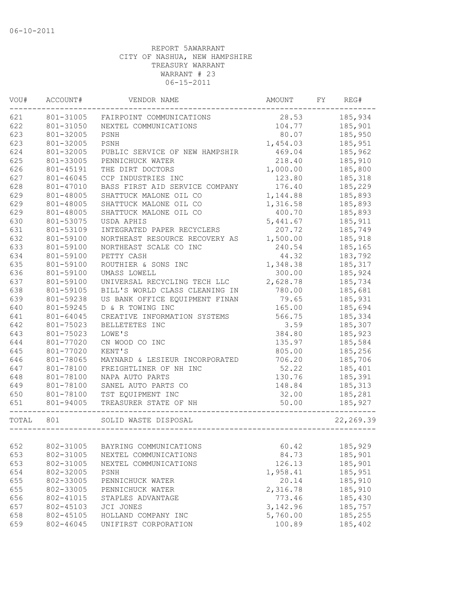| VOU#<br>ACCOUNT# |           | VENDOR NAME                    | AMOUNT   | FY | REG#       |  |
|------------------|-----------|--------------------------------|----------|----|------------|--|
| 621              | 801-31005 | FAIRPOINT COMMUNICATIONS       | 28.53    |    | 185,934    |  |
| 622              | 801-31050 | NEXTEL COMMUNICATIONS          | 104.77   |    | 185,901    |  |
| 623              | 801-32005 | PSNH                           | 80.07    |    | 185,950    |  |
| 623              | 801-32005 | PSNH                           | 1,454.03 |    | 185,951    |  |
| 624              | 801-32005 | PUBLIC SERVICE OF NEW HAMPSHIR | 469.04   |    | 185,962    |  |
| 625              | 801-33005 | PENNICHUCK WATER               | 218.40   |    | 185,910    |  |
| 626              | 801-45191 | THE DIRT DOCTORS               | 1,000.00 |    | 185,800    |  |
| 627              | 801-46045 | CCP INDUSTRIES INC             | 123.80   |    | 185,318    |  |
| 628              | 801-47010 | BASS FIRST AID SERVICE COMPANY | 176.40   |    | 185,229    |  |
| 629              | 801-48005 | SHATTUCK MALONE OIL CO         | 1,144.88 |    | 185,893    |  |
| 629              | 801-48005 | SHATTUCK MALONE OIL CO         | 1,316.58 |    | 185,893    |  |
| 629              | 801-48005 | SHATTUCK MALONE OIL CO         | 400.70   |    | 185,893    |  |
| 630              | 801-53075 | USDA APHIS                     | 5,441.67 |    | 185,911    |  |
| 631              | 801-53109 | INTEGRATED PAPER RECYCLERS     | 207.72   |    | 185,749    |  |
| 632              | 801-59100 | NORTHEAST RESOURCE RECOVERY AS | 1,500.00 |    | 185,918    |  |
| 633              | 801-59100 | NORTHEAST SCALE CO INC         | 240.54   |    | 185,165    |  |
| 634              | 801-59100 | PETTY CASH                     | 44.32    |    | 183,792    |  |
| 635              | 801-59100 | ROUTHIER & SONS INC            | 1,348.38 |    | 185,317    |  |
| 636              | 801-59100 | UMASS LOWELL                   | 300.00   |    | 185,924    |  |
| 637              | 801-59100 | UNIVERSAL RECYCLING TECH LLC   | 2,628.78 |    | 185,734    |  |
| 638              | 801-59105 | BILL'S WORLD CLASS CLEANING IN | 780.00   |    | 185,681    |  |
| 639              | 801-59238 | US BANK OFFICE EQUIPMENT FINAN | 79.65    |    | 185,931    |  |
| 640              | 801-59245 | D & R TOWING INC               | 165.00   |    | 185,694    |  |
| 641              | 801-64045 | CREATIVE INFORMATION SYSTEMS   | 566.75   |    | 185,334    |  |
| 642              | 801-75023 | BELLETETES INC                 | 3.59     |    | 185,307    |  |
| 643              | 801-75023 | LOWE'S                         | 384.80   |    | 185,923    |  |
| 644              | 801-77020 | CN WOOD CO INC                 | 135.97   |    | 185,584    |  |
| 645              | 801-77020 | KENT'S                         | 805.00   |    | 185,256    |  |
| 646              | 801-78065 | MAYNARD & LESIEUR INCORPORATED | 706.20   |    | 185,706    |  |
| 647              | 801-78100 | FREIGHTLINER OF NH INC         | 52.22    |    | 185,401    |  |
| 648              | 801-78100 | NAPA AUTO PARTS                | 130.76   |    | 185,391    |  |
| 649              | 801-78100 | SANEL AUTO PARTS CO            | 148.84   |    | 185, 313   |  |
| 650              | 801-78100 | TST EQUIPMENT INC              | 32.00    |    | 185,281    |  |
| 651              | 801-94005 | TREASURER STATE OF NH          | 50.00    |    | 185,927    |  |
| TOTAL            | 801       | SOLID WASTE DISPOSAL           |          |    | 22, 269.39 |  |
|                  |           |                                |          |    |            |  |
| 652              | 802-31005 | BAYRING COMMUNICATIONS         | 60.42    |    | 185,929    |  |
| 653              | 802-31005 | NEXTEL COMMUNICATIONS          | 84.73    |    | 185,901    |  |
| 653              | 802-31005 | NEXTEL COMMUNICATIONS          | 126.13   |    | 185,901    |  |
| 654              | 802-32005 | PSNH                           | 1,958.41 |    | 185,951    |  |
| 655              | 802-33005 | PENNICHUCK WATER               | 20.14    |    | 185,910    |  |
| 655              | 802-33005 | PENNICHUCK WATER               | 2,316.78 |    | 185,910    |  |
| 656              | 802-41015 | STAPLES ADVANTAGE              | 773.46   |    | 185,430    |  |
| 657              | 802-45103 | JCI JONES                      | 3,142.96 |    | 185,757    |  |
| 658              | 802-45105 | HOLLAND COMPANY INC            | 5,760.00 |    | 185,255    |  |
| 659              | 802-46045 | UNIFIRST CORPORATION           | 100.89   |    | 185,402    |  |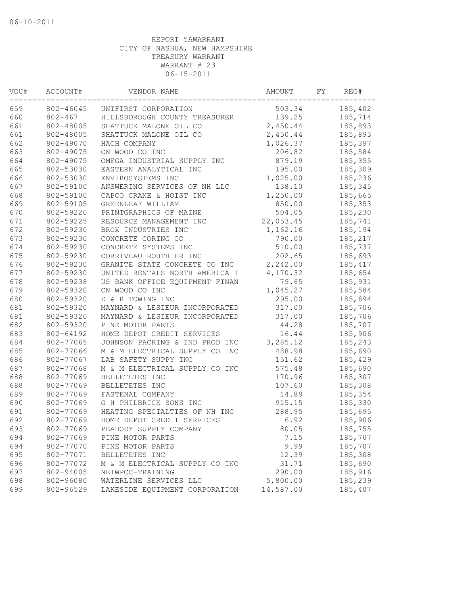| 185,402<br>802-46045<br>503.34<br>UNIFIRST CORPORATION<br>139.25<br>$802 - 467$<br>HILLSBOROUGH COUNTY TREASURER<br>185,714<br>802-48005<br>2,450.44<br>185,893<br>SHATTUCK MALONE OIL CO<br>2,450.44<br>802-48005<br>SHATTUCK MALONE OIL CO<br>185,893<br>662<br>802-49070<br>HACH COMPANY<br>1,026.37<br>185,397<br>663<br>802-49075<br>CN WOOD CO INC<br>206.82<br>185,584<br>664<br>802-49075<br>OMEGA INDUSTRIAL SUPPLY INC<br>879.19<br>185,355<br>665<br>195.00<br>185,309<br>802-53030<br>EASTERN ANALYTICAL INC<br>666<br>802-53030<br>ENVIROSYSTEMS INC<br>1,025.00<br>185,236<br>667<br>802-59100<br>ANSWERING SERVICES OF NH LLC<br>138.10<br>185,345<br>668<br>802-59100<br>1,250.00<br>185,665<br>CAPCO CRANE & HOIST INC<br>669<br>802-59105<br>GREENLEAF WILLIAM<br>850.00<br>185,353<br>670<br>802-59220<br>504.05<br>PRINTGRAPHICS OF MAINE<br>185,230<br>671<br>802-59225<br>22,053.45<br>RESOURCE MANAGEMENT INC<br>185,741<br>672<br>802-59230<br>1,162.16<br>185,194<br>BROX INDUSTRIES INC<br>673<br>802-59230<br>CONCRETE CORING CO<br>790.00<br>185,217<br>674<br>CONCRETE SYSTEMS INC<br>510.00<br>185,737<br>802-59230<br>675<br>202.65<br>802-59230<br>CORRIVEAU ROUTHIER INC<br>185,693<br>676<br>802-59230<br>GRANITE STATE CONCRETE CO INC<br>2,242.00<br>185, 417<br>677<br>802-59230<br>UNITED RENTALS NORTH AMERICA I<br>4,170.32<br>185,654<br>79.65<br>802-59238<br>US BANK OFFICE EQUIPMENT FINAN<br>185,931<br>802-59320<br>CN WOOD CO INC<br>1,045.27<br>185,584<br>D & R TOWING INC<br>802-59320<br>295.00<br>185,694<br>802-59320<br>317.00<br>185,706<br>MAYNARD & LESIEUR INCORPORATED<br>802-59320<br>317.00<br>185,706<br>MAYNARD & LESIEUR INCORPORATED<br>PINE MOTOR PARTS<br>44.28<br>185,707<br>802-59320<br>16.44<br>802-64192<br>HOME DEPOT CREDIT SERVICES<br>185,906<br>3,285.12<br>802-77065<br>JOHNSON PACKING & IND PROD INC<br>185,243<br>802-77066<br>M & M ELECTRICAL SUPPLY CO INC<br>488.98<br>185,690<br>LAB SAFETY SUPPY INC<br>185,429<br>802-77067<br>151.62<br>575.48<br>185,690<br>802-77068<br>M & M ELECTRICAL SUPPLY CO INC<br>170.96<br>802-77069<br>BELLETETES INC<br>185,307<br>802-77069<br>107.60<br>185,308<br>BELLETETES INC<br>802-77069<br>FASTENAL COMPANY<br>14.89<br>185,354<br>802-77069<br>G H PHILBRICK SONS INC<br>915.15<br>185,330<br>288.95<br>185,695<br>802-77069<br>HEATING SPECIALTIES OF NH INC<br>802-77069<br>HOME DEPOT CREDIT SERVICES<br>6.92<br>185,906<br>802-77069<br>PEABODY SUPPLY COMPANY<br>80.05<br>185,755<br>802-77069<br>PINE MOTOR PARTS<br>7.15<br>185,707<br>802-77070<br>PINE MOTOR PARTS<br>9.99<br>185,707<br>802-77071<br>12.39<br>185,308<br>BELLETETES INC<br>31.71<br>802-77072<br>185,690<br>M & M ELECTRICAL SUPPLY CO INC<br>802-94005<br>NEIWPCC-TRAINING<br>290.00<br>185,916<br>5,800.00<br>185,239<br>802-96080<br>WATERLINE SERVICES LLC<br>14,587.00<br>185,407<br>802-96529<br>LAKESIDE EQUIPMENT CORPORATION | VOU# | ACCOUNT#<br>VENDOR NAME |  | AMOUNT | FY | REG# |
|-------------------------------------------------------------------------------------------------------------------------------------------------------------------------------------------------------------------------------------------------------------------------------------------------------------------------------------------------------------------------------------------------------------------------------------------------------------------------------------------------------------------------------------------------------------------------------------------------------------------------------------------------------------------------------------------------------------------------------------------------------------------------------------------------------------------------------------------------------------------------------------------------------------------------------------------------------------------------------------------------------------------------------------------------------------------------------------------------------------------------------------------------------------------------------------------------------------------------------------------------------------------------------------------------------------------------------------------------------------------------------------------------------------------------------------------------------------------------------------------------------------------------------------------------------------------------------------------------------------------------------------------------------------------------------------------------------------------------------------------------------------------------------------------------------------------------------------------------------------------------------------------------------------------------------------------------------------------------------------------------------------------------------------------------------------------------------------------------------------------------------------------------------------------------------------------------------------------------------------------------------------------------------------------------------------------------------------------------------------------------------------------------------------------------------------------------------------------------------------------------------------------------------------------------------------------------------------------------------------------------------------------------------------------------------------------------------------------------------------------------------------------------------------------------------------------------------------------------------------------------------------------------------------------------------------------------|------|-------------------------|--|--------|----|------|
|                                                                                                                                                                                                                                                                                                                                                                                                                                                                                                                                                                                                                                                                                                                                                                                                                                                                                                                                                                                                                                                                                                                                                                                                                                                                                                                                                                                                                                                                                                                                                                                                                                                                                                                                                                                                                                                                                                                                                                                                                                                                                                                                                                                                                                                                                                                                                                                                                                                                                                                                                                                                                                                                                                                                                                                                                                                                                                                                                 | 659  |                         |  |        |    |      |
|                                                                                                                                                                                                                                                                                                                                                                                                                                                                                                                                                                                                                                                                                                                                                                                                                                                                                                                                                                                                                                                                                                                                                                                                                                                                                                                                                                                                                                                                                                                                                                                                                                                                                                                                                                                                                                                                                                                                                                                                                                                                                                                                                                                                                                                                                                                                                                                                                                                                                                                                                                                                                                                                                                                                                                                                                                                                                                                                                 | 660  |                         |  |        |    |      |
|                                                                                                                                                                                                                                                                                                                                                                                                                                                                                                                                                                                                                                                                                                                                                                                                                                                                                                                                                                                                                                                                                                                                                                                                                                                                                                                                                                                                                                                                                                                                                                                                                                                                                                                                                                                                                                                                                                                                                                                                                                                                                                                                                                                                                                                                                                                                                                                                                                                                                                                                                                                                                                                                                                                                                                                                                                                                                                                                                 | 661  |                         |  |        |    |      |
|                                                                                                                                                                                                                                                                                                                                                                                                                                                                                                                                                                                                                                                                                                                                                                                                                                                                                                                                                                                                                                                                                                                                                                                                                                                                                                                                                                                                                                                                                                                                                                                                                                                                                                                                                                                                                                                                                                                                                                                                                                                                                                                                                                                                                                                                                                                                                                                                                                                                                                                                                                                                                                                                                                                                                                                                                                                                                                                                                 | 661  |                         |  |        |    |      |
|                                                                                                                                                                                                                                                                                                                                                                                                                                                                                                                                                                                                                                                                                                                                                                                                                                                                                                                                                                                                                                                                                                                                                                                                                                                                                                                                                                                                                                                                                                                                                                                                                                                                                                                                                                                                                                                                                                                                                                                                                                                                                                                                                                                                                                                                                                                                                                                                                                                                                                                                                                                                                                                                                                                                                                                                                                                                                                                                                 |      |                         |  |        |    |      |
|                                                                                                                                                                                                                                                                                                                                                                                                                                                                                                                                                                                                                                                                                                                                                                                                                                                                                                                                                                                                                                                                                                                                                                                                                                                                                                                                                                                                                                                                                                                                                                                                                                                                                                                                                                                                                                                                                                                                                                                                                                                                                                                                                                                                                                                                                                                                                                                                                                                                                                                                                                                                                                                                                                                                                                                                                                                                                                                                                 |      |                         |  |        |    |      |
|                                                                                                                                                                                                                                                                                                                                                                                                                                                                                                                                                                                                                                                                                                                                                                                                                                                                                                                                                                                                                                                                                                                                                                                                                                                                                                                                                                                                                                                                                                                                                                                                                                                                                                                                                                                                                                                                                                                                                                                                                                                                                                                                                                                                                                                                                                                                                                                                                                                                                                                                                                                                                                                                                                                                                                                                                                                                                                                                                 |      |                         |  |        |    |      |
|                                                                                                                                                                                                                                                                                                                                                                                                                                                                                                                                                                                                                                                                                                                                                                                                                                                                                                                                                                                                                                                                                                                                                                                                                                                                                                                                                                                                                                                                                                                                                                                                                                                                                                                                                                                                                                                                                                                                                                                                                                                                                                                                                                                                                                                                                                                                                                                                                                                                                                                                                                                                                                                                                                                                                                                                                                                                                                                                                 |      |                         |  |        |    |      |
|                                                                                                                                                                                                                                                                                                                                                                                                                                                                                                                                                                                                                                                                                                                                                                                                                                                                                                                                                                                                                                                                                                                                                                                                                                                                                                                                                                                                                                                                                                                                                                                                                                                                                                                                                                                                                                                                                                                                                                                                                                                                                                                                                                                                                                                                                                                                                                                                                                                                                                                                                                                                                                                                                                                                                                                                                                                                                                                                                 |      |                         |  |        |    |      |
|                                                                                                                                                                                                                                                                                                                                                                                                                                                                                                                                                                                                                                                                                                                                                                                                                                                                                                                                                                                                                                                                                                                                                                                                                                                                                                                                                                                                                                                                                                                                                                                                                                                                                                                                                                                                                                                                                                                                                                                                                                                                                                                                                                                                                                                                                                                                                                                                                                                                                                                                                                                                                                                                                                                                                                                                                                                                                                                                                 |      |                         |  |        |    |      |
|                                                                                                                                                                                                                                                                                                                                                                                                                                                                                                                                                                                                                                                                                                                                                                                                                                                                                                                                                                                                                                                                                                                                                                                                                                                                                                                                                                                                                                                                                                                                                                                                                                                                                                                                                                                                                                                                                                                                                                                                                                                                                                                                                                                                                                                                                                                                                                                                                                                                                                                                                                                                                                                                                                                                                                                                                                                                                                                                                 |      |                         |  |        |    |      |
|                                                                                                                                                                                                                                                                                                                                                                                                                                                                                                                                                                                                                                                                                                                                                                                                                                                                                                                                                                                                                                                                                                                                                                                                                                                                                                                                                                                                                                                                                                                                                                                                                                                                                                                                                                                                                                                                                                                                                                                                                                                                                                                                                                                                                                                                                                                                                                                                                                                                                                                                                                                                                                                                                                                                                                                                                                                                                                                                                 |      |                         |  |        |    |      |
|                                                                                                                                                                                                                                                                                                                                                                                                                                                                                                                                                                                                                                                                                                                                                                                                                                                                                                                                                                                                                                                                                                                                                                                                                                                                                                                                                                                                                                                                                                                                                                                                                                                                                                                                                                                                                                                                                                                                                                                                                                                                                                                                                                                                                                                                                                                                                                                                                                                                                                                                                                                                                                                                                                                                                                                                                                                                                                                                                 |      |                         |  |        |    |      |
|                                                                                                                                                                                                                                                                                                                                                                                                                                                                                                                                                                                                                                                                                                                                                                                                                                                                                                                                                                                                                                                                                                                                                                                                                                                                                                                                                                                                                                                                                                                                                                                                                                                                                                                                                                                                                                                                                                                                                                                                                                                                                                                                                                                                                                                                                                                                                                                                                                                                                                                                                                                                                                                                                                                                                                                                                                                                                                                                                 |      |                         |  |        |    |      |
|                                                                                                                                                                                                                                                                                                                                                                                                                                                                                                                                                                                                                                                                                                                                                                                                                                                                                                                                                                                                                                                                                                                                                                                                                                                                                                                                                                                                                                                                                                                                                                                                                                                                                                                                                                                                                                                                                                                                                                                                                                                                                                                                                                                                                                                                                                                                                                                                                                                                                                                                                                                                                                                                                                                                                                                                                                                                                                                                                 |      |                         |  |        |    |      |
|                                                                                                                                                                                                                                                                                                                                                                                                                                                                                                                                                                                                                                                                                                                                                                                                                                                                                                                                                                                                                                                                                                                                                                                                                                                                                                                                                                                                                                                                                                                                                                                                                                                                                                                                                                                                                                                                                                                                                                                                                                                                                                                                                                                                                                                                                                                                                                                                                                                                                                                                                                                                                                                                                                                                                                                                                                                                                                                                                 |      |                         |  |        |    |      |
|                                                                                                                                                                                                                                                                                                                                                                                                                                                                                                                                                                                                                                                                                                                                                                                                                                                                                                                                                                                                                                                                                                                                                                                                                                                                                                                                                                                                                                                                                                                                                                                                                                                                                                                                                                                                                                                                                                                                                                                                                                                                                                                                                                                                                                                                                                                                                                                                                                                                                                                                                                                                                                                                                                                                                                                                                                                                                                                                                 |      |                         |  |        |    |      |
|                                                                                                                                                                                                                                                                                                                                                                                                                                                                                                                                                                                                                                                                                                                                                                                                                                                                                                                                                                                                                                                                                                                                                                                                                                                                                                                                                                                                                                                                                                                                                                                                                                                                                                                                                                                                                                                                                                                                                                                                                                                                                                                                                                                                                                                                                                                                                                                                                                                                                                                                                                                                                                                                                                                                                                                                                                                                                                                                                 |      |                         |  |        |    |      |
|                                                                                                                                                                                                                                                                                                                                                                                                                                                                                                                                                                                                                                                                                                                                                                                                                                                                                                                                                                                                                                                                                                                                                                                                                                                                                                                                                                                                                                                                                                                                                                                                                                                                                                                                                                                                                                                                                                                                                                                                                                                                                                                                                                                                                                                                                                                                                                                                                                                                                                                                                                                                                                                                                                                                                                                                                                                                                                                                                 |      |                         |  |        |    |      |
|                                                                                                                                                                                                                                                                                                                                                                                                                                                                                                                                                                                                                                                                                                                                                                                                                                                                                                                                                                                                                                                                                                                                                                                                                                                                                                                                                                                                                                                                                                                                                                                                                                                                                                                                                                                                                                                                                                                                                                                                                                                                                                                                                                                                                                                                                                                                                                                                                                                                                                                                                                                                                                                                                                                                                                                                                                                                                                                                                 |      |                         |  |        |    |      |
|                                                                                                                                                                                                                                                                                                                                                                                                                                                                                                                                                                                                                                                                                                                                                                                                                                                                                                                                                                                                                                                                                                                                                                                                                                                                                                                                                                                                                                                                                                                                                                                                                                                                                                                                                                                                                                                                                                                                                                                                                                                                                                                                                                                                                                                                                                                                                                                                                                                                                                                                                                                                                                                                                                                                                                                                                                                                                                                                                 | 678  |                         |  |        |    |      |
|                                                                                                                                                                                                                                                                                                                                                                                                                                                                                                                                                                                                                                                                                                                                                                                                                                                                                                                                                                                                                                                                                                                                                                                                                                                                                                                                                                                                                                                                                                                                                                                                                                                                                                                                                                                                                                                                                                                                                                                                                                                                                                                                                                                                                                                                                                                                                                                                                                                                                                                                                                                                                                                                                                                                                                                                                                                                                                                                                 | 679  |                         |  |        |    |      |
|                                                                                                                                                                                                                                                                                                                                                                                                                                                                                                                                                                                                                                                                                                                                                                                                                                                                                                                                                                                                                                                                                                                                                                                                                                                                                                                                                                                                                                                                                                                                                                                                                                                                                                                                                                                                                                                                                                                                                                                                                                                                                                                                                                                                                                                                                                                                                                                                                                                                                                                                                                                                                                                                                                                                                                                                                                                                                                                                                 | 680  |                         |  |        |    |      |
|                                                                                                                                                                                                                                                                                                                                                                                                                                                                                                                                                                                                                                                                                                                                                                                                                                                                                                                                                                                                                                                                                                                                                                                                                                                                                                                                                                                                                                                                                                                                                                                                                                                                                                                                                                                                                                                                                                                                                                                                                                                                                                                                                                                                                                                                                                                                                                                                                                                                                                                                                                                                                                                                                                                                                                                                                                                                                                                                                 | 681  |                         |  |        |    |      |
|                                                                                                                                                                                                                                                                                                                                                                                                                                                                                                                                                                                                                                                                                                                                                                                                                                                                                                                                                                                                                                                                                                                                                                                                                                                                                                                                                                                                                                                                                                                                                                                                                                                                                                                                                                                                                                                                                                                                                                                                                                                                                                                                                                                                                                                                                                                                                                                                                                                                                                                                                                                                                                                                                                                                                                                                                                                                                                                                                 | 681  |                         |  |        |    |      |
|                                                                                                                                                                                                                                                                                                                                                                                                                                                                                                                                                                                                                                                                                                                                                                                                                                                                                                                                                                                                                                                                                                                                                                                                                                                                                                                                                                                                                                                                                                                                                                                                                                                                                                                                                                                                                                                                                                                                                                                                                                                                                                                                                                                                                                                                                                                                                                                                                                                                                                                                                                                                                                                                                                                                                                                                                                                                                                                                                 | 682  |                         |  |        |    |      |
|                                                                                                                                                                                                                                                                                                                                                                                                                                                                                                                                                                                                                                                                                                                                                                                                                                                                                                                                                                                                                                                                                                                                                                                                                                                                                                                                                                                                                                                                                                                                                                                                                                                                                                                                                                                                                                                                                                                                                                                                                                                                                                                                                                                                                                                                                                                                                                                                                                                                                                                                                                                                                                                                                                                                                                                                                                                                                                                                                 | 683  |                         |  |        |    |      |
|                                                                                                                                                                                                                                                                                                                                                                                                                                                                                                                                                                                                                                                                                                                                                                                                                                                                                                                                                                                                                                                                                                                                                                                                                                                                                                                                                                                                                                                                                                                                                                                                                                                                                                                                                                                                                                                                                                                                                                                                                                                                                                                                                                                                                                                                                                                                                                                                                                                                                                                                                                                                                                                                                                                                                                                                                                                                                                                                                 | 684  |                         |  |        |    |      |
|                                                                                                                                                                                                                                                                                                                                                                                                                                                                                                                                                                                                                                                                                                                                                                                                                                                                                                                                                                                                                                                                                                                                                                                                                                                                                                                                                                                                                                                                                                                                                                                                                                                                                                                                                                                                                                                                                                                                                                                                                                                                                                                                                                                                                                                                                                                                                                                                                                                                                                                                                                                                                                                                                                                                                                                                                                                                                                                                                 | 685  |                         |  |        |    |      |
|                                                                                                                                                                                                                                                                                                                                                                                                                                                                                                                                                                                                                                                                                                                                                                                                                                                                                                                                                                                                                                                                                                                                                                                                                                                                                                                                                                                                                                                                                                                                                                                                                                                                                                                                                                                                                                                                                                                                                                                                                                                                                                                                                                                                                                                                                                                                                                                                                                                                                                                                                                                                                                                                                                                                                                                                                                                                                                                                                 | 686  |                         |  |        |    |      |
|                                                                                                                                                                                                                                                                                                                                                                                                                                                                                                                                                                                                                                                                                                                                                                                                                                                                                                                                                                                                                                                                                                                                                                                                                                                                                                                                                                                                                                                                                                                                                                                                                                                                                                                                                                                                                                                                                                                                                                                                                                                                                                                                                                                                                                                                                                                                                                                                                                                                                                                                                                                                                                                                                                                                                                                                                                                                                                                                                 | 687  |                         |  |        |    |      |
|                                                                                                                                                                                                                                                                                                                                                                                                                                                                                                                                                                                                                                                                                                                                                                                                                                                                                                                                                                                                                                                                                                                                                                                                                                                                                                                                                                                                                                                                                                                                                                                                                                                                                                                                                                                                                                                                                                                                                                                                                                                                                                                                                                                                                                                                                                                                                                                                                                                                                                                                                                                                                                                                                                                                                                                                                                                                                                                                                 | 688  |                         |  |        |    |      |
|                                                                                                                                                                                                                                                                                                                                                                                                                                                                                                                                                                                                                                                                                                                                                                                                                                                                                                                                                                                                                                                                                                                                                                                                                                                                                                                                                                                                                                                                                                                                                                                                                                                                                                                                                                                                                                                                                                                                                                                                                                                                                                                                                                                                                                                                                                                                                                                                                                                                                                                                                                                                                                                                                                                                                                                                                                                                                                                                                 | 688  |                         |  |        |    |      |
|                                                                                                                                                                                                                                                                                                                                                                                                                                                                                                                                                                                                                                                                                                                                                                                                                                                                                                                                                                                                                                                                                                                                                                                                                                                                                                                                                                                                                                                                                                                                                                                                                                                                                                                                                                                                                                                                                                                                                                                                                                                                                                                                                                                                                                                                                                                                                                                                                                                                                                                                                                                                                                                                                                                                                                                                                                                                                                                                                 | 689  |                         |  |        |    |      |
|                                                                                                                                                                                                                                                                                                                                                                                                                                                                                                                                                                                                                                                                                                                                                                                                                                                                                                                                                                                                                                                                                                                                                                                                                                                                                                                                                                                                                                                                                                                                                                                                                                                                                                                                                                                                                                                                                                                                                                                                                                                                                                                                                                                                                                                                                                                                                                                                                                                                                                                                                                                                                                                                                                                                                                                                                                                                                                                                                 | 690  |                         |  |        |    |      |
|                                                                                                                                                                                                                                                                                                                                                                                                                                                                                                                                                                                                                                                                                                                                                                                                                                                                                                                                                                                                                                                                                                                                                                                                                                                                                                                                                                                                                                                                                                                                                                                                                                                                                                                                                                                                                                                                                                                                                                                                                                                                                                                                                                                                                                                                                                                                                                                                                                                                                                                                                                                                                                                                                                                                                                                                                                                                                                                                                 | 691  |                         |  |        |    |      |
|                                                                                                                                                                                                                                                                                                                                                                                                                                                                                                                                                                                                                                                                                                                                                                                                                                                                                                                                                                                                                                                                                                                                                                                                                                                                                                                                                                                                                                                                                                                                                                                                                                                                                                                                                                                                                                                                                                                                                                                                                                                                                                                                                                                                                                                                                                                                                                                                                                                                                                                                                                                                                                                                                                                                                                                                                                                                                                                                                 | 692  |                         |  |        |    |      |
|                                                                                                                                                                                                                                                                                                                                                                                                                                                                                                                                                                                                                                                                                                                                                                                                                                                                                                                                                                                                                                                                                                                                                                                                                                                                                                                                                                                                                                                                                                                                                                                                                                                                                                                                                                                                                                                                                                                                                                                                                                                                                                                                                                                                                                                                                                                                                                                                                                                                                                                                                                                                                                                                                                                                                                                                                                                                                                                                                 | 693  |                         |  |        |    |      |
|                                                                                                                                                                                                                                                                                                                                                                                                                                                                                                                                                                                                                                                                                                                                                                                                                                                                                                                                                                                                                                                                                                                                                                                                                                                                                                                                                                                                                                                                                                                                                                                                                                                                                                                                                                                                                                                                                                                                                                                                                                                                                                                                                                                                                                                                                                                                                                                                                                                                                                                                                                                                                                                                                                                                                                                                                                                                                                                                                 | 694  |                         |  |        |    |      |
|                                                                                                                                                                                                                                                                                                                                                                                                                                                                                                                                                                                                                                                                                                                                                                                                                                                                                                                                                                                                                                                                                                                                                                                                                                                                                                                                                                                                                                                                                                                                                                                                                                                                                                                                                                                                                                                                                                                                                                                                                                                                                                                                                                                                                                                                                                                                                                                                                                                                                                                                                                                                                                                                                                                                                                                                                                                                                                                                                 | 694  |                         |  |        |    |      |
|                                                                                                                                                                                                                                                                                                                                                                                                                                                                                                                                                                                                                                                                                                                                                                                                                                                                                                                                                                                                                                                                                                                                                                                                                                                                                                                                                                                                                                                                                                                                                                                                                                                                                                                                                                                                                                                                                                                                                                                                                                                                                                                                                                                                                                                                                                                                                                                                                                                                                                                                                                                                                                                                                                                                                                                                                                                                                                                                                 | 695  |                         |  |        |    |      |
|                                                                                                                                                                                                                                                                                                                                                                                                                                                                                                                                                                                                                                                                                                                                                                                                                                                                                                                                                                                                                                                                                                                                                                                                                                                                                                                                                                                                                                                                                                                                                                                                                                                                                                                                                                                                                                                                                                                                                                                                                                                                                                                                                                                                                                                                                                                                                                                                                                                                                                                                                                                                                                                                                                                                                                                                                                                                                                                                                 | 696  |                         |  |        |    |      |
|                                                                                                                                                                                                                                                                                                                                                                                                                                                                                                                                                                                                                                                                                                                                                                                                                                                                                                                                                                                                                                                                                                                                                                                                                                                                                                                                                                                                                                                                                                                                                                                                                                                                                                                                                                                                                                                                                                                                                                                                                                                                                                                                                                                                                                                                                                                                                                                                                                                                                                                                                                                                                                                                                                                                                                                                                                                                                                                                                 | 697  |                         |  |        |    |      |
|                                                                                                                                                                                                                                                                                                                                                                                                                                                                                                                                                                                                                                                                                                                                                                                                                                                                                                                                                                                                                                                                                                                                                                                                                                                                                                                                                                                                                                                                                                                                                                                                                                                                                                                                                                                                                                                                                                                                                                                                                                                                                                                                                                                                                                                                                                                                                                                                                                                                                                                                                                                                                                                                                                                                                                                                                                                                                                                                                 | 698  |                         |  |        |    |      |
|                                                                                                                                                                                                                                                                                                                                                                                                                                                                                                                                                                                                                                                                                                                                                                                                                                                                                                                                                                                                                                                                                                                                                                                                                                                                                                                                                                                                                                                                                                                                                                                                                                                                                                                                                                                                                                                                                                                                                                                                                                                                                                                                                                                                                                                                                                                                                                                                                                                                                                                                                                                                                                                                                                                                                                                                                                                                                                                                                 | 699  |                         |  |        |    |      |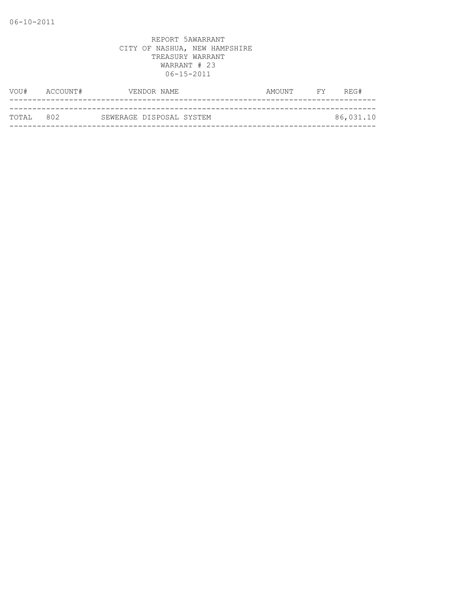| VOU#       | ACCOUNT# | VENDOR NAME              | FY 1<br>AMOUNT | REG#      |
|------------|----------|--------------------------|----------------|-----------|
|            |          |                          |                |           |
| тотат. 802 |          | SEWERAGE DISPOSAL SYSTEM |                | 86,031.10 |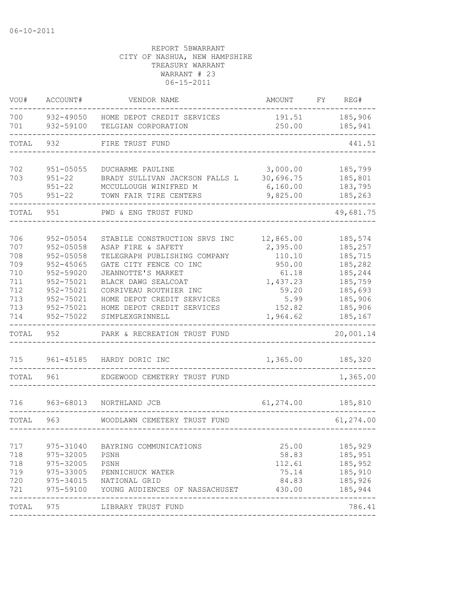| VOU#                                                               | ACCOUNT#                                                                                                                                       | VENDOR NAME                                                                                                                                                                                                                                                         | AMOUNT                                                                                                | FY | REG#                                                                                                       |
|--------------------------------------------------------------------|------------------------------------------------------------------------------------------------------------------------------------------------|---------------------------------------------------------------------------------------------------------------------------------------------------------------------------------------------------------------------------------------------------------------------|-------------------------------------------------------------------------------------------------------|----|------------------------------------------------------------------------------------------------------------|
| 700<br>701                                                         | 932-49050<br>932-59100                                                                                                                         | HOME DEPOT CREDIT SERVICES<br>TELGIAN CORPORATION                                                                                                                                                                                                                   | 191.51<br>250.00                                                                                      |    | 185,906<br>185,941                                                                                         |
| TOTAL                                                              | 932                                                                                                                                            | FIRE TRUST FUND                                                                                                                                                                                                                                                     |                                                                                                       |    | 441.51                                                                                                     |
| 702<br>703<br>705                                                  | $951 - 05055$<br>$951 - 22$<br>$951 - 22$<br>$951 - 22$                                                                                        | DUCHARME PAULINE<br>BRADY SULLIVAN JACKSON FALLS L<br>MCCULLOUGH WINIFRED M<br>TOWN FAIR TIRE CENTERS                                                                                                                                                               | 3,000.00<br>30,696.75<br>6,160.00<br>9,825.00                                                         |    | 185,799<br>185,801<br>183,795<br>185,263                                                                   |
| TOTAL                                                              | 951                                                                                                                                            | PWD & ENG TRUST FUND                                                                                                                                                                                                                                                |                                                                                                       |    | 49,681.75                                                                                                  |
| 706<br>707<br>708<br>709<br>710<br>711<br>712<br>713<br>713<br>714 | $952 - 05054$<br>$952 - 05058$<br>$952 - 05058$<br>$952 - 45065$<br>952-59020<br>952-75021<br>952-75021<br>952-75021<br>952-75021<br>952-75022 | STABILE CONSTRUCTION SRVS INC<br>ASAP FIRE & SAFETY<br>TELEGRAPH PUBLISHING COMPANY<br>GATE CITY FENCE CO INC<br>JEANNOTTE'S MARKET<br>BLACK DAWG SEALCOAT<br>CORRIVEAU ROUTHIER INC<br>HOME DEPOT CREDIT SERVICES<br>HOME DEPOT CREDIT SERVICES<br>SIMPLEXGRINNELL | 12,865.00<br>2,395.00<br>110.10<br>950.00<br>61.18<br>1,437.23<br>59.20<br>5.99<br>152.82<br>1,964.62 |    | 185,574<br>185,257<br>185,715<br>185,282<br>185,244<br>185,759<br>185,693<br>185,906<br>185,906<br>185,167 |
| TOTAL                                                              | 952                                                                                                                                            | PARK & RECREATION TRUST FUND                                                                                                                                                                                                                                        |                                                                                                       |    | 20,001.14                                                                                                  |
| 715                                                                | 961-45185                                                                                                                                      | HARDY DORIC INC                                                                                                                                                                                                                                                     | 1,365.00                                                                                              |    | 185,320                                                                                                    |
| TOTAL                                                              | 961                                                                                                                                            | EDGEWOOD CEMETERY TRUST FUND                                                                                                                                                                                                                                        |                                                                                                       |    | 1,365.00                                                                                                   |
| 716                                                                | 963-68013                                                                                                                                      | NORTHLAND JCB                                                                                                                                                                                                                                                       | 61,274.00                                                                                             |    | 185,810                                                                                                    |
| TOTAL                                                              | 963                                                                                                                                            | WOODLAWN CEMETERY TRUST FUND                                                                                                                                                                                                                                        |                                                                                                       |    | 61,274.00                                                                                                  |
| 717<br>718<br>718<br>719<br>720<br>721                             | 975-31040<br>975-32005<br>975-32005<br>975-33005<br>975-34015<br>975-59100                                                                     | BAYRING COMMUNICATIONS<br>PSNH<br>PSNH<br>PENNICHUCK WATER<br>NATIONAL GRID<br>YOUNG AUDIENCES OF NASSACHUSET                                                                                                                                                       | 25.00<br>58.83<br>112.61<br>75.14<br>84.83<br>430.00                                                  |    | 185,929<br>185,951<br>185,952<br>185,910<br>185,926<br>185,944                                             |
| TOTAL                                                              | 975                                                                                                                                            | LIBRARY TRUST FUND                                                                                                                                                                                                                                                  |                                                                                                       |    | 786.41                                                                                                     |
|                                                                    |                                                                                                                                                |                                                                                                                                                                                                                                                                     |                                                                                                       |    |                                                                                                            |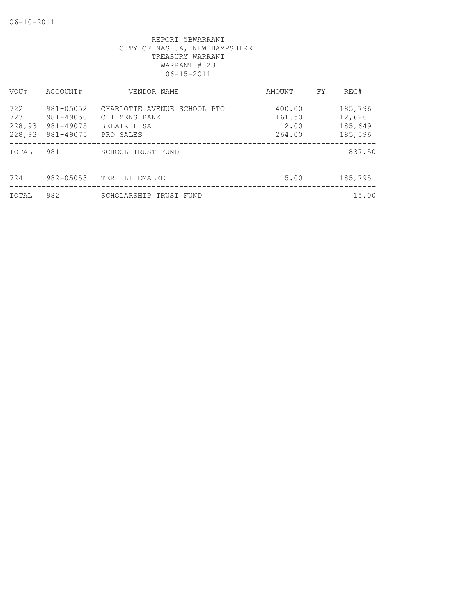| VOU#                           | ACCOUNT#                                         | VENDOR NAME                                                              | AMOUNT                              | FY. | REG#                                    |
|--------------------------------|--------------------------------------------------|--------------------------------------------------------------------------|-------------------------------------|-----|-----------------------------------------|
| 722<br>723<br>228,93<br>228,93 | 981-05052<br>981-49050<br>981-49075<br>981-49075 | CHARLOTTE AVENUE SCHOOL PTO<br>CITIZENS BANK<br>BELAIR LISA<br>PRO SALES | 400.00<br>161.50<br>12.00<br>264.00 |     | 185,796<br>12,626<br>185,649<br>185,596 |
| TOTAL                          | 981                                              | SCHOOL TRUST FUND                                                        |                                     |     | 837.50                                  |
| 724                            | $982 - 05053$                                    | TERILLI EMALEE                                                           | 15.00                               |     | 185,795                                 |
| TOTAL                          | 982                                              | SCHOLARSHIP TRUST FUND                                                   |                                     |     | 15.00                                   |
|                                |                                                  |                                                                          |                                     |     |                                         |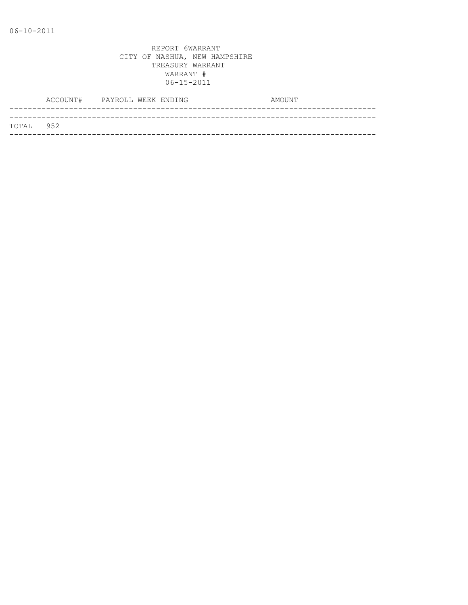|           | ACCOUNT# PAYROLL WEEK ENDING |  |  | AMOUNT |
|-----------|------------------------------|--|--|--------|
|           |                              |  |  |        |
| TOTAL 952 |                              |  |  |        |
|           |                              |  |  |        |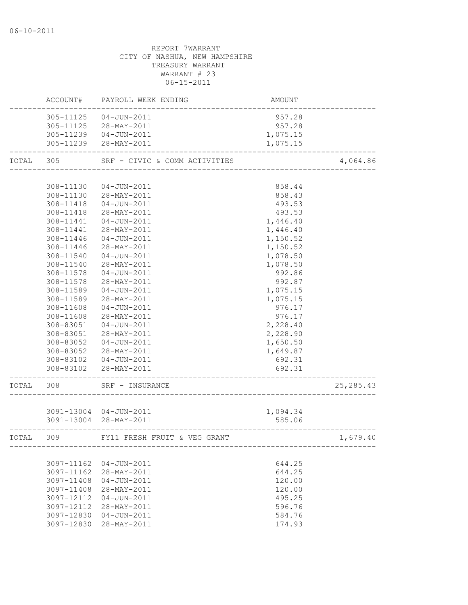# REPORT 7WARRANT CITY OF NASHUA, NEW HAMPSHIRE TREASURY WARRANT WARRANT # 23 06-15-2011 ACCOUNT# PAYROLL WEEK ENDING AMOUNT

|           | 305-11125  | 04-JUN-2011                   | 957.28   |            |
|-----------|------------|-------------------------------|----------|------------|
|           | 305-11125  | 28-MAY-2011                   | 957.28   |            |
|           | 305-11239  | $04 - JUN - 2011$             | 1,075.15 |            |
|           | 305-11239  | 28-MAY-2011                   | 1,075.15 |            |
|           |            |                               |          |            |
| TOTAL 305 |            | SRF - CIVIC & COMM ACTIVITIES |          | 4,064.86   |
|           |            |                               |          |            |
|           | 308-11130  | 04-JUN-2011                   | 858.44   |            |
|           | 308-11130  | 28-MAY-2011                   | 858.43   |            |
|           | 308-11418  | 04-JUN-2011                   | 493.53   |            |
|           | 308-11418  | 28-MAY-2011                   | 493.53   |            |
|           | 308-11441  | 04-JUN-2011                   | 1,446.40 |            |
|           | 308-11441  | 28-MAY-2011                   | 1,446.40 |            |
|           | 308-11446  | $04 - JUN - 2011$             | 1,150.52 |            |
|           | 308-11446  | 28-MAY-2011                   | 1,150.52 |            |
|           | 308-11540  | 04-JUN-2011                   | 1,078.50 |            |
|           | 308-11540  | 28-MAY-2011                   | 1,078.50 |            |
|           | 308-11578  | $04 - JUN - 2011$             | 992.86   |            |
|           | 308-11578  | 28-MAY-2011                   | 992.87   |            |
|           | 308-11589  | 04-JUN-2011                   | 1,075.15 |            |
|           | 308-11589  | 28-MAY-2011                   | 1,075.15 |            |
|           | 308-11608  | 04-JUN-2011                   | 976.17   |            |
|           | 308-11608  | 28-MAY-2011                   | 976.17   |            |
|           | 308-83051  | $04 - JUN - 2011$             | 2,228.40 |            |
|           | 308-83051  | 28-MAY-2011                   | 2,228.90 |            |
|           | 308-83052  | 04-JUN-2011                   | 1,650.50 |            |
|           | 308-83052  | 28-MAY-2011                   | 1,649.87 |            |
|           |            | 308-83102  04-JUN-2011        | 692.31   |            |
|           |            |                               |          |            |
|           | 308-83102  | 28-MAY-2011                   | 692.31   |            |
| TOTAL 308 |            | SRF - INSURANCE               |          | 25, 285.43 |
|           |            |                               |          |            |
|           |            | 3091-13004 04-JUN-2011        | 1,094.34 |            |
|           |            | 3091-13004 28-MAY-2011        | 585.06   |            |
| TOTAL     | 309        | FY11 FRESH FRUIT & VEG GRANT  |          | 1,679.40   |
|           |            |                               |          |            |
|           | 3097-11162 | $04 - JUN - 2011$             | 644.25   |            |
|           | 3097-11162 | 28-MAY-2011                   | 644.25   |            |
|           | 3097-11408 | $04 - JUN - 2011$             | 120.00   |            |
|           | 3097-11408 | 28-MAY-2011                   | 120.00   |            |
|           | 3097-12112 | $04 - JUN - 2011$             | 495.25   |            |
|           | 3097-12112 | $28 - MAX - 2011$             | 596.76   |            |
|           | 3097-12830 | $04 - JUN - 2011$             | 584.76   |            |
|           | 3097-12830 | 28-MAY-2011                   | 174.93   |            |
|           |            |                               |          |            |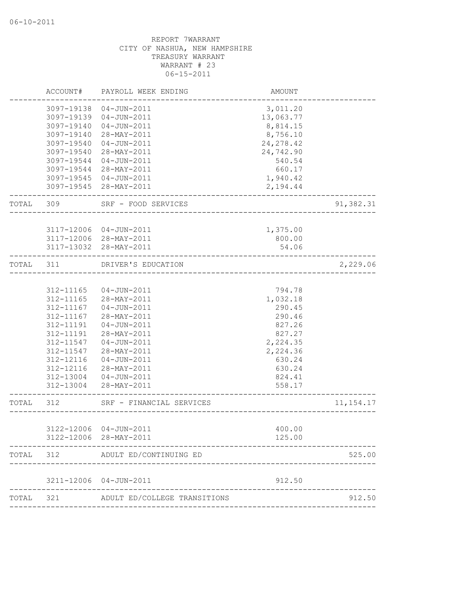|       | ACCOUNT#   | PAYROLL WEEK ENDING                                     | AMOUNT                     |             |
|-------|------------|---------------------------------------------------------|----------------------------|-------------|
|       | 3097-19138 | 04-JUN-2011                                             | 3,011.20                   |             |
|       | 3097-19139 | 04-JUN-2011                                             | 13,063.77                  |             |
|       | 3097-19140 | $04 - JUN - 2011$                                       | 8,814.15                   |             |
|       | 3097-19140 | 28-MAY-2011                                             | 8,756.10                   |             |
|       | 3097-19540 | 04-JUN-2011                                             | 24, 278.42                 |             |
|       | 3097-19540 | 28-MAY-2011                                             | 24,742.90                  |             |
|       | 3097-19544 | $04 - JUN - 2011$                                       | 540.54                     |             |
|       | 3097-19544 | 28-MAY-2011                                             | 660.17                     |             |
|       | 3097-19545 | 04-JUN-2011                                             | 1,940.42                   |             |
|       |            | 3097-19545 28-MAY-2011                                  | 2,194.44                   |             |
| TOTAL | 309        | SRF - FOOD SERVICES                                     |                            | 91,382.31   |
|       |            |                                                         |                            |             |
|       |            | 3117-12006 04-JUN-2011                                  | 1,375.00                   |             |
|       |            | 3117-12006 28-MAY-2011                                  | 800.00                     |             |
|       |            | 3117-13032 28-MAY-2011                                  | 54.06                      |             |
| TOTAL | 311        | DRIVER'S EDUCATION                                      | -------------------------- | 2,229.06    |
|       |            |                                                         |                            |             |
|       | 312-11165  | $04 - JUN - 2011$                                       | 794.78                     |             |
|       | 312-11165  | 28-MAY-2011                                             | 1,032.18                   |             |
|       | 312-11167  | $04 - JUN - 2011$                                       | 290.45                     |             |
|       | 312-11167  | 28-MAY-2011                                             | 290.46                     |             |
|       | 312-11191  | 04-JUN-2011                                             | 827.26                     |             |
|       | 312-11191  | 28-MAY-2011                                             | 827.27                     |             |
|       | 312-11547  | 04-JUN-2011                                             | 2,224.35                   |             |
|       | 312-11547  | 28-MAY-2011                                             | 2,224.36                   |             |
|       | 312-12116  | $04 - JUN - 2011$                                       | 630.24                     |             |
|       | 312-12116  | 28-MAY-2011                                             | 630.24                     |             |
|       | 312-13004  | 04-JUN-2011                                             | 824.41                     |             |
|       | 312-13004  | 28-MAY-2011                                             | 558.17                     |             |
| TOTAL | 312        | SRF - FINANCIAL SERVICES<br>___________________________ |                            | 11, 154. 17 |
|       |            | 3122-12006 04-JUN-2011                                  | 400.00                     |             |
|       | 3122-12006 | 28-MAY-2011                                             | 125.00                     |             |
| TOTAL | 312        | ADULT ED/CONTINUING ED                                  |                            | 525.00      |
|       |            |                                                         |                            |             |
|       | 3211-12006 | 04-JUN-2011                                             | 912.50                     |             |
| TOTAL | 321        | ADULT ED/COLLEGE TRANSITIONS                            |                            | 912.50      |
|       |            |                                                         |                            |             |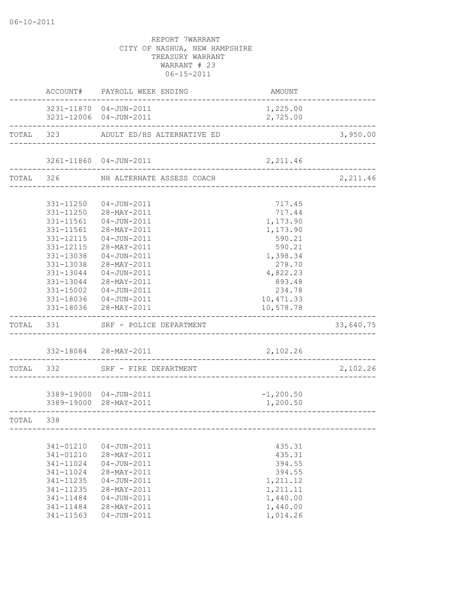|           | ACCOUNT#      | PAYROLL WEEK ENDING                               | AMOUNT                                |           |
|-----------|---------------|---------------------------------------------------|---------------------------------------|-----------|
|           |               | 3231-11870  04-JUN-2011<br>3231-12006 04-JUN-2011 | 1,225.00<br>2,725.00                  |           |
|           |               | TOTAL 323 ADULT ED/HS ALTERNATIVE ED              |                                       | 3,950.00  |
|           |               |                                                   |                                       |           |
|           |               | 3261-11860 04-JUN-2011                            | 2,211.46                              |           |
|           |               | TOTAL 326 NH ALTERNATE ASSESS COACH               | _____________________________________ | 2,211.46  |
|           |               |                                                   |                                       |           |
|           |               | 331-11250  04-JUN-2011                            | 717.45                                |           |
|           |               | 331-11250 28-MAY-2011                             | 717.44                                |           |
|           |               | 331-11561  04-JUN-2011                            | 1,173.90                              |           |
|           |               | 331-11561 28-MAY-2011                             | 1,173.90                              |           |
|           | 331-12115     | $04 - JUN - 2011$                                 | 590.21                                |           |
|           | 331-12115     | 28-MAY-2011                                       | 590.21                                |           |
|           | 331-13038     | 04-JUN-2011                                       | 1,398.34                              |           |
|           | 331-13038     | 28-MAY-2011                                       | 278.70                                |           |
|           | 331-13044     | $04 - JUN - 2011$                                 | 4,822.23                              |           |
|           | 331-13044     | 28-MAY-2011                                       | 893.48                                |           |
|           | 331-15002     | 04-JUN-2011                                       | 234.78                                |           |
|           |               | 331-18036  04-JUN-2011                            | 10, 471.33                            |           |
|           |               | 331-18036 28-MAY-2011                             | 10,578.78                             |           |
| TOTAL 331 |               | SRF - POLICE DEPARTMENT                           |                                       | 33,640.75 |
|           |               | 332-18084 28-MAY-2011                             | 2,102.26                              |           |
|           |               |                                                   |                                       |           |
|           |               | TOTAL 332 SRF - FIRE DEPARTMENT                   |                                       | 2,102.26  |
|           |               | 3389-19000 04-JUN-2011                            | $-1, 200.50$                          |           |
|           |               | 3389-19000 28-MAY-2011                            | 1,200.50                              |           |
| TOTAL 338 |               |                                                   |                                       |           |
|           |               |                                                   |                                       |           |
|           | 341-01210     | $04 - JUN - 2011$                                 | 435.31                                |           |
|           | $341 - 01210$ | 28-MAY-2011                                       | 435.31                                |           |
|           | 341-11024     | $04 - JUN - 2011$                                 | 394.55                                |           |
|           | 341-11024     | 28-MAY-2011                                       | 394.55                                |           |
|           | $341 - 11235$ | $04 - JUN - 2011$                                 | 1,211.12                              |           |
|           | 341-11235     | 28-MAY-2011                                       | 1,211.11                              |           |
|           | $341 - 11484$ | $04 - JUN - 2011$                                 | 1,440.00                              |           |
|           | $341 - 11484$ | 28-MAY-2011                                       | 1,440.00                              |           |
|           | 341-11563     | $04 - JUN - 2011$                                 | 1,014.26                              |           |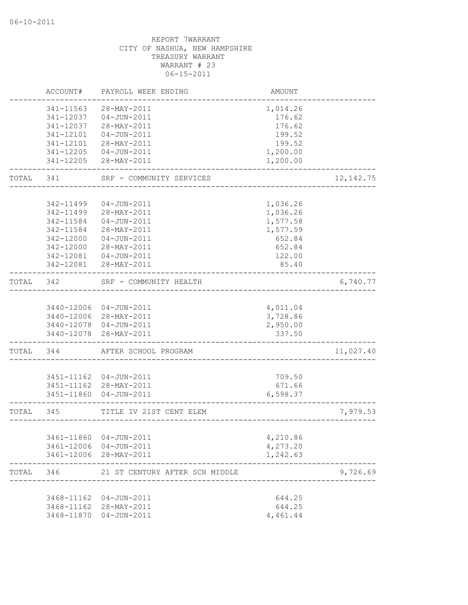|       | ACCOUNT#   | PAYROLL WEEK ENDING            | <b>AMOUNT</b> |            |
|-------|------------|--------------------------------|---------------|------------|
|       | 341-11563  | 28-MAY-2011                    | 1,014.26      |            |
|       | 341-12037  | $04 - JUN - 2011$              | 176.62        |            |
|       | 341-12037  | 28-MAY-2011                    | 176.62        |            |
|       | 341-12101  | 04-JUN-2011                    | 199.52        |            |
|       | 341-12101  | 28-MAY-2011                    | 199.52        |            |
|       | 341-12205  | 04-JUN-2011                    | 1,200.00      |            |
|       | 341-12205  | 28-MAY-2011                    | 1,200.00      |            |
| TOTAL | 341        | SRF - COMMUNITY SERVICES       |               | 12, 142.75 |
|       |            |                                |               |            |
|       | 342-11499  | $04 - JUN - 2011$              | 1,036.26      |            |
|       | 342-11499  | 28-MAY-2011                    | 1,036.26      |            |
|       | 342-11584  | 04-JUN-2011                    | 1,577.58      |            |
|       | 342-11584  | 28-MAY-2011                    | 1,577.59      |            |
|       | 342-12000  | $04 - JUN - 2011$              | 652.84        |            |
|       | 342-12000  | 28-MAY-2011                    | 652.84        |            |
|       | 342-12081  | 04-JUN-2011                    | 122.00        |            |
|       | 342-12081  | 28-MAY-2011                    | 85.40         |            |
| TOTAL | 342        | SRF - COMMUNITY HEALTH         |               | 6,740.77   |
|       |            |                                |               |            |
|       |            | 3440-12006 04-JUN-2011         | 4,011.04      |            |
|       |            | 3440-12006 28-MAY-2011         | 3,728.86      |            |
|       |            | 3440-12078 04-JUN-2011         | 2,950.00      |            |
|       | 3440-12078 | 28-MAY-2011                    | 337.50        |            |
| TOTAL | 344        | AFTER SCHOOL PROGRAM           |               | 11,027.40  |
|       |            |                                |               |            |
|       |            | 3451-11162 04-JUN-2011         | 709.50        |            |
|       |            | 3451-11162 28-MAY-2011         | 671.66        |            |
|       | 3451-11860 | 04-JUN-2011                    | 6,598.37      |            |
| TOTAL | 345        | TITLE IV 21ST CENT ELEM        |               | 7,979.53   |
|       |            |                                |               |            |
|       |            | 3461-11860 04-JUN-2011         | 4,210.86      |            |
|       |            | 3461-12006 04-JUN-2011         | 4,273.20      |            |
|       |            | 3461-12006 28-MAY-2011         | 1,242.63      |            |
| TOTAL | 346        | 21 ST CENTURY AFTER SCH MIDDLE |               | 9,726.69   |
|       |            |                                |               |            |
|       |            | 3468-11162 04-JUN-2011         | 644.25        |            |
|       |            | 3468-11162 28-MAY-2011         | 644.25        |            |
|       |            | 3468-11870 04-JUN-2011         | 4,461.44      |            |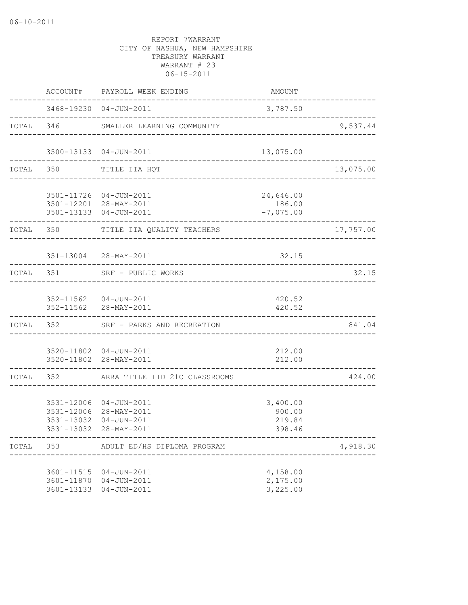|       |                                        | ACCOUNT# PAYROLL WEEK ENDING                                               | AMOUNT                                              |           |
|-------|----------------------------------------|----------------------------------------------------------------------------|-----------------------------------------------------|-----------|
|       |                                        | 3468-19230 04-JUN-2011<br>---------------------------------                | 3,787.50                                            |           |
|       |                                        | TOTAL 346 SMALLER LEARNING COMMUNITY                                       |                                                     | 9,537.44  |
|       |                                        | 3500-13133 04-JUN-2011<br>__________________________________               | 13,075.00                                           |           |
|       | TOTAL 350                              | TITLE IIA HQT                                                              |                                                     | 13,075.00 |
|       |                                        | 3501-11726 04-JUN-2011<br>3501-12201 28-MAY-2011<br>3501-13133 04-JUN-2011 | 24,646.00<br>186.00<br>$-7,075.00$                  |           |
|       | TOTAL 350                              | TITLE IIA QUALITY TEACHERS                                                 |                                                     | 17,757.00 |
|       |                                        | 351-13004 28-MAY-2011                                                      | 32.15                                               |           |
|       |                                        | TOTAL 351 SRF - PUBLIC WORKS                                               |                                                     | 32.15     |
|       |                                        | 352-11562  04-JUN-2011<br>352-11562 28-MAY-2011                            | 420.52<br>420.52                                    |           |
|       | TOTAL 352                              | SRF - PARKS AND RECREATION                                                 |                                                     | 841.04    |
|       |                                        | 3520-11802 04-JUN-2011<br>3520-11802 28-MAY-2011                           | 212.00<br>212.00<br>. _ _ _ _ _ _ _ _ _ _ _ _ _ _ _ |           |
|       |                                        | TOTAL 352 ARRA TITLE IID 21C CLASSROOMS                                    |                                                     | 424.00    |
|       | 3531-12006<br>3531-13032<br>3531-13032 | 3531-12006 04-JUN-2011<br>28-MAY-2011<br>04-JUN-2011<br>28-MAY-2011        | 3,400.00<br>900.00<br>219.84<br>398.46              |           |
| TOTAL | 353                                    | ADULT ED/HS DIPLOMA PROGRAM                                                |                                                     | 4,918.30  |
|       | 3601-13133                             | 3601-11515  04-JUN-2011<br>3601-11870 04-JUN-2011<br>$04 - JUN - 2011$     | 4,158.00<br>2,175.00<br>3,225.00                    |           |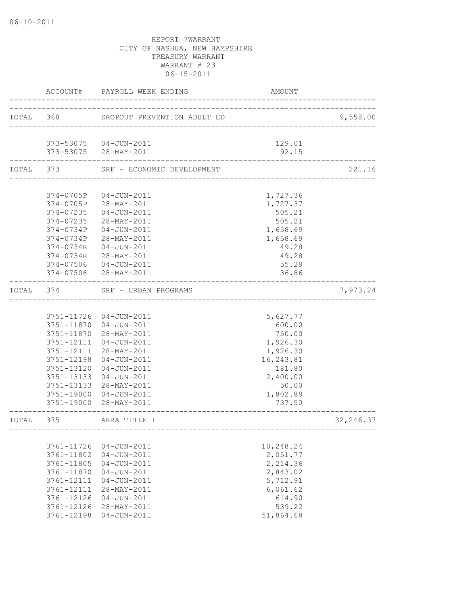|           | ACCOUNT#   | PAYROLL WEEK ENDING                          | AMOUNT     |            |
|-----------|------------|----------------------------------------------|------------|------------|
|           |            | TOTAL 360 DROPOUT PREVENTION ADULT ED        |            | 9,558.00   |
|           |            |                                              |            |            |
|           |            | 373-53075  04-JUN-2011                       | 129.01     |            |
|           |            | 373-53075 28-MAY-2011                        | 92.15      |            |
| TOTAL     | 373        | SRF - ECONOMIC DEVELOPMENT                   |            | 221.16     |
|           |            |                                              |            |            |
|           | 374-0705P  | 04-JUN-2011                                  | 1,727.36   |            |
|           |            | 374-0705P 28-MAY-2011                        | 1,727.37   |            |
|           | 374-07235  | $04 - JUN - 2011$                            | 505.21     |            |
|           | 374-07235  | 28-MAY-2011                                  | 505.21     |            |
|           | 374-0734P  | 04-JUN-2011                                  | 1,658.69   |            |
|           | 374-0734P  | 28-MAY-2011                                  | 1,658.69   |            |
|           | 374-0734R  | 04-JUN-2011                                  | 49.28      |            |
|           | 374-0734R  | 28-MAY-2011                                  | 49.28      |            |
|           | 374-07506  | $04 - JUN - 2011$                            | 55.29      |            |
|           |            | 374-07506 28-MAY-2011                        | 36.86      |            |
| TOTAL 374 |            | SRF - URBAN PROGRAMS<br>____________________ |            | 7,973.24   |
|           |            |                                              |            |            |
|           |            | 3751-11726 04-JUN-2011                       | 5,627.77   |            |
|           |            | 3751-11870 04-JUN-2011                       | 600.00     |            |
|           |            | 3751-11870 28-MAY-2011                       | 750.00     |            |
|           | 3751-12111 | 04-JUN-2011                                  | 1,926.30   |            |
|           |            | 3751-12111 28-MAY-2011                       | 1,926.30   |            |
|           | 3751-12198 | 04-JUN-2011                                  | 16, 243.81 |            |
|           | 3751-13120 | 04-JUN-2011                                  | 181.80     |            |
|           | 3751-13133 | 04-JUN-2011                                  | 2,400.00   |            |
|           | 3751-13133 | 28-MAY-2011                                  | 50.00      |            |
|           | 3751-19000 | $04 - JUN - 2011$                            | 1,802.89   |            |
|           |            | 3751-19000 28-MAY-2011                       | 737.50     |            |
| TOTAL     | 375        | ARRA TITLE I                                 |            | 32, 246.37 |
|           |            |                                              |            |            |
|           | 3761-11726 | $04 - JUN - 2011$                            | 10,248.24  |            |
|           | 3761-11802 | $04 - JUN - 2011$                            | 2,051.77   |            |
|           | 3761-11805 | $04 - JUN - 2011$                            | 2,214.36   |            |
|           | 3761-11870 | $04 - JUN - 2011$                            | 2,843.02   |            |
|           | 3761-12111 | $04 - JUN - 2011$                            | 5,712.91   |            |
|           | 3761-12111 | 28-MAY-2011                                  | 6,061.62   |            |
|           | 3761-12126 | $04 - JUN - 2011$                            | 614.90     |            |
|           | 3761-12126 | 28-MAY-2011                                  | 539.22     |            |
|           | 3761-12198 | $04 - JUN - 2011$                            | 51,864.68  |            |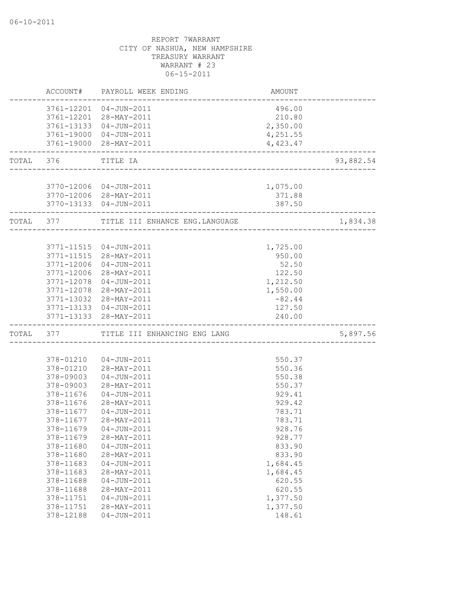|           | ACCOUNT#   | PAYROLL WEEK ENDING                    | AMOUNT           |           |
|-----------|------------|----------------------------------------|------------------|-----------|
|           |            | 3761-12201 04-JUN-2011                 | 496.00           |           |
|           |            | 3761-12201 28-MAY-2011                 | 210.80           |           |
|           |            | 3761-13133 04-JUN-2011                 | 2,350.00         |           |
|           |            | 3761-19000 04-JUN-2011                 | 4,251.55         |           |
|           |            | 3761-19000 28-MAY-2011                 | 4,423.47         |           |
| TOTAL 376 |            | TITLE IA                               |                  | 93,882.54 |
|           |            |                                        |                  |           |
|           |            | 3770-12006 04-JUN-2011                 | 1,075.00         |           |
|           |            | 3770-12006 28-MAY-2011                 | 371.88           |           |
|           |            | 3770-13133 04-JUN-2011                 | 387.50           |           |
| TOTAL 377 |            | TITLE III ENHANCE ENG.LANGUAGE         |                  | 1,834.38  |
|           |            |                                        |                  |           |
|           |            | 3771-11515 04-JUN-2011                 | 1,725.00         |           |
|           | 3771-11515 | 28-MAY-2011                            | 950.00           |           |
|           | 3771-12006 | $04 - JUN - 2011$                      | 52.50            |           |
|           | 3771-12006 | 28-MAY-2011                            | 122.50           |           |
|           | 3771-12078 | 04-JUN-2011                            | 1,212.50         |           |
|           |            | 3771-12078 28-MAY-2011                 | 1,550.00         |           |
|           |            | 3771-13032 28-MAY-2011                 | $-82.44$         |           |
|           | 3771-13133 | 3771-13133  04-JUN-2011<br>28-MAY-2011 | 127.50<br>240.00 |           |
| TOTAL     | 377        | TITLE III ENHANCING ENG LANG           |                  | 5,897.56  |
|           |            |                                        |                  |           |
|           | 378-01210  | 04-JUN-2011                            | 550.37           |           |
|           | 378-01210  | 28-MAY-2011                            | 550.36           |           |
|           | 378-09003  | 04-JUN-2011                            | 550.38           |           |
|           | 378-09003  | 28-MAY-2011                            | 550.37           |           |
|           | 378-11676  | $04 - JUN - 2011$                      | 929.41           |           |
|           | 378-11676  | 28-MAY-2011                            | 929.42           |           |
|           | 378-11677  | $04 - JUN - 2011$                      | 783.71           |           |
|           | 378-11677  | 28-MAY-2011                            | 783.71           |           |
|           | 378-11679  | $04 - JUN - 2011$                      | 928.76           |           |
|           | 378-11679  | 28-MAY-2011                            | 928.77           |           |
|           | 378-11680  | $04 - JUN - 2011$                      | 833.90           |           |
|           | 378-11680  | 28-MAY-2011                            | 833.90           |           |
|           | 378-11683  | $04 - JUN - 2011$                      | 1,684.45         |           |
|           | 378-11683  | 28-MAY-2011                            | 1,684.45         |           |
|           | 378-11688  | $04 - JUN - 2011$                      | 620.55           |           |
|           | 378-11688  | 28-MAY-2011                            | 620.55           |           |
|           | 378-11751  | $04 - JUN - 2011$                      | 1,377.50         |           |
|           | 378-11751  | 28-MAY-2011                            | 1,377.50         |           |
|           | 378-12188  | $04 - JUN - 2011$                      | 148.61           |           |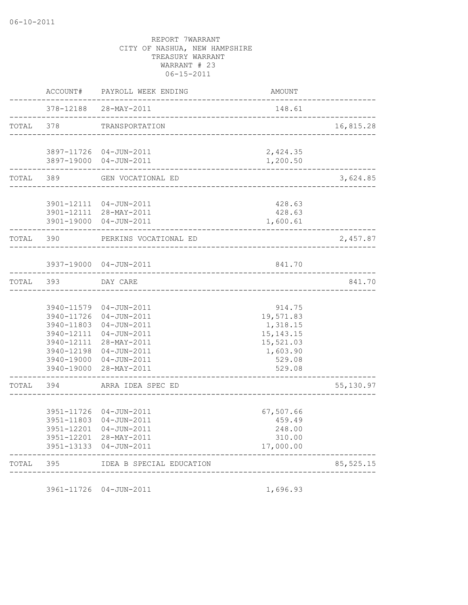| TOTAL | 395                      | IDEA B SPECIAL EDUCATION                          |                          | 85, 525.15 |
|-------|--------------------------|---------------------------------------------------|--------------------------|------------|
|       | 3951-13133               | 04-JUN-2011                                       | 17,000.00                |            |
|       | 3951-12201<br>3951-12201 | $04 - JUN - 2011$<br>28-MAY-2011                  | 248.00<br>310.00         |            |
|       | 3951-11803               | 04-JUN-2011                                       | 459.49                   |            |
|       | 3951-11726               | 04-JUN-2011                                       | 67,507.66                |            |
| TOTAL | 394                      | ARRA IDEA SPEC ED                                 |                          | 55, 130.97 |
|       | 3940-19000               | 28-MAY-2011                                       | 529.08                   |            |
|       | 3940-19000               | 04-JUN-2011                                       | 529.08                   |            |
|       | 3940-12198               | 04-JUN-2011                                       | 1,603.90                 |            |
|       | 3940-12111<br>3940-12111 | 04-JUN-2011<br>28-MAY-2011                        | 15, 143. 15<br>15,521.03 |            |
|       | 3940-11803               | 04-JUN-2011                                       | 1,318.15                 |            |
|       | 3940-11726               | 04-JUN-2011                                       | 19,571.83                |            |
|       | 3940-11579               | 04-JUN-2011                                       | 914.75                   |            |
| TOTAL | 393                      | DAY CARE                                          |                          | 841.70     |
|       | 3937-19000               | 04-JUN-2011                                       | 841.70                   |            |
| TOTAL | 390                      | PERKINS VOCATIONAL ED                             |                          | 2,457.87   |
|       | 3901-19000               | 04-JUN-2011                                       | 1,600.61                 |            |
|       |                          | 3901-12111  04-JUN-2011<br>3901-12111 28-MAY-2011 | 428.63<br>428.63         |            |
| TOTAL | 389                      | GEN VOCATIONAL ED                                 |                          | 3,624.85   |
|       | 3897-19000               | 3897-11726 04-JUN-2011<br>04-JUN-2011             | 2,424.35<br>1,200.50     |            |
| TOTAL | 378                      | TRANSPORTATION                                    |                          | 16,815.28  |
|       | 378-12188                | 28-MAY-2011                                       | 148.61                   |            |
|       | ACCOUNT#                 | PAYROLL WEEK ENDING                               | AMOUNT                   |            |

3961-11726 04-JUN-2011 1,696.93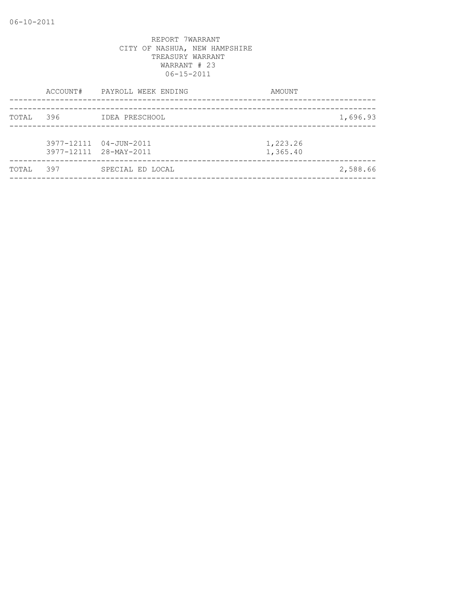|       |     | ACCOUNT# PAYROLL WEEK ENDING                     | AMOUNT               |          |
|-------|-----|--------------------------------------------------|----------------------|----------|
| TOTAL | 396 | IDEA PRESCHOOL                                   |                      | 1,696.93 |
|       |     | 3977-12111 04-JUN-2011<br>3977-12111 28-MAY-2011 | 1,223.26<br>1,365.40 |          |
| TOTAL | 397 | SPECIAL ED LOCAL                                 |                      | 2,588.66 |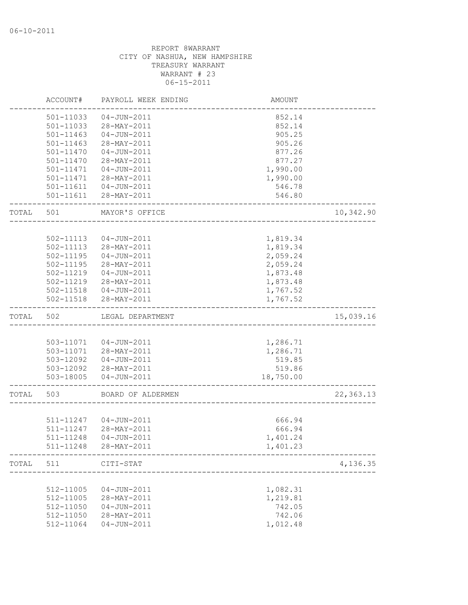|       | ACCOUNT#  | PAYROLL WEEK ENDING    | <b>AMOUNT</b> |            |
|-------|-----------|------------------------|---------------|------------|
|       | 501-11033 | $04 - JUN - 2011$      | 852.14        |            |
|       | 501-11033 | 28-MAY-2011            | 852.14        |            |
|       | 501-11463 | $04 - JUN - 2011$      | 905.25        |            |
|       | 501-11463 | 28-MAY-2011            | 905.26        |            |
|       | 501-11470 | $04 - JUN - 2011$      | 877.26        |            |
|       | 501-11470 | 28-MAY-2011            | 877.27        |            |
|       | 501-11471 | $04 - JUN - 2011$      | 1,990.00      |            |
|       | 501-11471 | 28-MAY-2011            | 1,990.00      |            |
|       |           | 501-11611  04-JUN-2011 | 546.78        |            |
|       |           | 501-11611 28-MAY-2011  | 546.80        |            |
| TOTAL | 501       | MAYOR'S OFFICE         |               | 10,342.90  |
|       |           |                        |               |            |
|       | 502-11113 | 04-JUN-2011            | 1,819.34      |            |
|       | 502-11113 | 28-MAY-2011            | 1,819.34      |            |
|       | 502-11195 | 04-JUN-2011            | 2,059.24      |            |
|       | 502-11195 | 28-MAY-2011            | 2,059.24      |            |
|       | 502-11219 | 04-JUN-2011            | 1,873.48      |            |
|       | 502-11219 | 28-MAY-2011            | 1,873.48      |            |
|       |           | 502-11518  04-JUN-2011 | 1,767.52      |            |
|       | 502-11518 | 28-MAY-2011            | 1,767.52      |            |
| TOTAL | 502       | LEGAL DEPARTMENT       |               | 15,039.16  |
|       |           |                        |               |            |
|       |           | 503-11071  04-JUN-2011 | 1,286.71      |            |
|       |           | 503-11071 28-MAY-2011  | 1,286.71      |            |
|       | 503-12092 | 04-JUN-2011            | 519.85        |            |
|       |           | 503-12092 28-MAY-2011  | 519.86        |            |
|       | 503-18005 | $04 - JUN - 2011$      | 18,750.00     |            |
| TOTAL | 503       | BOARD OF ALDERMEN      |               | 22, 363.13 |
|       |           |                        |               |            |
|       |           | 511-11247  04-JUN-2011 | 666.94        |            |
|       | 511-11247 | 28-MAY-2011            | 666.94        |            |
|       | 511-11248 | 04-JUN-2011            | 1,401.24      |            |
|       | 511-11248 | 28-MAY-2011            | 1,401.23      |            |
| TOTAL | 511       | CITI-STAT              |               | 4,136.35   |
|       |           |                        |               |            |
|       | 512-11005 | $04 - JUN - 2011$      | 1,082.31      |            |
|       | 512-11005 | 28-MAY-2011            | 1,219.81      |            |
|       | 512-11050 | $04 - JUN - 2011$      | 742.05        |            |
|       | 512-11050 | 28-MAY-2011            | 742.06        |            |
|       | 512-11064 | $04 - JUN - 2011$      | 1,012.48      |            |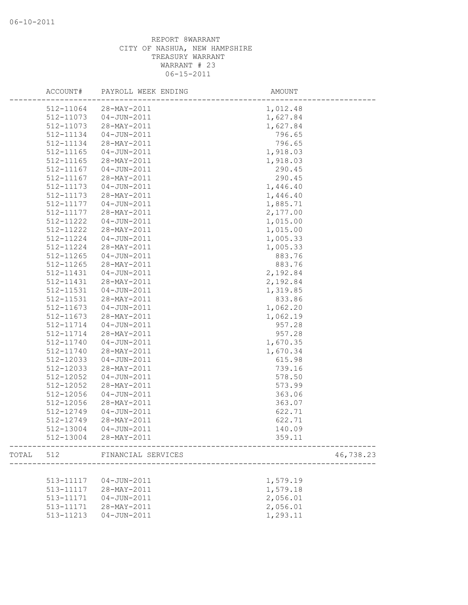|       | ACCOUNT#      | PAYROLL WEEK ENDING   | AMOUNT                          |
|-------|---------------|-----------------------|---------------------------------|
|       | 512-11064     | 28-MAY-2011           | 1,012.48                        |
|       | 512-11073     | $04 - JUN - 2011$     | 1,627.84                        |
|       | 512-11073     | 28-MAY-2011           | 1,627.84                        |
|       | 512-11134     | $04 - JUN - 2011$     | 796.65                          |
|       | 512-11134     | 28-MAY-2011           | 796.65                          |
|       | 512-11165     | $04 - JUN - 2011$     | 1,918.03                        |
|       | 512-11165     | 28-MAY-2011           | 1,918.03                        |
|       | 512-11167     | $04 - JUN - 2011$     | 290.45                          |
|       | 512-11167     | 28-MAY-2011           | 290.45                          |
|       | 512-11173     | $04 - JUN - 2011$     | 1,446.40                        |
|       | 512-11173     | 28-MAY-2011           | 1,446.40                        |
|       | 512-11177     | 04-JUN-2011           | 1,885.71                        |
|       | 512-11177     | 28-MAY-2011           | 2,177.00                        |
|       | 512-11222     | 04-JUN-2011           | 1,015.00                        |
|       | 512-11222     | 28-MAY-2011           | 1,015.00                        |
|       | 512-11224     | $04 - JUN - 2011$     | 1,005.33                        |
|       | 512-11224     | 28-MAY-2011           | 1,005.33                        |
|       | 512-11265     | $04 - JUN - 2011$     | 883.76                          |
|       | $512 - 11265$ | 28-MAY-2011           | 883.76                          |
|       | 512-11431     | $04 - JUN - 2011$     | 2,192.84                        |
|       | 512-11431     | 28-MAY-2011           | 2,192.84                        |
|       | 512-11531     | $04 - JUN - 2011$     | 1,319.85                        |
|       | 512-11531     | 28-MAY-2011           | 833.86                          |
|       | 512-11673     | $04 - JUN - 2011$     | 1,062.20                        |
|       | 512-11673     | 28-MAY-2011           | 1,062.19                        |
|       | 512-11714     | $04 - JUN - 2011$     | 957.28                          |
|       | 512-11714     | 28-MAY-2011           | 957.28                          |
|       | 512-11740     | 04-JUN-2011           | 1,670.35                        |
|       | 512-11740     | 28-MAY-2011           | 1,670.34                        |
|       | 512-12033     | $04 - JUN - 2011$     | 615.98                          |
|       | 512-12033     | 28-MAY-2011           | 739.16                          |
|       | 512-12052     | $04 - JUN - 2011$     | 578.50                          |
|       | 512-12052     | 28-MAY-2011           | 573.99                          |
|       | 512-12056     | $04 - JUN - 2011$     | 363.06                          |
|       | 512-12056     | 28-MAY-2011           | 363.07                          |
|       | 512-12749     | $04 - JUN - 2011$     | 622.71                          |
|       | 512-12749     | 28-MAY-2011           | 622.71                          |
|       | 512-13004     | $04 - JUN - 2011$     | 140.09                          |
|       |               | 512-13004 28-MAY-2011 | 359.11<br>--------------------- |
| TOTAL | 512           | FINANCIAL SERVICES    | 46,738.23                       |
|       |               |                       |                                 |
|       | 513-11117     | $04 - JUN - 2011$     | 1,579.19                        |
|       | 513-11117     | 28-MAY-2011           | 1,579.18                        |
|       | 513-11171     | $04 - JUN - 2011$     | 2,056.01                        |
|       | 513-11171     | 28-MAY-2011           | 2,056.01                        |
|       | 513-11213     | $04 - JUN - 2011$     | 1,293.11                        |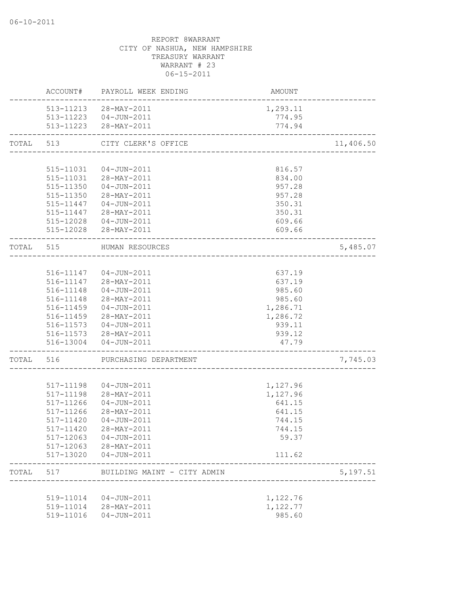|           | ACCOUNT#               | PAYROLL WEEK ENDING                             | AMOUNT           |           |
|-----------|------------------------|-------------------------------------------------|------------------|-----------|
|           |                        | 513-11213 28-MAY-2011                           | 1,293.11         |           |
|           |                        | 513-11223  04-JUN-2011                          | 774.95           |           |
|           |                        | 513-11223 28-MAY-2011                           | 774.94           |           |
| TOTAL     | 513                    | CITY CLERK'S OFFICE                             |                  | 11,406.50 |
|           |                        |                                                 |                  |           |
|           | 515-11031              | 04-JUN-2011                                     | 816.57           |           |
|           |                        | 515-11031 28-MAY-2011                           | 834.00           |           |
|           |                        | 515-11350 04-JUN-2011                           | 957.28           |           |
|           |                        | 515-11350 28-MAY-2011                           | 957.28           |           |
|           |                        | 515-11447  04-JUN-2011<br>515-11447 28-MAY-2011 | 350.31<br>350.31 |           |
|           |                        | 515-12028  04-JUN-2011                          | 609.66           |           |
|           |                        | 515-12028 28-MAY-2011                           | 609.66           |           |
| TOTAL 515 |                        | HUMAN RESOURCES                                 |                  | 5,485.07  |
|           |                        | --------------------------                      |                  |           |
|           |                        | 516-11147  04-JUN-2011                          | 637.19           |           |
|           |                        | 516-11147 28-MAY-2011                           | 637.19           |           |
|           | 516-11148              | 04-JUN-2011                                     | 985.60           |           |
|           | 516-11148              | 28-MAY-2011                                     | 985.60           |           |
|           | 516-11459              | 04-JUN-2011                                     | 1,286.71         |           |
|           | 516-11459              | 28-MAY-2011                                     | 1,286.72         |           |
|           |                        | 516-11573  04-JUN-2011                          | 939.11           |           |
|           |                        | 516-11573 28-MAY-2011                           | 939.12           |           |
|           |                        | 516-13004  04-JUN-2011                          | 47.79            |           |
| TOTAL     | 516                    | PURCHASING DEPARTMENT                           |                  | 7,745.03  |
|           |                        |                                                 |                  |           |
|           | 517-11198              | $04 - JUN - 2011$                               | 1,127.96         |           |
|           | 517-11198              | 28-MAY-2011                                     | 1,127.96         |           |
|           | 517-11266              | 04-JUN-2011                                     | 641.15           |           |
|           | 517-11266              | 28-MAY-2011                                     | 641.15           |           |
|           | 517-11420              | $04 - JUN - 2011$                               | 744.15           |           |
|           | 517-11420              | 28-MAY-2011                                     | 744.15           |           |
|           | 517-12063              | 04-JUN-2011                                     | 59.37            |           |
|           | 517-12063<br>517-13020 | 28-MAY-2011<br>04-JUN-2011                      | 111.62           |           |
| TOTAL     | 517                    | BUILDING MAINT - CITY ADMIN                     |                  | 5,197.51  |
|           |                        |                                                 |                  |           |
|           | 519-11014              | 04-JUN-2011                                     | 1,122.76         |           |
|           | 519-11014              | 28-MAY-2011                                     | 1,122.77         |           |
|           | 519-11016              | 04-JUN-2011                                     | 985.60           |           |
|           |                        |                                                 |                  |           |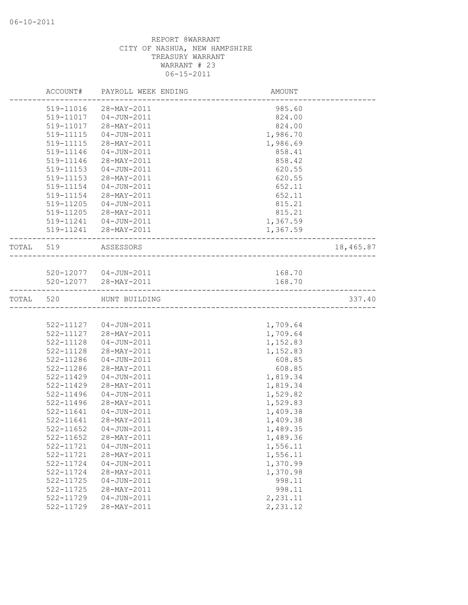|           | ACCOUNT#      | PAYROLL WEEK ENDING    | <b>AMOUNT</b>              |           |
|-----------|---------------|------------------------|----------------------------|-----------|
|           | 519-11016     | 28-MAY-2011            | 985.60                     |           |
|           | 519-11017     | 04-JUN-2011            | 824.00                     |           |
|           | 519-11017     | 28-MAY-2011            | 824.00                     |           |
|           | 519-11115     | 04-JUN-2011            | 1,986.70                   |           |
|           | 519-11115     | 28-MAY-2011            | 1,986.69                   |           |
|           | 519-11146     | $04 - JUN - 2011$      | 858.41                     |           |
|           | 519-11146     | 28-MAY-2011            | 858.42                     |           |
|           | 519-11153     | $04 - JUN - 2011$      | 620.55                     |           |
|           | 519-11153     | 28-MAY-2011            | 620.55                     |           |
|           | 519-11154     | 04-JUN-2011            | 652.11                     |           |
|           | 519-11154     | 28-MAY-2011            | 652.11                     |           |
|           | 519-11205     | 04-JUN-2011            | 815.21                     |           |
|           | 519-11205     | 28-MAY-2011            | 815.21                     |           |
|           | 519-11241     | $04 - JUN - 2011$      | 1,367.59                   |           |
|           |               | 519-11241 28-MAY-2011  | 1,367.59                   |           |
| TOTAL 519 |               | ASSESSORS              |                            | 18,465.87 |
|           |               |                        | __________________________ |           |
|           |               | 520-12077  04-JUN-2011 | 168.70                     |           |
|           |               | 520-12077 28-MAY-2011  | 168.70                     |           |
|           |               |                        |                            |           |
| TOTAL 520 |               | HUNT BUILDING          |                            | 337.40    |
|           |               |                        |                            |           |
|           |               | 522-11127  04-JUN-2011 | 1,709.64                   |           |
|           |               | 522-11127 28-MAY-2011  | 1,709.64                   |           |
|           | 522-11128     | 04-JUN-2011            | 1,152.83                   |           |
|           | 522-11128     | 28-MAY-2011            | 1,152.83                   |           |
|           | 522-11286     | 04-JUN-2011            | 608.85                     |           |
|           | 522-11286     | 28-MAY-2011            | 608.85                     |           |
|           | 522-11429     | $04 - JUN - 2011$      | 1,819.34                   |           |
|           | 522-11429     | 28-MAY-2011            | 1,819.34                   |           |
|           | 522-11496     | $04 - JUN - 2011$      | 1,529.82                   |           |
|           | 522-11496     | 28-MAY-2011            | 1,529.83                   |           |
|           | $522 - 11641$ | 04-JUN-2011            | 1,409.38                   |           |
|           | 522-11641     | 28-MAY-2011            | 1,409.38                   |           |
|           | 522-11652     | 04-JUN-2011            | 1,489.35                   |           |
|           | 522-11652     | 28-MAY-2011            | 1,489.36                   |           |
|           | 522-11721     | $04 - JUN - 2011$      | 1,556.11                   |           |
|           | 522-11721     | 28-MAY-2011            | 1,556.11                   |           |
|           | 522-11724     | $04 - JUN - 2011$      | 1,370.99                   |           |
|           | 522-11724     | 28-MAY-2011            | 1,370.98                   |           |
|           | 522-11725     | $04 - JUN - 2011$      | 998.11                     |           |
|           | 522-11725     | 28-MAY-2011            | 998.11                     |           |
|           | 522-11729     | $04 - JUN - 2011$      | 2,231.11                   |           |
|           | 522-11729     | 28-MAY-2011            | 2,231.12                   |           |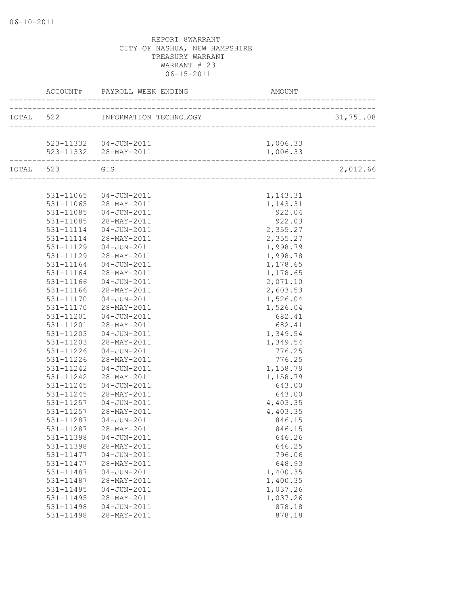|           |           | ACCOUNT# PAYROLL WEEK ENDING AMO                 | AMOUNT                                                                             |           |
|-----------|-----------|--------------------------------------------------|------------------------------------------------------------------------------------|-----------|
|           |           | ____________<br>TOTAL 522 INFORMATION TECHNOLOGY | _____________________________________<br>GY<br>___________________________________ | 31,751.08 |
|           |           |                                                  |                                                                                    |           |
|           |           | 523-11332  04-JUN-2011                           | 1,006.33                                                                           |           |
|           |           | 523-11332 28-MAY-2011                            | 1,006.33                                                                           |           |
| TOTAL 523 | GIS       |                                                  |                                                                                    | 2,012.66  |
|           |           |                                                  |                                                                                    |           |
|           |           | 531-11065  04-JUN-2011                           | 1,143.31                                                                           |           |
|           |           | 531-11065 28-MAY-2011                            | 1,143.31                                                                           |           |
|           |           | 531-11085  04-JUN-2011                           | 922.04                                                                             |           |
|           |           | 531-11085 28-MAY-2011                            | 922.03                                                                             |           |
|           | 531-11114 | 04-JUN-2011                                      | 2,355.27                                                                           |           |
|           | 531-11114 | 28-MAY-2011                                      | 2,355.27                                                                           |           |
|           | 531-11129 | $04 - JUN - 2011$                                | 1,998.79                                                                           |           |
|           | 531-11129 | 28-MAY-2011                                      | 1,998.78                                                                           |           |
|           | 531-11164 | 04-JUN-2011                                      | 1,178.65                                                                           |           |
|           | 531-11164 | 28-MAY-2011                                      | 1,178.65                                                                           |           |
|           | 531-11166 | 04-JUN-2011                                      | 2,071.10                                                                           |           |
|           | 531-11166 | 28-MAY-2011                                      | 2,603.53                                                                           |           |
|           | 531-11170 | 04-JUN-2011                                      | 1,526.04                                                                           |           |
|           | 531-11170 | 28-MAY-2011                                      | 1,526.04                                                                           |           |
|           | 531-11201 | 04-JUN-2011                                      | 682.41                                                                             |           |
|           | 531-11201 | 28-MAY-2011                                      | 682.41                                                                             |           |
|           | 531-11203 | 04-JUN-2011                                      | 1,349.54                                                                           |           |
|           | 531-11203 | 28-MAY-2011                                      | 1,349.54                                                                           |           |
|           | 531-11226 | 04-JUN-2011                                      | 776.25                                                                             |           |
|           | 531-11226 | 28-MAY-2011                                      | 776.25                                                                             |           |
|           | 531-11242 | 04-JUN-2011                                      | 1,158.79                                                                           |           |
|           | 531-11242 | 28-MAY-2011                                      | 1,158.79                                                                           |           |
|           | 531-11245 | 04-JUN-2011                                      | 643.00                                                                             |           |
|           | 531-11245 | 28-MAY-2011                                      | 643.00                                                                             |           |
|           | 531-11257 | 04-JUN-2011                                      | 4,403.35                                                                           |           |
|           | 531-11257 | 28-MAY-2011                                      | 4,403.35                                                                           |           |
|           | 531-11287 | 04-JUN-2011                                      | 846.15                                                                             |           |
|           | 531-11287 | 28-MAY-2011                                      | 846.15                                                                             |           |
|           | 531-11398 | $04 - JUN - 2011$                                | 646.26                                                                             |           |
|           | 531-11398 | 28-MAY-2011                                      | 646.25                                                                             |           |
|           | 531-11477 | $04 - JUN - 2011$                                | 796.06                                                                             |           |
|           | 531-11477 | 28-MAY-2011                                      | 648.93                                                                             |           |
|           | 531-11487 | $04 - JUN - 2011$                                | 1,400.35                                                                           |           |
|           | 531-11487 | 28-MAY-2011                                      | 1,400.35                                                                           |           |
|           | 531-11495 | $04 - JUN - 2011$                                | 1,037.26                                                                           |           |
|           | 531-11495 | 28-MAY-2011                                      | 1,037.26                                                                           |           |
|           | 531-11498 | $04 - JUN - 2011$                                | 878.18                                                                             |           |
|           | 531-11498 | 28-MAY-2011                                      | 878.18                                                                             |           |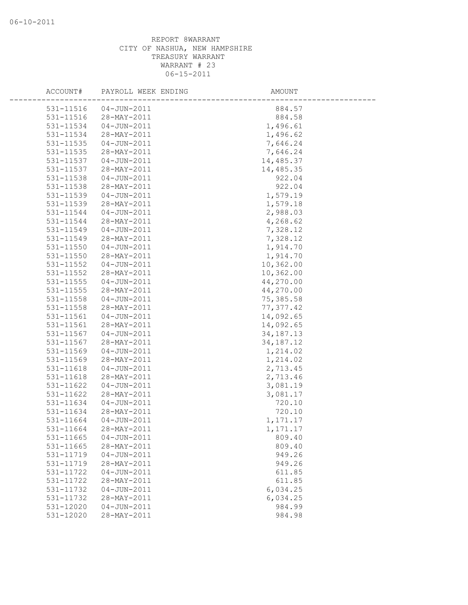| ACCOUNT#  | PAYROLL WEEK ENDING | <b>AMOUNT</b> |  |
|-----------|---------------------|---------------|--|
| 531-11516 | $04 - JUN - 2011$   | 884.57        |  |
| 531-11516 | 28-MAY-2011         | 884.58        |  |
| 531-11534 | $04 - JUN - 2011$   | 1,496.61      |  |
| 531-11534 | 28-MAY-2011         | 1,496.62      |  |
| 531-11535 | $04 - JUN - 2011$   | 7,646.24      |  |
| 531-11535 | 28-MAY-2011         | 7,646.24      |  |
| 531-11537 | $04 - JUN - 2011$   | 14,485.37     |  |
| 531-11537 | 28-MAY-2011         | 14,485.35     |  |
| 531-11538 | $04 - JUN - 2011$   | 922.04        |  |
| 531-11538 | 28-MAY-2011         | 922.04        |  |
| 531-11539 | $04 - JUN - 2011$   | 1,579.19      |  |
| 531-11539 | 28-MAY-2011         | 1,579.18      |  |
| 531-11544 | $04 - JUN - 2011$   | 2,988.03      |  |
| 531-11544 | 28-MAY-2011         | 4,268.62      |  |
| 531-11549 | $04 - JUN - 2011$   | 7,328.12      |  |
| 531-11549 | 28-MAY-2011         | 7,328.12      |  |
| 531-11550 | $04 - JUN - 2011$   | 1,914.70      |  |
| 531-11550 | 28-MAY-2011         | 1,914.70      |  |
| 531-11552 | $04 - JUN - 2011$   | 10,362.00     |  |
| 531-11552 | 28-MAY-2011         | 10,362.00     |  |
| 531-11555 | $04 - JUN - 2011$   | 44,270.00     |  |
| 531-11555 | 28-MAY-2011         | 44,270.00     |  |
| 531-11558 | $04 - JUN - 2011$   | 75,385.58     |  |
| 531-11558 | 28-MAY-2011         | 77, 377.42    |  |
| 531-11561 | $04 - JUN - 2011$   | 14,092.65     |  |
| 531-11561 | 28-MAY-2011         | 14,092.65     |  |
| 531-11567 | $04 - JUN - 2011$   | 34, 187. 13   |  |
| 531-11567 | 28-MAY-2011         | 34, 187. 12   |  |
| 531-11569 | $04 - JUN - 2011$   | 1,214.02      |  |
| 531-11569 | 28-MAY-2011         | 1,214.02      |  |
| 531-11618 | $04 - JUN - 2011$   | 2,713.45      |  |
| 531-11618 | 28-MAY-2011         | 2,713.46      |  |
| 531-11622 | $04 - JUN - 2011$   | 3,081.19      |  |
| 531-11622 | 28-MAY-2011         | 3,081.17      |  |
| 531-11634 | $04 - JUN - 2011$   | 720.10        |  |
| 531-11634 | 28-MAY-2011         | 720.10        |  |
| 531-11664 | $04 - JUN - 2011$   | 1,171.17      |  |
| 531-11664 | 28-MAY-2011         | 1,171.17      |  |
| 531-11665 | $04 - JUN - 2011$   | 809.40        |  |
| 531-11665 | 28-MAY-2011         | 809.40        |  |
| 531-11719 | $04 - JUN - 2011$   | 949.26        |  |
| 531-11719 | 28-MAY-2011         | 949.26        |  |
| 531-11722 | $04 - JUN - 2011$   | 611.85        |  |
| 531-11722 | 28-MAY-2011         | 611.85        |  |
| 531-11732 | $04 - JUN - 2011$   | 6,034.25      |  |
| 531-11732 | 28-MAY-2011         | 6,034.25      |  |
| 531-12020 | $04 - JUN - 2011$   | 984.99        |  |
| 531-12020 | 28-MAY-2011         | 984.98        |  |
|           |                     |               |  |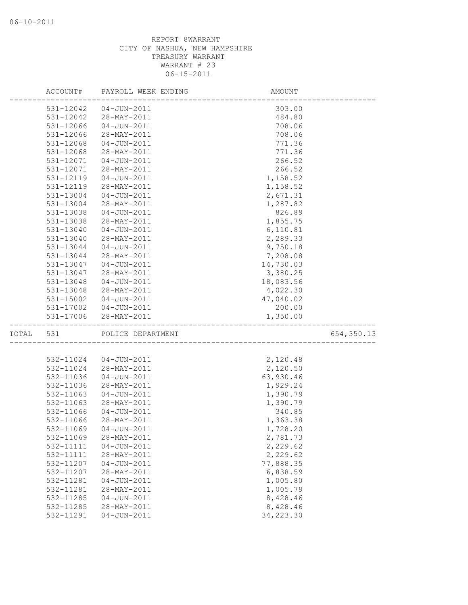|       | ACCOUNT#  | PAYROLL WEEK ENDING | AMOUNT     |             |
|-------|-----------|---------------------|------------|-------------|
|       | 531-12042 | 04-JUN-2011         | 303.00     |             |
|       | 531-12042 | 28-MAY-2011         | 484.80     |             |
|       | 531-12066 | 04-JUN-2011         | 708.06     |             |
|       | 531-12066 | 28-MAY-2011         | 708.06     |             |
|       | 531-12068 | $04 - JUN - 2011$   | 771.36     |             |
|       | 531-12068 | 28-MAY-2011         | 771.36     |             |
|       | 531-12071 | $04 - JUN - 2011$   | 266.52     |             |
|       | 531-12071 | 28-MAY-2011         | 266.52     |             |
|       | 531-12119 | $04 - JUN - 2011$   | 1,158.52   |             |
|       | 531-12119 | 28-MAY-2011         | 1,158.52   |             |
|       | 531-13004 | 04-JUN-2011         | 2,671.31   |             |
|       | 531-13004 | 28-MAY-2011         | 1,287.82   |             |
|       | 531-13038 | 04-JUN-2011         | 826.89     |             |
|       | 531-13038 | 28-MAY-2011         | 1,855.75   |             |
|       | 531-13040 | 04-JUN-2011         | 6,110.81   |             |
|       | 531-13040 | 28-MAY-2011         | 2,289.33   |             |
|       | 531-13044 | $04 - JUN - 2011$   | 9,750.18   |             |
|       | 531-13044 | 28-MAY-2011         | 7,208.08   |             |
|       | 531-13047 | $04 - JUN - 2011$   | 14,730.03  |             |
|       | 531-13047 | 28-MAY-2011         | 3,380.25   |             |
|       | 531-13048 | 04-JUN-2011         | 18,083.56  |             |
|       | 531-13048 | 28-MAY-2011         | 4,022.30   |             |
|       | 531-15002 | 04-JUN-2011         | 47,040.02  |             |
|       | 531-17002 | $04 - JUN - 2011$   | 200.00     |             |
|       | 531-17006 | 28-MAY-2011         | 1,350.00   |             |
| TOTAL | 531       | POLICE DEPARTMENT   |            | 654, 350.13 |
|       |           |                     |            |             |
|       | 532-11024 | 04-JUN-2011         | 2,120.48   |             |
|       | 532-11024 | 28-MAY-2011         | 2,120.50   |             |
|       | 532-11036 | $04 - JUN - 2011$   | 63,930.46  |             |
|       | 532-11036 | 28-MAY-2011         | 1,929.24   |             |
|       | 532-11063 | 04-JUN-2011         | 1,390.79   |             |
|       | 532-11063 | 28-MAY-2011         | 1,390.79   |             |
|       | 532-11066 | $04 - JUN - 2011$   | 340.85     |             |
|       | 532-11066 | 28-MAY-2011         | 1,363.38   |             |
|       | 532-11069 | 04-JUN-2011         | 1,728.20   |             |
|       | 532-11069 | 28-MAY-2011         | 2,781.73   |             |
|       | 532-11111 | $04 - JUN - 2011$   | 2,229.62   |             |
|       | 532-11111 | 28-MAY-2011         | 2,229.62   |             |
|       | 532-11207 | $04 - JUN - 2011$   | 77,888.35  |             |
|       | 532-11207 | 28-MAY-2011         | 6,838.59   |             |
|       | 532-11281 | $04 - JUN - 2011$   | 1,005.80   |             |
|       | 532-11281 | 28-MAY-2011         | 1,005.79   |             |
|       | 532-11285 | $04 - JUN - 2011$   | 8,428.46   |             |
|       | 532-11285 | 28-MAY-2011         | 8,428.46   |             |
|       | 532-11291 | $04 - JUN - 2011$   | 34, 223.30 |             |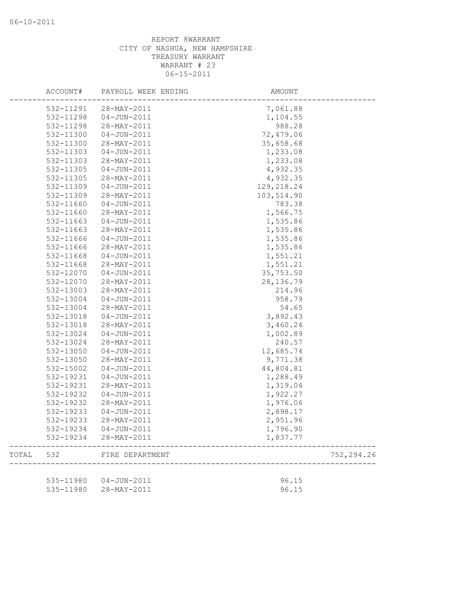|       | ACCOUNT#               | PAYROLL WEEK ENDING        | AMOUNT               |             |
|-------|------------------------|----------------------------|----------------------|-------------|
|       | 532-11291              | 28-MAY-2011                | 7,061.88             |             |
|       | 532-11298              | $04 - JUN - 2011$          | 1,104.55             |             |
|       | 532-11298              | 28-MAY-2011                | 988.28               |             |
|       | 532-11300              | $04 - JUN - 2011$          | 72,479.06            |             |
|       | 532-11300              | 28-MAY-2011                | 35,658.68            |             |
|       | 532-11303              | $04 - JUN - 2011$          | 1,233.08             |             |
|       | 532-11303              | 28-MAY-2011                | 1,233.08             |             |
|       | 532-11305              | $04 - JUN - 2011$          | 4,932.35             |             |
|       | 532-11305              | 28-MAY-2011                | 4,932.35             |             |
|       | 532-11309              | $04 - JUN - 2011$          | 129,218.24           |             |
|       | 532-11309              | 28-MAY-2011                | 103,514.90           |             |
|       | 532-11660              | 04-JUN-2011                | 783.38               |             |
|       | 532-11660              | 28-MAY-2011                | 1,566.75             |             |
|       | 532-11663              | 04-JUN-2011                | 1,535.86             |             |
|       | 532-11663              | 28-MAY-2011                | 1,535.86             |             |
|       | 532-11666              | 04-JUN-2011                | 1,535.86             |             |
|       | 532-11666              | 28-MAY-2011                | 1,535.86             |             |
|       | 532-11668              | $04 - JUN - 2011$          | 1,551.21             |             |
|       | 532-11668              | 28-MAY-2011                | 1,551.21             |             |
|       | 532-12070              | 04-JUN-2011                | 35,753.50            |             |
|       | 532-12070              | 28-MAY-2011                | 28, 136.79           |             |
|       | 532-13003              | 28-MAY-2011                | 214.96               |             |
|       | 532-13004              | $04 - JUN - 2011$          | 958.79               |             |
|       | 532-13004              | 28-MAY-2011                | 54.65                |             |
|       | 532-13018              | 04-JUN-2011                | 3,892.43             |             |
|       | 532-13018              | 28-MAY-2011                | 3,460.24             |             |
|       | 532-13024              | 04-JUN-2011                | 1,002.89             |             |
|       | 532-13024              | 28-MAY-2011                | 240.57               |             |
|       | 532-13050              | 04-JUN-2011                | 12,685.74            |             |
|       | 532-13050              | 28-MAY-2011                | 9,771.38             |             |
|       | 532-15002              | $04 - JUN - 2011$          | 44,804.81            |             |
|       | 532-19231              | $04 - JUN - 2011$          | 1,288.49             |             |
|       | 532-19231              | 28-MAY-2011                | 1,319.04             |             |
|       | 532-19232              | $04 - JUN - 2011$          | 1,922.27             |             |
|       | 532-19232              | 28-MAY-2011                | 1,976.06             |             |
|       | 532-19233              | 04-JUN-2011                | 2,898.17             |             |
|       | 532-19233              | 28-MAY-2011                | 2,951.96             |             |
|       | 532-19234<br>532-19234 | 04-JUN-2011<br>28-MAY-2011 | 1,796.90<br>1,837.77 |             |
| TOTAL | 532                    | FIRE DEPARTMENT            |                      | 752, 294.26 |
|       |                        |                            |                      |             |
|       | 535-11980              | 04-JUN-2011                | 96.15                |             |
|       | 535-11980              | 28-MAY-2011                | 96.15                |             |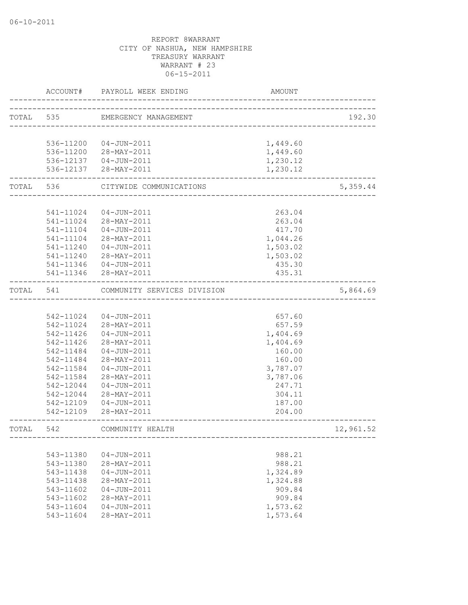|           | ACCOUNT#  | PAYROLL WEEK ENDING                  | AMOUNT                         |           |
|-----------|-----------|--------------------------------------|--------------------------------|-----------|
| TOTAL 535 |           | EMERGENCY MANAGEMENT                 | ______________________________ | 192.30    |
|           |           |                                      |                                |           |
|           |           | 536-11200  04-JUN-2011               | 1,449.60                       |           |
|           |           | 536-11200 28-MAY-2011                | 1,449.60                       |           |
|           |           | 536-12137  04-JUN-2011               | 1,230.12                       |           |
|           |           | 536-12137 28-MAY-2011                | 1,230.12                       |           |
| TOTAL 536 |           | CITYWIDE COMMUNICATIONS              |                                | 5,359.44  |
|           |           |                                      |                                |           |
|           | 541-11024 | 04-JUN-2011                          | 263.04                         |           |
|           |           | 541-11024 28-MAY-2011                | 263.04                         |           |
|           | 541-11104 | $04 - JUN - 2011$                    | 417.70                         |           |
|           | 541-11104 | 28-MAY-2011                          | 1,044.26                       |           |
|           | 541-11240 | $04 - JUN - 2011$                    | 1,503.02                       |           |
|           | 541-11240 | 28-MAY-2011                          | 1,503.02                       |           |
|           | 541-11346 | 04-JUN-2011<br>541-11346 28-MAY-2011 | 435.30<br>435.31               |           |
| TOTAL 541 |           | COMMUNITY SERVICES DIVISION          |                                | 5,864.69  |
|           |           |                                      |                                |           |
|           | 542-11024 | 04-JUN-2011                          | 657.60                         |           |
|           | 542-11024 | 28-MAY-2011                          | 657.59                         |           |
|           | 542-11426 | 04-JUN-2011                          | 1,404.69                       |           |
|           | 542-11426 | 28-MAY-2011                          | 1,404.69                       |           |
|           | 542-11484 | 04-JUN-2011                          | 160.00                         |           |
|           | 542-11484 | 28-MAY-2011                          | 160.00                         |           |
|           | 542-11584 | $04 - JUN - 2011$                    | 3,787.07                       |           |
|           | 542-11584 | 28-MAY-2011                          | 3,787.06                       |           |
|           | 542-12044 | 04-JUN-2011                          | 247.71                         |           |
|           | 542-12044 | 28-MAY-2011                          | 304.11                         |           |
|           | 542-12109 | 04-JUN-2011                          | 187.00                         |           |
|           | 542-12109 | 28-MAY-2011                          | 204.00                         |           |
| TOTAL     | 542       | COMMUNITY HEALTH                     |                                | 12,961.52 |
|           |           |                                      |                                |           |
|           | 543-11380 | $04 - JUN - 2011$                    | 988.21                         |           |
|           | 543-11380 | 28-MAY-2011                          | 988.21                         |           |
|           | 543-11438 | $04 - JUN - 2011$                    | 1,324.89                       |           |
|           | 543-11438 | 28-MAY-2011                          | 1,324.88                       |           |
|           | 543-11602 | $04 - JUN - 2011$                    | 909.84                         |           |
|           | 543-11602 | 28-MAY-2011                          | 909.84                         |           |
|           | 543-11604 | $04 - JUN - 2011$                    | 1,573.62                       |           |
|           | 543-11604 | 28-MAY-2011                          | 1,573.64                       |           |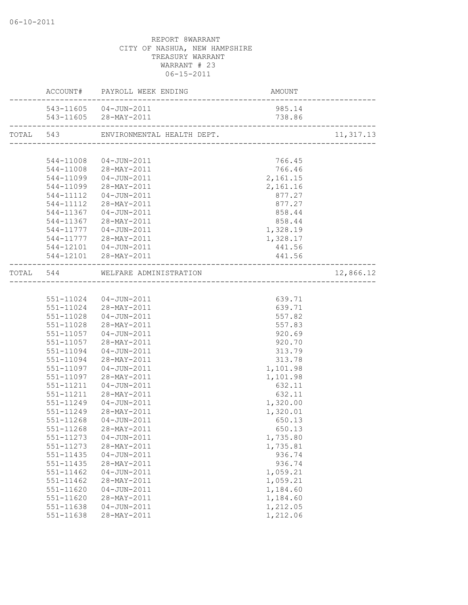|           | ACCOUNT# PAYROLL WEEK ENDING         | AMOUNT   |            |
|-----------|--------------------------------------|----------|------------|
|           | 543-11605  04-JUN-2011               | 985.14   |            |
|           | 543-11605 28-MAY-2011                | 738.86   |            |
|           | TOTAL 543 ENVIRONMENTAL HEALTH DEPT. |          | 11, 317.13 |
|           |                                      |          |            |
|           | 544-11008 04-JUN-2011                | 766.45   |            |
|           | 544-11008 28-MAY-2011                | 766.46   |            |
|           | 544-11099  04-JUN-2011               | 2,161.15 |            |
|           | 544-11099 28-MAY-2011                | 2,161.16 |            |
|           | 544-11112  04-JUN-2011               | 877.27   |            |
|           | 544-11112 28-MAY-2011                | 877.27   |            |
|           | 544-11367  04-JUN-2011               | 858.44   |            |
| 544-11367 | 28-MAY-2011                          | 858.44   |            |
| 544-11777 | $04 - JUN - 2011$                    | 1,328.19 |            |
|           | 544-11777 28-MAY-2011                | 1,328.17 |            |
|           | 544-12101  04-JUN-2011               | 441.56   |            |
|           | 544-12101 28-MAY-2011                | 441.56   |            |
|           | TOTAL 544 WELFARE ADMINISTRATION     |          | 12,866.12  |
|           |                                      |          |            |
|           | 551-11024  04-JUN-2011               | 639.71   |            |
|           | 551-11024 28-MAY-2011                | 639.71   |            |
| 551-11028 | 04-JUN-2011                          | 557.82   |            |
| 551-11028 | 28-MAY-2011                          | 557.83   |            |
|           | 551-11057  04-JUN-2011               | 920.69   |            |
| 551-11057 | 28-MAY-2011                          | 920.70   |            |
| 551-11094 | $04 - JUN - 2011$                    | 313.79   |            |
| 551-11094 | 28-MAY-2011                          | 313.78   |            |
| 551-11097 | 04-JUN-2011                          | 1,101.98 |            |
| 551-11097 | 28-MAY-2011                          | 1,101.98 |            |
| 551-11211 | 04-JUN-2011                          | 632.11   |            |
| 551-11211 | 28-MAY-2011                          | 632.11   |            |
| 551-11249 | 04-JUN-2011                          | 1,320.00 |            |
| 551-11249 | 28-MAY-2011                          | 1,320.01 |            |
| 551-11268 | 04-JUN-2011                          | 650.13   |            |
|           |                                      | 650.13   |            |
| 551-11273 | $04 - JUN - 2011$                    | 1,735.80 |            |
| 551-11273 | 28-MAY-2011                          | 1,735.81 |            |
| 551-11435 | $04 - JUN - 2011$                    | 936.74   |            |
| 551-11435 | 28-MAY-2011                          | 936.74   |            |
| 551-11462 | $04 - JUN - 2011$                    | 1,059.21 |            |
| 551-11462 | 28-MAY-2011                          | 1,059.21 |            |
| 551-11620 | $04 - JUN - 2011$                    | 1,184.60 |            |
| 551-11620 | 28-MAY-2011                          | 1,184.60 |            |
| 551-11638 | $04 - JUN - 2011$                    | 1,212.05 |            |
| 551-11638 | 28-MAY-2011                          | 1,212.06 |            |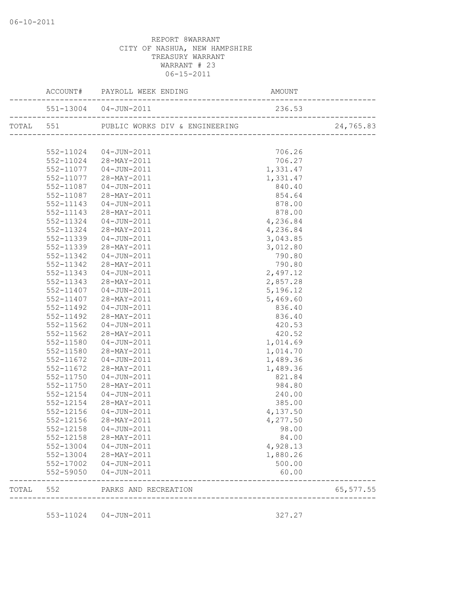|       |           | AMOUNT<br>---------------------------<br>ACCOUNT# PAYROLL WEEK ENDING |          |            |
|-------|-----------|-----------------------------------------------------------------------|----------|------------|
|       |           | 551-13004  04-JUN-2011                                                | 236.53   |            |
|       |           |                                                                       |          | 24,765.83  |
|       |           |                                                                       |          |            |
|       |           | 552-11024  04-JUN-2011                                                | 706.26   |            |
|       |           | 552-11024 28-MAY-2011                                                 | 706.27   |            |
|       |           | 552-11077  04-JUN-2011                                                | 1,331.47 |            |
|       |           | 552-11077 28-MAY-2011                                                 | 1,331.47 |            |
|       | 552-11087 | $04 - JUN - 2011$                                                     | 840.40   |            |
|       | 552-11087 | $28 - \text{MAX} - 2011$                                              | 854.64   |            |
|       | 552-11143 | 04-JUN-2011                                                           | 878.00   |            |
|       | 552-11143 | 28-MAY-2011                                                           | 878.00   |            |
|       | 552-11324 | $04 - JUN - 2011$                                                     | 4,236.84 |            |
|       | 552-11324 | 28-MAY-2011                                                           | 4,236.84 |            |
|       | 552-11339 | $04 - JUN - 2011$                                                     | 3,043.85 |            |
|       | 552-11339 | 28-MAY-2011                                                           | 3,012.80 |            |
|       | 552-11342 | 04-JUN-2011                                                           | 790.80   |            |
|       | 552-11342 | 28-MAY-2011                                                           | 790.80   |            |
|       | 552-11343 | 04-JUN-2011                                                           | 2,497.12 |            |
|       | 552-11343 | 28-MAY-2011                                                           | 2,857.28 |            |
|       | 552-11407 | 04-JUN-2011                                                           | 5,196.12 |            |
|       | 552-11407 | 28-MAY-2011                                                           | 5,469.60 |            |
|       | 552-11492 | 04-JUN-2011                                                           | 836.40   |            |
|       | 552-11492 | 28-MAY-2011                                                           | 836.40   |            |
|       | 552-11562 | 04-JUN-2011                                                           | 420.53   |            |
|       | 552-11562 | 28-MAY-2011                                                           | 420.52   |            |
|       | 552-11580 | 04-JUN-2011                                                           | 1,014.69 |            |
|       | 552-11580 | 28-MAY-2011                                                           | 1,014.70 |            |
|       | 552-11672 | $04 - JUN - 2011$                                                     | 1,489.36 |            |
|       | 552-11672 | 28-MAY-2011                                                           | 1,489.36 |            |
|       | 552-11750 | 04-JUN-2011                                                           | 821.84   |            |
|       | 552-11750 | 28-MAY-2011                                                           | 984.80   |            |
|       | 552-12154 | 04-JUN-2011                                                           | 240.00   |            |
|       | 552-12154 | 28-MAY-2011                                                           | 385.00   |            |
|       | 552-12156 | 04-JUN-2011                                                           | 4,137.50 |            |
|       | 552-12156 | $28 - MAY - 2011$                                                     | 4,277.50 |            |
|       |           | 552-12158  04-JUN-2011                                                | 98.00    |            |
|       | 552-12158 | 28-MAY-2011                                                           | 84.00    |            |
|       |           | 552-13004 04-JUN-2011                                                 | 4,928.13 |            |
|       | 552-13004 | 28-MAY-2011                                                           | 1,880.26 |            |
|       | 552-17002 | $04 - JUN - 2011$                                                     | 500.00   |            |
|       | 552-59050 | 04-JUN-2011                                                           | 60.00    |            |
| TOTAL | 552       | PARKS AND RECREATION<br>_______________                               |          | 65, 577.55 |
|       |           |                                                                       |          |            |
|       | 553-11024 | $04 - JUN - 2011$                                                     | 327.27   |            |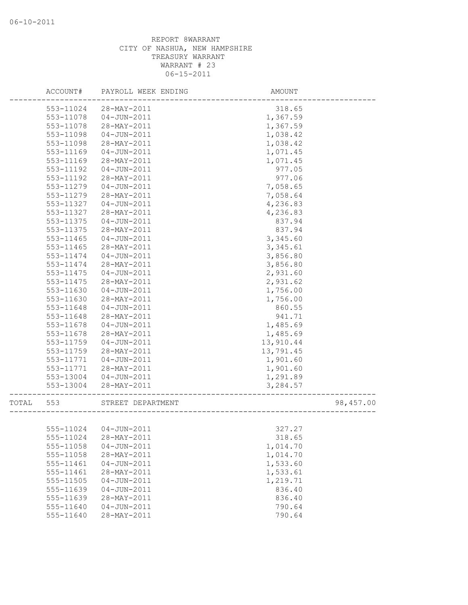|       | ACCOUNT#               | PAYROLL WEEK ENDING        | AMOUNT               |           |
|-------|------------------------|----------------------------|----------------------|-----------|
|       | 553-11024              | 28-MAY-2011                | 318.65               |           |
|       | 553-11078              | $04 - JUN - 2011$          | 1,367.59             |           |
|       | 553-11078              | 28-MAY-2011                | 1,367.59             |           |
|       | 553-11098              | $04 - JUN - 2011$          | 1,038.42             |           |
|       | 553-11098              | 28-MAY-2011                | 1,038.42             |           |
|       | 553-11169              | 04-JUN-2011                | 1,071.45             |           |
|       | 553-11169              | 28-MAY-2011                | 1,071.45             |           |
|       | 553-11192              | 04-JUN-2011                | 977.05               |           |
|       | 553-11192              | 28-MAY-2011                | 977.06               |           |
|       | 553-11279              | $04 - JUN - 2011$          | 7,058.65             |           |
|       | 553-11279              | 28-MAY-2011                | 7,058.64             |           |
|       | 553-11327              | 04-JUN-2011                | 4,236.83             |           |
|       | 553-11327              | 28-MAY-2011                | 4,236.83             |           |
|       | 553-11375              | 04-JUN-2011                | 837.94               |           |
|       | 553-11375              | 28-MAY-2011                | 837.94               |           |
|       | 553-11465              | $04 - JUN - 2011$          | 3,345.60             |           |
|       | 553-11465              | 28-MAY-2011                | 3,345.61             |           |
|       | 553-11474              | 04-JUN-2011                | 3,856.80             |           |
|       | 553-11474              | 28-MAY-2011                | 3,856.80             |           |
|       | 553-11475              | 04-JUN-2011                | 2,931.60             |           |
|       | 553-11475              | 28-MAY-2011                | 2,931.62             |           |
|       | 553-11630              | $04 - JUN - 2011$          | 1,756.00             |           |
|       | 553-11630              | 28-MAY-2011                | 1,756.00             |           |
|       | 553-11648              | 04-JUN-2011                | 860.55               |           |
|       | 553-11648              | 28-MAY-2011                | 941.71               |           |
|       | 553-11678              | 04-JUN-2011                | 1,485.69             |           |
|       | 553-11678              | 28-MAY-2011                | 1,485.69             |           |
|       | 553-11759              | 04-JUN-2011                | 13,910.44            |           |
|       | 553-11759<br>553-11771 | 28-MAY-2011<br>04-JUN-2011 | 13,791.45            |           |
|       | 553-11771              | 28-MAY-2011                | 1,901.60<br>1,901.60 |           |
|       | 553-13004              | 04-JUN-2011                | 1,291.89             |           |
|       | 553-13004              | 28-MAY-2011                | 3,284.57             |           |
|       |                        |                            |                      |           |
| TOTAL | 553                    | STREET DEPARTMENT          |                      | 98,457.00 |
|       |                        |                            |                      |           |
|       |                        | 555-11024  04-JUN-2011     | 327.27               |           |
|       | 555-11024              | 28-MAY-2011                | 318.65               |           |
|       | 555-11058              | $04 - JUN - 2011$          | 1,014.70             |           |
|       | 555-11058              | 28-MAY-2011                | 1,014.70             |           |
|       | 555-11461              | $04 - JUN - 2011$          | 1,533.60             |           |
|       | 555-11461              | 28-MAY-2011                | 1,533.61             |           |
|       | 555-11505              | $04 - JUN - 2011$          | 1,219.71             |           |
|       | 555-11639              | $04 - JUN - 2011$          | 836.40               |           |
|       | 555-11639              | 28-MAY-2011                | 836.40               |           |
|       | 555-11640              | $04 - JUN - 2011$          | 790.64               |           |
|       | 555-11640              | 28-MAY-2011                | 790.64               |           |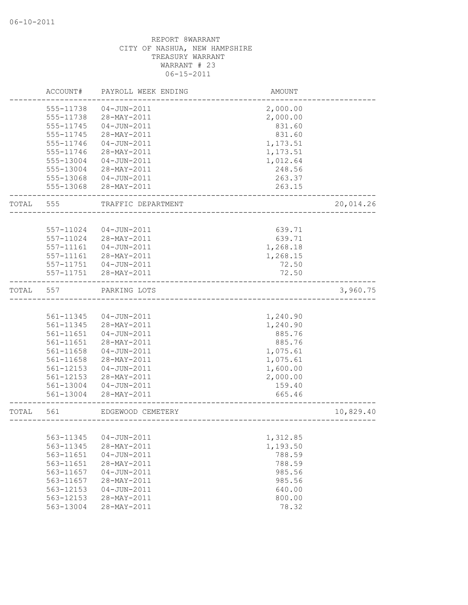|       | ACCOUNT#               | PAYROLL WEEK ENDING              | AMOUNT           |           |
|-------|------------------------|----------------------------------|------------------|-----------|
|       | 555-11738              | $04 - JUN - 2011$                | 2,000.00         |           |
|       | 555-11738              | 28-MAY-2011                      | 2,000.00         |           |
|       | 555-11745              | $04 - JUN - 2011$                | 831.60           |           |
|       | 555-11745              | 28-MAY-2011                      | 831.60           |           |
|       | 555-11746              | $04 - JUN - 2011$                | 1,173.51         |           |
|       | 555-11746              | 28-MAY-2011                      | 1,173.51         |           |
|       | 555-13004              | $04 - JUN - 2011$                | 1,012.64         |           |
|       | 555-13004              | 28-MAY-2011                      | 248.56           |           |
|       | 555-13068              | $04 - JUN - 2011$                | 263.37           |           |
|       | 555-13068              | 28-MAY-2011                      | 263.15           |           |
| TOTAL | 555                    | TRAFFIC DEPARTMENT               |                  | 20,014.26 |
|       |                        |                                  |                  |           |
|       | 557-11024              | 04-JUN-2011                      | 639.71           |           |
|       | 557-11024              | 28-MAY-2011                      | 639.71           |           |
|       | 557-11161              | $04 - JUN - 2011$                | 1,268.18         |           |
|       | 557-11161              | 28-MAY-2011                      | 1,268.15         |           |
|       | 557-11751              | $04 - JUN - 2011$                | 72.50            |           |
|       | 557-11751              | 28-MAY-2011                      | 72.50            |           |
| TOTAL | 557                    | PARKING LOTS                     |                  | 3,960.75  |
|       |                        |                                  |                  |           |
|       | 561-11345              | $04 - JUN - 2011$                | 1,240.90         |           |
|       | 561-11345              | 28-MAY-2011                      | 1,240.90         |           |
|       | 561-11651              | $04 - JUN - 2011$                | 885.76           |           |
|       | 561-11651              | 28-MAY-2011                      | 885.76           |           |
|       | 561-11658              | $04 - JUN - 2011$                | 1,075.61         |           |
|       | 561-11658              | 28-MAY-2011                      | 1,075.61         |           |
|       | 561-12153              | $04 - JUN - 2011$                | 1,600.00         |           |
|       |                        | 28-MAY-2011                      |                  |           |
|       | 561-12153              |                                  | 2,000.00         |           |
|       | 561-13004<br>561-13004 | $04 - JUN - 2011$<br>28-MAY-2011 | 159.40<br>665.46 |           |
|       |                        |                                  |                  |           |
| TOTAL | 561                    | EDGEWOOD CEMETERY                |                  | 10,829.40 |
|       | 563-11345              | $04 - JUN - 2011$                | 1,312.85         |           |
|       | 563-11345              | 28-MAY-2011                      | 1,193.50         |           |
|       | 563-11651              | $04 - JUN - 2011$                | 788.59           |           |
|       | 563-11651              | 28-MAY-2011                      | 788.59           |           |
|       | 563-11657              | $04 - JUN - 2011$                | 985.56           |           |
|       |                        | 28-MAY-2011                      |                  |           |
|       | 563-11657              | $04 - JUN - 2011$                | 985.56           |           |
|       | 563-12153              |                                  | 640.00           |           |
|       | 563-12153<br>563-13004 | 28-MAY-2011<br>28-MAY-2011       | 800.00<br>78.32  |           |
|       |                        |                                  |                  |           |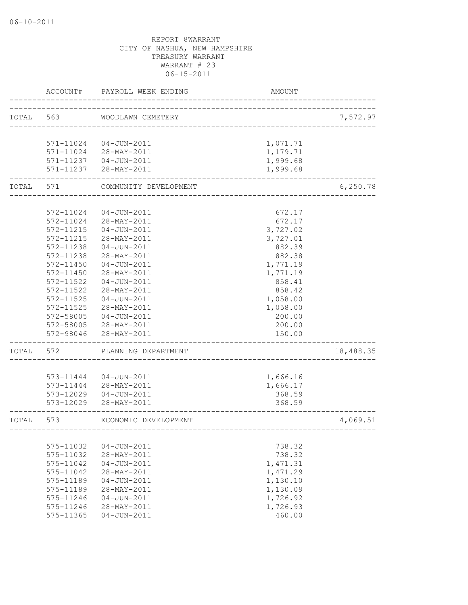|           | ACCOUNT#      | PAYROLL WEEK ENDING    | AMOUNT                    |           |
|-----------|---------------|------------------------|---------------------------|-----------|
| TOTAL 563 |               | WOODLAWN CEMETERY      |                           | 7,572.97  |
|           |               |                        | ------------------------- |           |
|           |               | 571-11024  04-JUN-2011 | 1,071.71                  |           |
|           |               | 571-11024 28-MAY-2011  | 1,179.71                  |           |
|           |               | 571-11237  04-JUN-2011 | 1,999.68                  |           |
|           | 571-11237     | 28-MAY-2011            | 1,999.68                  |           |
| TOTAL     | 571           | COMMUNITY DEVELOPMENT  |                           | 6,250.78  |
|           |               |                        |                           |           |
|           | 572-11024     | 04-JUN-2011            | 672.17                    |           |
|           | 572-11024     | 28-MAY-2011            | 672.17                    |           |
|           | 572-11215     | $04 - JUN - 2011$      | 3,727.02                  |           |
|           | 572-11215     | 28-MAY-2011            | 3,727.01                  |           |
|           | 572-11238     | $04 - JUN - 2011$      | 882.39                    |           |
|           | 572-11238     | 28-MAY-2011            | 882.38                    |           |
|           | 572-11450     | $04 - JUN - 2011$      | 1,771.19                  |           |
|           | 572-11450     | 28-MAY-2011            | 1,771.19                  |           |
|           | 572-11522     | $04 - JUN - 2011$      | 858.41                    |           |
|           | 572-11522     | 28-MAY-2011            | 858.42                    |           |
|           | 572-11525     | $04 - JUN - 2011$      | 1,058.00                  |           |
|           | $572 - 11525$ | 28-MAY-2011            | 1,058.00                  |           |
|           | 572-58005     | $04 - JUN - 2011$      | 200.00                    |           |
|           | 572-58005     | 28-MAY-2011            | 200.00                    |           |
|           | 572-98046     | 28-MAY-2011            | 150.00                    |           |
| TOTAL     | 572           | PLANNING DEPARTMENT    |                           | 18,488.35 |
|           |               |                        |                           |           |
|           | 573-11444     | 04-JUN-2011            | 1,666.16                  |           |
|           | 573-11444     | 28-MAY-2011            | 1,666.17                  |           |
|           | 573-12029     | 04-JUN-2011            | 368.59                    |           |
|           | 573-12029     | 28-MAY-2011            | 368.59                    |           |
| TOTAL     | 573           | ECONOMIC DEVELOPMENT   |                           | 4,069.51  |
|           |               |                        |                           |           |
|           | 575-11032     | $04 - JUN - 2011$      | 738.32                    |           |
|           | 575-11032     | 28-MAY-2011            | 738.32                    |           |
|           | 575-11042     | $04 - JUN - 2011$      | 1,471.31                  |           |
|           | 575-11042     | 28-MAY-2011            | 1,471.29                  |           |
|           | 575-11189     | $04 - JUN - 2011$      | 1,130.10                  |           |
|           | 575-11189     | 28-MAY-2011            | 1,130.09                  |           |
|           | 575-11246     | $04 - JUN - 2011$      | 1,726.92                  |           |
|           | 575-11246     | 28-MAY-2011            | 1,726.93                  |           |
|           | 575-11365     | $04 - JUN - 2011$      | 460.00                    |           |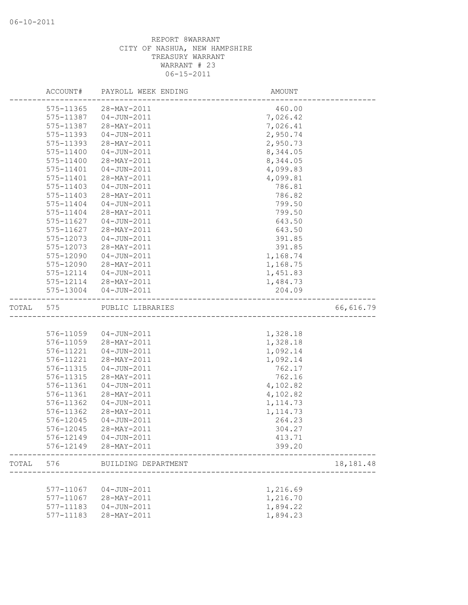|       | ACCOUNT#               | PAYROLL WEEK ENDING              | AMOUNT                           |             |
|-------|------------------------|----------------------------------|----------------------------------|-------------|
|       | 575-11365              | 28-MAY-2011                      | 460.00                           |             |
|       | 575-11387              | $04 - JUN - 2011$                | 7,026.42                         |             |
|       | 575-11387              | 28-MAY-2011                      | 7,026.41                         |             |
|       | 575-11393              | $04 - JUN - 2011$                | 2,950.74                         |             |
|       | 575-11393              | 28-MAY-2011                      | 2,950.73                         |             |
|       | 575-11400              | $04 - JUN - 2011$                | 8,344.05                         |             |
|       | 575-11400              | 28-MAY-2011                      | 8,344.05                         |             |
|       | 575-11401              | $04 - JUN - 2011$                | 4,099.83                         |             |
|       | 575-11401              | 28-MAY-2011                      | 4,099.81                         |             |
|       | 575-11403              | $04 - JUN - 2011$                | 786.81                           |             |
|       | $575 - 11403$          | 28-MAY-2011                      | 786.82                           |             |
|       | 575-11404              | $04 - JUN - 2011$                | 799.50                           |             |
|       | 575-11404              | 28-MAY-2011                      | 799.50                           |             |
|       | $575 - 11627$          | $04 - JUN - 2011$                | 643.50                           |             |
|       | 575-11627              | 28-MAY-2011                      | 643.50                           |             |
|       | 575-12073              | $04 - JUN - 2011$                | 391.85                           |             |
|       | 575-12073              | 28-MAY-2011                      | 391.85                           |             |
|       | 575-12090              | $04 - JUN - 2011$                | 1,168.74                         |             |
|       | 575-12090              | 28-MAY-2011                      | 1,168.75                         |             |
|       | 575-12114              | 04-JUN-2011                      | 1,451.83                         |             |
|       |                        | 575-12114 28-MAY-2011            | 1,484.73                         |             |
|       | 575-13004              | $04 - JUN - 2011$                | 204.09                           |             |
| TOTAL | 575                    | PUBLIC LIBRARIES                 | ,<br>--------------------------- | 66,616.79   |
|       |                        |                                  |                                  |             |
|       |                        | 576-11059  04-JUN-2011           | 1,328.18                         |             |
|       | 576-11059              | 28-MAY-2011                      | 1,328.18                         |             |
|       | 576-11221              | $04 - JUN - 2011$                | 1,092.14                         |             |
|       | 576-11221              | 28-MAY-2011                      | 1,092.14                         |             |
|       | 576-11315              | $04 - JUN - 2011$                | 762.17                           |             |
|       | 576-11315              | 28-MAY-2011                      | 762.16                           |             |
|       | 576-11361              | $04 - JUN - 2011$                | 4,102.82                         |             |
|       | 576-11361              | 28-MAY-2011                      | 4,102.82                         |             |
|       | 576-11362              | $04 - JUN - 2011$                | 1, 114.73                        |             |
|       | 576-11362              | 28-MAY-2011                      | 1, 114.73                        |             |
|       | 576-12045              | $04 - JUN - 2011$                | 264.23                           |             |
|       | 576-12045              | 28-MAY-2011                      | 304.27                           |             |
|       | 576-12149              | $04 - JUN - 2011$                | 413.71                           |             |
|       | 576-12149              | 28-MAY-2011                      | 399.20                           |             |
| TOTAL | 576                    | BUILDING DEPARTMENT              |                                  | 18, 181. 48 |
|       |                        |                                  |                                  |             |
|       | 577-11067              | $04 - JUN - 2011$                | 1,216.69<br>1,216.70             |             |
|       | 577-11067              | 28-MAY-2011                      | 1,894.22                         |             |
|       | 577-11183<br>577-11183 | $04 - JUN - 2011$<br>28-MAY-2011 | 1,894.23                         |             |
|       |                        |                                  |                                  |             |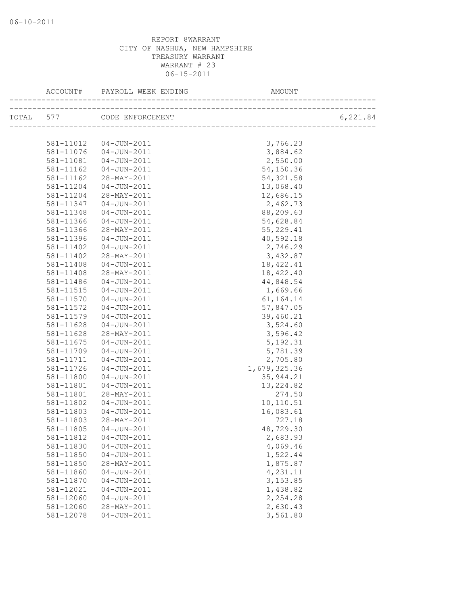| ACCOUNT#  | PAYROLL WEEK ENDING        | AMOUNT                            |          |
|-----------|----------------------------|-----------------------------------|----------|
|           | TOTAL 577 CODE ENFORCEMENT | --------------------------------- | 6,221.84 |
|           |                            |                                   |          |
| 581-11012 | 04-JUN-2011                | 3,766.23                          |          |
| 581-11076 | 04-JUN-2011                | 3,884.62                          |          |
| 581-11081 | $04 - JUN - 2011$          | 2,550.00                          |          |
| 581-11162 | 04-JUN-2011                | 54,150.36                         |          |
| 581-11162 | 28-MAY-2011                | 54, 321.58                        |          |
| 581-11204 | 04-JUN-2011                | 13,068.40                         |          |
| 581-11204 | 28-MAY-2011                | 12,686.15                         |          |
| 581-11347 | 04-JUN-2011                | 2,462.73                          |          |
| 581-11348 | 04-JUN-2011                | 88,209.63                         |          |
| 581-11366 | 04-JUN-2011                | 54,628.84                         |          |
| 581-11366 | 28-MAY-2011                | 55,229.41                         |          |
| 581-11396 | $04 - JUN - 2011$          | 40,592.18                         |          |
| 581-11402 | 04-JUN-2011                | 2,746.29                          |          |
| 581-11402 | 28-MAY-2011                | 3,432.87                          |          |
| 581-11408 | 04-JUN-2011                | 18, 422.41                        |          |
| 581-11408 | 28-MAY-2011                | 18,422.40                         |          |
| 581-11486 | 04-JUN-2011                | 44,848.54                         |          |
| 581-11515 | 04-JUN-2011                | 1,669.66                          |          |
| 581-11570 | 04-JUN-2011                | 61,164.14                         |          |
| 581-11572 | 04-JUN-2011                | 57,847.05                         |          |
| 581-11579 | $04 - JUN - 2011$          | 39,460.21                         |          |
| 581-11628 | 04-JUN-2011                | 3,524.60                          |          |
| 581-11628 | 28-MAY-2011                | 3,596.42                          |          |
| 581-11675 | 04-JUN-2011                | 5,192.31                          |          |
| 581-11709 | 04-JUN-2011                | 5,781.39                          |          |
| 581-11711 | 04-JUN-2011                | 2,705.80                          |          |
| 581-11726 | 04-JUN-2011                | 1,679,325.36                      |          |
| 581-11800 | 04-JUN-2011                | 35, 944.21                        |          |
| 581-11801 | 04-JUN-2011                | 13, 224.82                        |          |
| 581-11801 | 28-MAY-2011                | 274.50                            |          |
| 581-11802 | 04-JUN-2011                | 10,110.51                         |          |
| 581-11803 | 04-JUN-2011                | 16,083.61                         |          |
| 581-11803 | 28-MAY-2011                | 727.18                            |          |
|           | 581-11805  04-JUN-2011     | 48,729.30                         |          |
| 581-11812 | $04 - JUN - 2011$          | 2,683.93                          |          |
| 581-11830 | $04 - JUN - 2011$          | 4,069.46                          |          |
| 581-11850 | $04 - JUN - 2011$          | 1,522.44                          |          |
| 581-11850 | 28-MAY-2011                | 1,875.87                          |          |
| 581-11860 | $04 - JUN - 2011$          | 4,231.11                          |          |
| 581-11870 | $04 - JUN - 2011$          | 3,153.85                          |          |
| 581-12021 | $04 - JUN - 2011$          | 1,438.82                          |          |
| 581-12060 | $04 - JUN - 2011$          | 2,254.28                          |          |
| 581-12060 | 28-MAY-2011                | 2,630.43                          |          |
| 581-12078 | $04 - JUN - 2011$          | 3,561.80                          |          |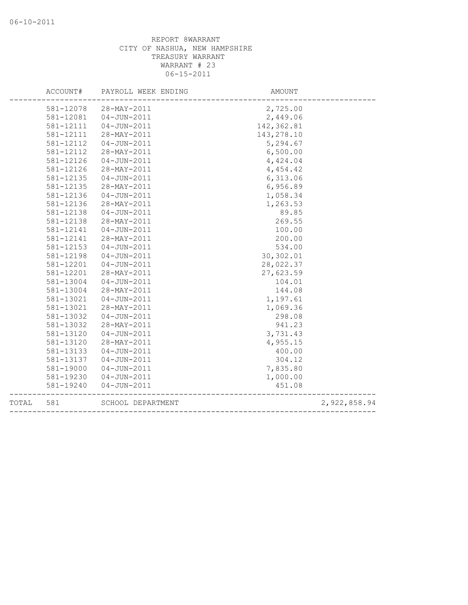|       | ACCOUNT#  | PAYROLL WEEK ENDING | AMOUNT                               |              |
|-------|-----------|---------------------|--------------------------------------|--------------|
|       | 581-12078 | 28-MAY-2011         | 2,725.00                             |              |
|       | 581-12081 | $04 - JUN - 2011$   | 2,449.06                             |              |
|       | 581-12111 | $04 - JUN - 2011$   | 142, 362.81                          |              |
|       | 581-12111 | 28-MAY-2011         | 143, 278.10                          |              |
|       | 581-12112 | 04-JUN-2011         | 5,294.67                             |              |
|       | 581-12112 | 28-MAY-2011         | 6,500.00                             |              |
|       | 581-12126 | $04 - JUN - 2011$   | 4,424.04                             |              |
|       | 581-12126 | 28-MAY-2011         | 4,454.42                             |              |
|       | 581-12135 | 04-JUN-2011         | 6,313.06                             |              |
|       | 581-12135 | 28-MAY-2011         | 6,956.89                             |              |
|       | 581-12136 | $04 - JUN - 2011$   | 1,058.34                             |              |
|       | 581-12136 | 28-MAY-2011         | 1,263.53                             |              |
|       | 581-12138 | $04 - JUN - 2011$   | 89.85                                |              |
|       | 581-12138 | 28-MAY-2011         | 269.55                               |              |
|       | 581-12141 | $04 - JUN - 2011$   | 100.00                               |              |
|       | 581-12141 | 28-MAY-2011         | 200.00                               |              |
|       | 581-12153 | $04 - JUN - 2011$   | 534.00                               |              |
|       | 581-12198 | $04 - JUN - 2011$   | 30,302.01                            |              |
|       | 581-12201 | $04 - JUN - 2011$   | 28,022.37                            |              |
|       | 581-12201 | 28-MAY-2011         | 27,623.59                            |              |
|       | 581-13004 | $04 - JUN - 2011$   | 104.01                               |              |
|       | 581-13004 | 28-MAY-2011         | 144.08                               |              |
|       | 581-13021 | 04-JUN-2011         | 1,197.61                             |              |
|       | 581-13021 | 28-MAY-2011         | 1,069.36                             |              |
|       | 581-13032 | $04 - JUN - 2011$   | 298.08                               |              |
|       | 581-13032 | 28-MAY-2011         | 941.23                               |              |
|       | 581-13120 | $04 - JUN - 2011$   | 3,731.43                             |              |
|       | 581-13120 | 28-MAY-2011         | 4,955.15                             |              |
|       | 581-13133 | $04 - JUN - 2011$   | 400.00                               |              |
|       | 581-13137 | $04 - JUN - 2011$   | 304.12                               |              |
|       | 581-19000 | 04-JUN-2011         | 7,835.80                             |              |
|       | 581-19230 | 04-JUN-2011         | 1,000.00                             |              |
|       | 581-19240 | $04 - JUN - 2011$   | 451.08                               |              |
| TOTAL | 581       | SCHOOL DEPARTMENT   | ____________________________________ | 2,922,858.94 |
|       |           |                     |                                      |              |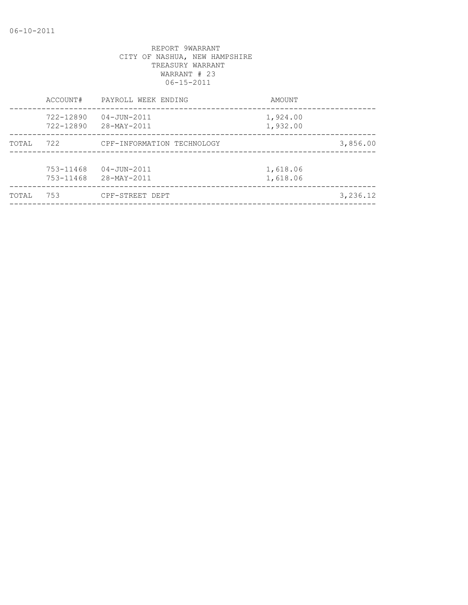| TOTAL | 753                    | CPF-STREET DEPT                  |                      | 3,236.12 |
|-------|------------------------|----------------------------------|----------------------|----------|
|       | 753-11468<br>753-11468 | $04 - JUN - 2011$<br>28-MAY-2011 | 1,618.06<br>1,618.06 |          |
| TOTAL | 722                    | CPF-INFORMATION TECHNOLOGY       |                      | 3,856.00 |
|       | 722-12890<br>722-12890 | $04 - JUN - 2011$<br>28-MAY-2011 | 1,924.00<br>1,932.00 |          |
|       | ACCOUNT#               | PAYROLL WEEK ENDING              | AMOUNT               |          |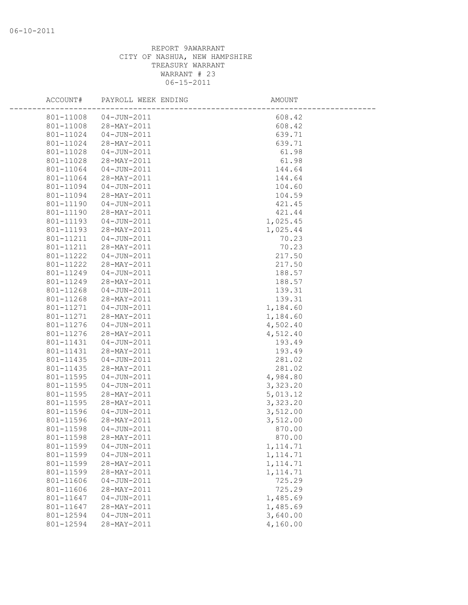| ACCOUNT#  | PAYROLL WEEK ENDING | AMOUNT    |  |
|-----------|---------------------|-----------|--|
| 801-11008 | 04-JUN-2011         | 608.42    |  |
| 801-11008 | 28-MAY-2011         | 608.42    |  |
| 801-11024 | $04 - JUN - 2011$   | 639.71    |  |
| 801-11024 | 28-MAY-2011         | 639.71    |  |
| 801-11028 | $04 - JUN - 2011$   | 61.98     |  |
| 801-11028 | 28-MAY-2011         | 61.98     |  |
| 801-11064 | 04-JUN-2011         | 144.64    |  |
| 801-11064 | 28-MAY-2011         | 144.64    |  |
| 801-11094 | 04-JUN-2011         | 104.60    |  |
| 801-11094 | 28-MAY-2011         | 104.59    |  |
| 801-11190 | 04-JUN-2011         | 421.45    |  |
| 801-11190 | 28-MAY-2011         | 421.44    |  |
| 801-11193 | 04-JUN-2011         | 1,025.45  |  |
| 801-11193 | 28-MAY-2011         | 1,025.44  |  |
| 801-11211 | $04 - JUN - 2011$   | 70.23     |  |
| 801-11211 | 28-MAY-2011         | 70.23     |  |
| 801-11222 | $04 - JUN - 2011$   | 217.50    |  |
| 801-11222 | 28-MAY-2011         | 217.50    |  |
| 801-11249 | 04-JUN-2011         | 188.57    |  |
| 801-11249 | 28-MAY-2011         | 188.57    |  |
| 801-11268 | 04-JUN-2011         | 139.31    |  |
| 801-11268 | 28-MAY-2011         | 139.31    |  |
| 801-11271 | 04-JUN-2011         | 1,184.60  |  |
| 801-11271 | 28-MAY-2011         | 1,184.60  |  |
| 801-11276 | 04-JUN-2011         | 4,502.40  |  |
| 801-11276 | 28-MAY-2011         | 4,512.40  |  |
| 801-11431 | 04-JUN-2011         | 193.49    |  |
| 801-11431 | 28-MAY-2011         | 193.49    |  |
| 801-11435 | $04 - JUN - 2011$   | 281.02    |  |
| 801-11435 | 28-MAY-2011         | 281.02    |  |
| 801-11595 | $04 - JUN - 2011$   | 4,984.80  |  |
| 801-11595 | $04 - JUN - 2011$   | 3,323.20  |  |
| 801-11595 | 28-MAY-2011         | 5,013.12  |  |
| 801-11595 | 28-MAY-2011         | 3,323.20  |  |
| 801-11596 | 04-JUN-2011         | 3,512.00  |  |
| 801-11596 | 28-MAY-2011         | 3,512.00  |  |
| 801-11598 | $04 - JUN - 2011$   | 870.00    |  |
| 801-11598 | 28-MAY-2011         | 870.00    |  |
| 801-11599 | $04 - JUN - 2011$   | 1, 114.71 |  |
| 801-11599 | $04 - JUN - 2011$   | 1, 114.71 |  |
| 801-11599 | 28-MAY-2011         | 1, 114.71 |  |
| 801-11599 | 28-MAY-2011         | 1, 114.71 |  |
| 801-11606 | $04 - JUN - 2011$   | 725.29    |  |
| 801-11606 | 28-MAY-2011         | 725.29    |  |
| 801-11647 | $04 - JUN - 2011$   | 1,485.69  |  |
| 801-11647 | 28-MAY-2011         | 1,485.69  |  |
| 801-12594 | $04 - JUN - 2011$   | 3,640.00  |  |
| 801-12594 | 28-MAY-2011         | 4,160.00  |  |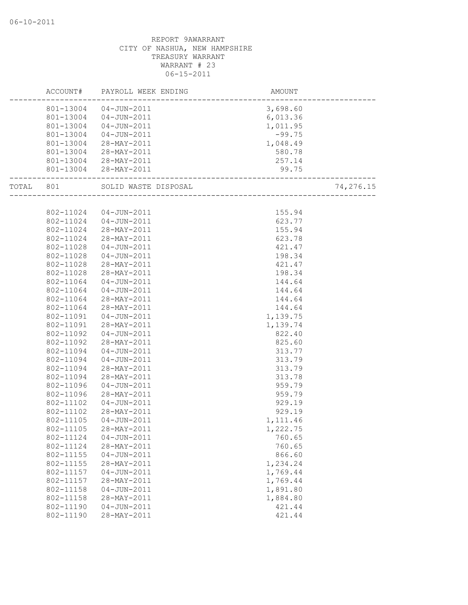|           | ACCOUNT#  | PAYROLL WEEK ENDING    | AMOUNT                           |           |
|-----------|-----------|------------------------|----------------------------------|-----------|
|           |           | 801-13004  04-JUN-2011 | 3,698.60                         |           |
|           |           | 801-13004  04-JUN-2011 | 6,013.36                         |           |
|           | 801-13004 | 04-JUN-2011            | 1,011.95                         |           |
|           | 801-13004 | 04-JUN-2011            | $-99.75$                         |           |
|           | 801-13004 | 28-MAY-2011            | 1,048.49                         |           |
|           | 801-13004 | 28-MAY-2011            | 580.78                           |           |
|           |           | 801-13004 28-MAY-2011  | 257.14                           |           |
|           |           | 801-13004 28-MAY-2011  | 99.75<br>_______________________ |           |
| TOTAL 801 |           | SOLID WASTE DISPOSAL   |                                  | 74,276.15 |
|           |           |                        |                                  |           |
|           | 802-11024 | 04-JUN-2011            | 155.94                           |           |
|           | 802-11024 | 04-JUN-2011            | 623.77                           |           |
|           | 802-11024 | 28-MAY-2011            | 155.94                           |           |
|           | 802-11024 | 28-MAY-2011            | 623.78                           |           |
|           | 802-11028 | 04-JUN-2011            | 421.47                           |           |
|           | 802-11028 | 04-JUN-2011            | 198.34                           |           |
|           | 802-11028 | 28-MAY-2011            | 421.47                           |           |
|           | 802-11028 | 28-MAY-2011            | 198.34                           |           |
|           | 802-11064 | 04-JUN-2011            | 144.64                           |           |
|           | 802-11064 | 04-JUN-2011            | 144.64                           |           |
|           | 802-11064 | 28-MAY-2011            | 144.64                           |           |
|           | 802-11064 | 28-MAY-2011            | 144.64                           |           |
|           | 802-11091 | 04-JUN-2011            | 1,139.75                         |           |
|           | 802-11091 | 28-MAY-2011            | 1,139.74                         |           |
|           | 802-11092 | 04-JUN-2011            | 822.40                           |           |
|           | 802-11092 | 28-MAY-2011            | 825.60                           |           |
|           | 802-11094 | $04 - JUN - 2011$      | 313.77                           |           |
|           | 802-11094 | $04 - JUN - 2011$      | 313.79                           |           |
|           | 802-11094 | 28-MAY-2011            | 313.79                           |           |
|           | 802-11094 | 28-MAY-2011            | 313.78                           |           |
|           | 802-11096 | 04-JUN-2011            | 959.79                           |           |
|           | 802-11096 | 28-MAY-2011            | 959.79                           |           |
|           | 802-11102 | 04-JUN-2011            | 929.19                           |           |
|           | 802-11102 | 28-MAY-2011            | 929.19                           |           |
|           | 802-11105 | 04-JUN-2011            | 1,111.46                         |           |
|           | 802-11105 | 28-MAY-2011            | 1,222.75                         |           |
|           | 802-11124 | $04 - JUN - 2011$      | 760.65                           |           |
|           | 802-11124 | 28-MAY-2011            | 760.65                           |           |
|           | 802-11155 | $04 - JUN - 2011$      | 866.60                           |           |
|           | 802-11155 | 28-MAY-2011            | 1,234.24                         |           |
|           | 802-11157 | $04 - JUN - 2011$      | 1,769.44                         |           |
|           | 802-11157 | 28-MAY-2011            | 1,769.44                         |           |
|           | 802-11158 | $04 - JUN - 2011$      | 1,891.80                         |           |
|           | 802-11158 | 28-MAY-2011            | 1,884.80                         |           |
|           | 802-11190 | $04 - JUN - 2011$      | 421.44                           |           |
|           | 802-11190 | 28-MAY-2011            | 421.44                           |           |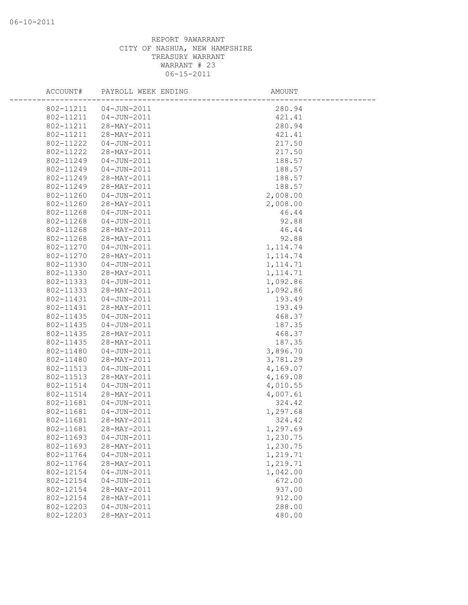| ACCOUNT#  | PAYROLL WEEK ENDING | AMOUNT    |  |
|-----------|---------------------|-----------|--|
| 802-11211 | $04 - JUN - 2011$   | 280.94    |  |
| 802-11211 | 04-JUN-2011         | 421.41    |  |
| 802-11211 | 28-MAY-2011         | 280.94    |  |
| 802-11211 | 28-MAY-2011         | 421.41    |  |
| 802-11222 | $04 - JUN - 2011$   | 217.50    |  |
| 802-11222 | 28-MAY-2011         | 217.50    |  |
| 802-11249 | $04 - JUN - 2011$   | 188.57    |  |
| 802-11249 | $04 - JUN - 2011$   | 188.57    |  |
| 802-11249 | 28-MAY-2011         | 188.57    |  |
| 802-11249 | 28-MAY-2011         | 188.57    |  |
| 802-11260 | $04 - JUN - 2011$   | 2,008.00  |  |
| 802-11260 | 28-MAY-2011         | 2,008.00  |  |
| 802-11268 | 04-JUN-2011         | 46.44     |  |
| 802-11268 | $04 - JUN - 2011$   | 92.88     |  |
| 802-11268 | 28-MAY-2011         | 46.44     |  |
| 802-11268 | 28-MAY-2011         | 92.88     |  |
| 802-11270 | $04 - JUN - 2011$   | 1, 114.74 |  |
| 802-11270 | 28-MAY-2011         | 1, 114.74 |  |
| 802-11330 | $04 - JUN - 2011$   | 1, 114.71 |  |
| 802-11330 | 28-MAY-2011         | 1, 114.71 |  |
| 802-11333 | $04 - JUN - 2011$   | 1,092.86  |  |
| 802-11333 | 28-MAY-2011         | 1,092.86  |  |
| 802-11431 | $04 - JUN - 2011$   | 193.49    |  |
| 802-11431 | 28-MAY-2011         | 193.49    |  |
| 802-11435 | $04 - JUN - 2011$   | 468.37    |  |
| 802-11435 | 04-JUN-2011         | 187.35    |  |
| 802-11435 | 28-MAY-2011         | 468.37    |  |
| 802-11435 | 28-MAY-2011         | 187.35    |  |
| 802-11480 | $04 - JUN - 2011$   | 3,896.70  |  |
| 802-11480 | 28-MAY-2011         | 3,781.29  |  |
| 802-11513 | $04 - JUN - 2011$   | 4,169.07  |  |
| 802-11513 | 28-MAY-2011         | 4,169.08  |  |
| 802-11514 | $04 - JUN - 2011$   | 4,010.55  |  |
| 802-11514 | 28-MAY-2011         | 4,007.61  |  |
| 802-11681 | $04 - JUN - 2011$   | 324.42    |  |
| 802-11681 | $04 - JUN - 2011$   | 1,297.68  |  |
| 802-11681 | 28-MAY-2011         | 324.42    |  |
| 802-11681 | 28-MAY-2011         | 1,297.69  |  |
| 802-11693 | $04 - JUN - 2011$   | 1,230.75  |  |
| 802-11693 | 28-MAY-2011         | 1,230.75  |  |
| 802-11764 | $04 - JUN - 2011$   | 1,219.71  |  |
| 802-11764 | 28-MAY-2011         | 1,219.71  |  |
| 802-12154 | $04 - JUN - 2011$   | 1,042.00  |  |
| 802-12154 | $04 - JUN - 2011$   | 672.00    |  |
| 802-12154 | 28-MAY-2011         | 937.00    |  |
| 802-12154 | 28-MAY-2011         | 912.00    |  |
| 802-12203 | $04 - JUN - 2011$   | 288.00    |  |
| 802-12203 | 28-MAY-2011         | 480.00    |  |